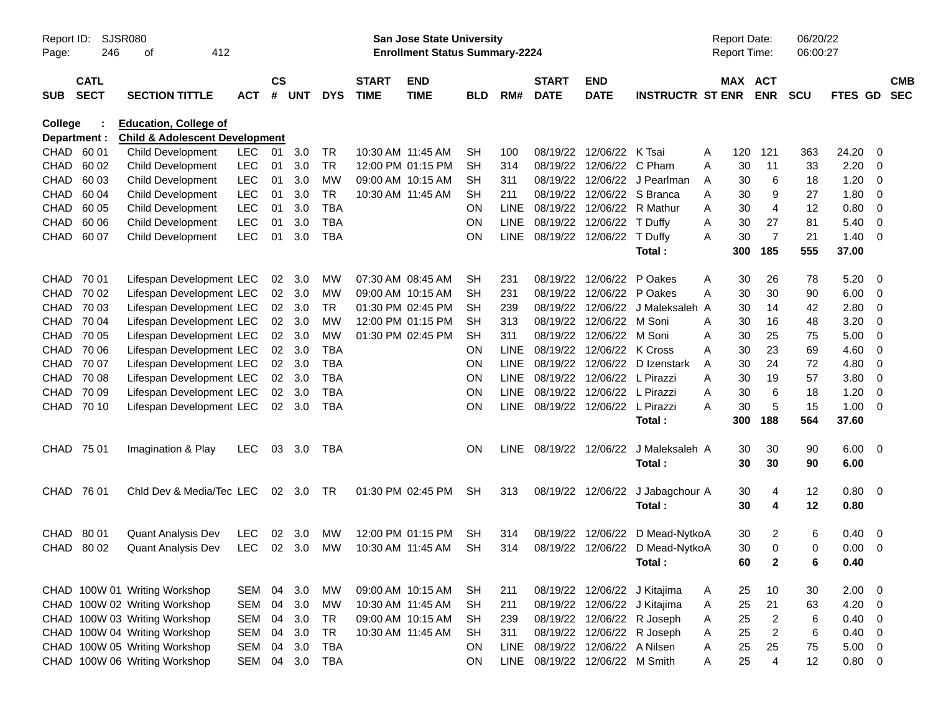| Report ID:<br>Page: | 246                        | <b>SJSR080</b><br>412<br>οf                                               |            |                    |            |            |                             | <b>San Jose State University</b><br><b>Enrollment Status Summary-2224</b> |            |             |                             |                           |                              | Report Date:<br>Report Time: |          |                | 06/20/22<br>06:00:27 |              |                         |                          |
|---------------------|----------------------------|---------------------------------------------------------------------------|------------|--------------------|------------|------------|-----------------------------|---------------------------------------------------------------------------|------------|-------------|-----------------------------|---------------------------|------------------------------|------------------------------|----------|----------------|----------------------|--------------|-------------------------|--------------------------|
| <b>SUB</b>          | <b>CATL</b><br><b>SECT</b> | <b>SECTION TITTLE</b>                                                     | <b>ACT</b> | $\mathsf{cs}$<br># | <b>UNT</b> | <b>DYS</b> | <b>START</b><br><b>TIME</b> | <b>END</b><br><b>TIME</b>                                                 | <b>BLD</b> | RM#         | <b>START</b><br><b>DATE</b> | <b>END</b><br><b>DATE</b> | <b>INSTRUCTR ST ENR</b>      |                              | MAX ACT  | <b>ENR</b>     | <b>SCU</b>           | FTES GD      |                         | <b>CMB</b><br><b>SEC</b> |
| College             | Department :               | <b>Education, College of</b><br><b>Child &amp; Adolescent Development</b> |            |                    |            |            |                             |                                                                           |            |             |                             |                           |                              |                              |          |                |                      |              |                         |                          |
| CHAD                | 60 01                      | Child Development                                                         | <b>LEC</b> | 01                 | 3.0        | <b>TR</b>  | 10:30 AM 11:45 AM           |                                                                           | <b>SH</b>  | 100         | 08/19/22                    | 12/06/22                  | K Tsai                       | Α                            | 120      | 121            | 363                  | 24.20        | 0                       |                          |
| <b>CHAD</b>         | 60 02                      | Child Development                                                         | LEC        | 01                 | 3.0        | <b>TR</b>  |                             | 12:00 PM 01:15 PM                                                         | <b>SH</b>  | 314         | 08/19/22                    | 12/06/22                  | C Pham                       | A                            | 30       | 11             | 33                   | 2.20         | -0                      |                          |
| <b>CHAD</b>         | 60 03                      | <b>Child Development</b>                                                  | LEC        | 01                 | 3.0        | <b>MW</b>  | 09:00 AM 10:15 AM           |                                                                           | <b>SH</b>  | 311         | 08/19/22                    | 12/06/22                  | J Pearlman                   | A                            | 30       | 6              | 18                   | 1.20         | -0                      |                          |
| <b>CHAD</b>         | 60 04                      | <b>Child Development</b>                                                  | LEC        | 01                 | 3.0        | <b>TR</b>  | 10:30 AM 11:45 AM           |                                                                           | <b>SH</b>  | 211         | 08/19/22                    | 12/06/22                  | S Branca                     | A                            | 30       | 9              | 27                   | 1.80         | -0                      |                          |
| <b>CHAD</b>         | 60 05                      | <b>Child Development</b>                                                  | LEC        | 01                 | 3.0        | <b>TBA</b> |                             |                                                                           | <b>ON</b>  | <b>LINE</b> | 08/19/22                    | 12/06/22                  | R Mathur                     | A                            | 30       | 4              | 12                   | 0.80         | -0                      |                          |
| <b>CHAD</b>         | 60 06                      | <b>Child Development</b>                                                  | LEC        | 01                 | 3.0        | <b>TBA</b> |                             |                                                                           | <b>ON</b>  | <b>LINE</b> | 08/19/22                    | 12/06/22                  | T Duffy                      | A                            | 30       | 27             | 81                   | 5.40         | 0                       |                          |
| CHAD                | 60 07                      | <b>Child Development</b>                                                  | LEC        | 01                 | 3.0        | <b>TBA</b> |                             |                                                                           | ON         | <b>LINE</b> | 08/19/22                    | 12/06/22                  | T Duffy                      | A                            | 30       | $\overline{7}$ | 21                   | 1.40         | -0                      |                          |
|                     |                            |                                                                           |            |                    |            |            |                             |                                                                           |            |             |                             |                           | Total:                       |                              | 300      | 185            | 555                  | 37.00        |                         |                          |
| <b>CHAD</b>         | 70 01                      | Lifespan Development LEC                                                  |            | 02                 | 3.0        | MW         | 07:30 AM 08:45 AM           |                                                                           | <b>SH</b>  | 231         | 08/19/22                    | 12/06/22                  | P Oakes                      | A                            | 30       | 26             | 78                   | 5.20         | - 0                     |                          |
| CHAD                | 70 02                      | Lifespan Development LEC                                                  |            | 02                 | 3.0        | <b>MW</b>  | 09:00 AM 10:15 AM           |                                                                           | <b>SH</b>  | 231         | 08/19/22                    | 12/06/22                  | P Oakes                      | A                            | 30       | 30             | 90                   | 6.00         | 0                       |                          |
| <b>CHAD</b>         | 70 03                      | Lifespan Development LEC                                                  |            | 02                 | 3.0        | <b>TR</b>  |                             | 01:30 PM 02:45 PM                                                         | <b>SH</b>  | 239         | 08/19/22                    | 12/06/22                  | J Maleksaleh A               |                              | 30       | 14             | 42                   | 2.80         | 0                       |                          |
| <b>CHAD</b>         | 70 04                      | Lifespan Development LEC                                                  |            | 02                 | 3.0        | <b>MW</b>  |                             | 12:00 PM 01:15 PM                                                         | <b>SH</b>  | 313         | 08/19/22                    | 12/06/22                  | M Soni                       | A                            | 30       | 16             | 48                   | 3.20         | -0                      |                          |
| <b>CHAD</b>         | 70 05                      | Lifespan Development LEC                                                  |            | 02                 | 3.0        | <b>MW</b>  |                             | 01:30 PM 02:45 PM                                                         | <b>SH</b>  | 311         | 08/19/22                    | 12/06/22                  | M Soni                       | A                            | 30       | 25             | 75                   | 5.00         | 0                       |                          |
| <b>CHAD</b>         | 70 06                      | Lifespan Development LEC                                                  |            | 02                 | 3.0        | <b>TBA</b> |                             |                                                                           | <b>ON</b>  | <b>LINE</b> | 08/19/22                    | 12/06/22                  | K Cross                      | A                            | 30       | 23             | 69                   | 4.60         | 0                       |                          |
| <b>CHAD</b>         | 70 07                      | Lifespan Development LEC                                                  |            | 02                 | 3.0        | <b>TBA</b> |                             |                                                                           | ON         | <b>LINE</b> | 08/19/22                    | 12/06/22                  | D Izenstark                  | A                            | 30       | 24             | 72                   | 4.80         | 0                       |                          |
| CHAD                | 70 08                      | Lifespan Development LEC                                                  |            | 02                 | 3.0        | <b>TBA</b> |                             |                                                                           | <b>ON</b>  | <b>LINE</b> | 08/19/22                    | 12/06/22                  | L Pirazzi                    | A                            | 30       | 19             | 57                   | 3.80         | -0                      |                          |
| CHAD                | 70 09                      | Lifespan Development LEC                                                  |            | 02                 | 3.0        | <b>TBA</b> |                             |                                                                           | <b>ON</b>  | LINE        | 08/19/22                    | 12/06/22                  | L Pirazzi                    | A                            | 30       | 6              | 18                   | 1.20         | 0                       |                          |
| CHAD                | 70 10                      | Lifespan Development LEC                                                  |            | 02                 | 3.0        | <b>TBA</b> |                             |                                                                           | ON         | <b>LINE</b> | 08/19/22                    | 12/06/22                  | L Pirazzi                    | A                            | 30       | 5              | 15                   | 1.00         | -0                      |                          |
|                     |                            |                                                                           |            |                    |            |            |                             |                                                                           |            |             |                             |                           | Total:                       |                              | 300      | 188            | 564                  | 37.60        |                         |                          |
| CHAD 75 01          |                            | Imagination & Play                                                        | <b>LEC</b> | 03                 | 3.0        | TBA        |                             |                                                                           | ON         | <b>LINE</b> | 08/19/22                    | 12/06/22                  | J Maleksaleh A<br>Total:     |                              | 30<br>30 | 30<br>30       | 90<br>90             | 6.00<br>6.00 | - 0                     |                          |
| <b>CHAD</b>         | 76 01                      | Chid Dev & Media/Tec LEC                                                  |            | 02                 | 3.0        | TR         |                             | 01:30 PM 02:45 PM                                                         | <b>SH</b>  | 313         | 08/19/22                    | 12/06/22                  | J Jabagchour A<br>Total:     |                              | 30<br>30 | 4<br>4         | 12<br>12             | 0.80<br>0.80 | $\overline{\mathbf{0}}$ |                          |
| <b>CHAD</b>         | 80 01                      | <b>Quant Analysis Dev</b>                                                 | <b>LEC</b> | 02                 | 3.0        | МW         |                             | 12:00 PM 01:15 PM                                                         | SН         | 314         | 08/19/22                    | 12/06/22                  | D Mead-NytkoA                |                              | 30       | 2              | 6                    | 0.40         | - 0                     |                          |
| <b>CHAD</b>         | 80 02                      | <b>Quant Analysis Dev</b>                                                 | <b>LEC</b> | 02                 | 3.0        | <b>MW</b>  | 10:30 AM 11:45 AM           |                                                                           | <b>SH</b>  | 314         | 08/19/22                    | 12/06/22                  | D Mead-NytkoA                |                              | 30       | $\Omega$       | 0                    | 0.00         | - 0                     |                          |
|                     |                            |                                                                           |            |                    |            |            |                             |                                                                           |            |             |                             |                           | Total :                      |                              | 60       | 2              | 6                    | 0.40         |                         |                          |
|                     |                            | CHAD 100W 01 Writing Workshop                                             | SEM        | 04                 | 3.0        | МW         |                             | 09:00 AM 10:15 AM                                                         | <b>SH</b>  |             |                             |                           | 08/19/22 12/06/22 J Kitajima |                              |          | 10             | 30                   | 2.00         | $\overline{\mathbf{0}}$ |                          |
|                     |                            | CHAD 100W 02 Writing Workshop                                             | SEM        | 04                 | 3.0        | MW         | 10:30 AM 11:45 AM           |                                                                           | <b>SH</b>  | 211<br>211  | 08/19/22                    |                           | 12/06/22 J Kitajima          | A<br>A                       | 25<br>25 | 21             | 63                   | 4.20         | $\overline{0}$          |                          |
|                     |                            | CHAD 100W 03 Writing Workshop                                             | SEM        | 04                 | 3.0        | <b>TR</b>  |                             | 09:00 AM 10:15 AM                                                         | <b>SH</b>  | 239         | 08/19/22                    |                           | 12/06/22 R Joseph            |                              | 25       | $\overline{c}$ | 6                    | 0.40         | - 0                     |                          |
|                     |                            | CHAD 100W 04 Writing Workshop                                             | SEM        | 04                 | 3.0        | <b>TR</b>  | 10:30 AM 11:45 AM           |                                                                           | <b>SH</b>  | 311         | 08/19/22                    |                           | 12/06/22 R Joseph            | A<br>A                       | 25       | $\overline{c}$ | $\,6$                | 0.40         | $\overline{0}$          |                          |
|                     |                            | CHAD 100W 05 Writing Workshop                                             | SEM        | 04                 | 3.0        | <b>TBA</b> |                             |                                                                           | ON         | <b>LINE</b> | 08/19/22                    | 12/06/22 A Nilsen         |                              | Α                            | 25       | 25             | 75                   | 5.00         | $\overline{0}$          |                          |
|                     |                            | CHAD 100W 06 Writing Workshop                                             | SEM        | 04                 | 3.0        | <b>TBA</b> |                             |                                                                           | ON         | LINE        | 08/19/22                    | 12/06/22 M Smith          |                              | A                            | 25       | $\overline{4}$ | 12                   | 0.80 0       |                         |                          |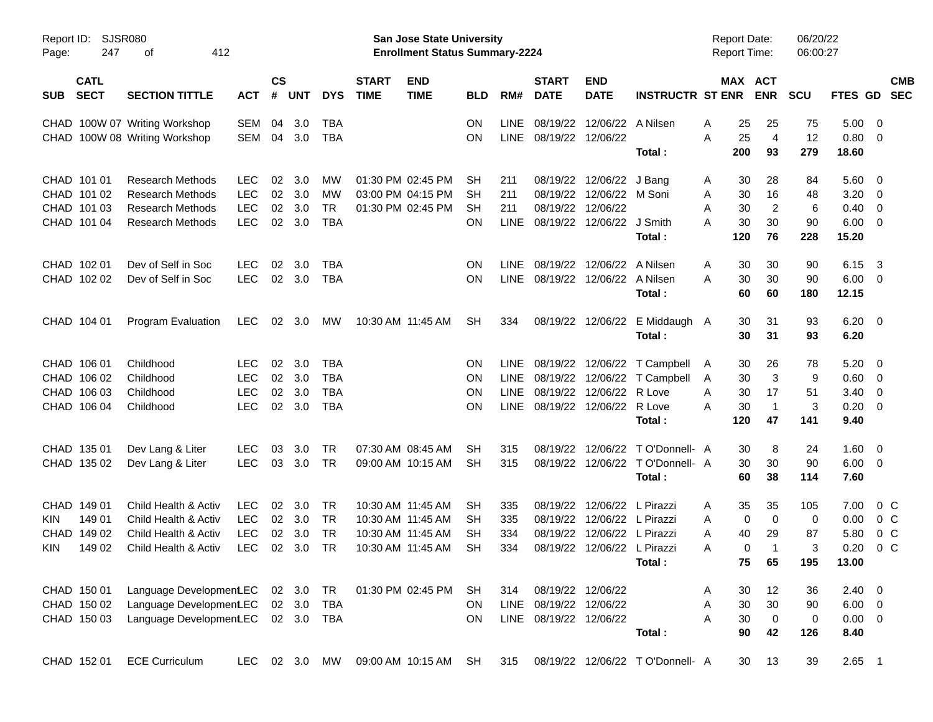| Page:      | SJSR080<br>Report ID:<br>247<br>412<br>οf |                                                                |            |                    |            |                   |                             | San Jose State University<br><b>Enrollment Status Summary-2224</b> |                 |             |                             |                                 |                                   | <b>Report Date:</b><br><b>Report Time:</b> |          |                         | 06/20/22<br>06:00:27 |                |                         |                          |
|------------|-------------------------------------------|----------------------------------------------------------------|------------|--------------------|------------|-------------------|-----------------------------|--------------------------------------------------------------------|-----------------|-------------|-----------------------------|---------------------------------|-----------------------------------|--------------------------------------------|----------|-------------------------|----------------------|----------------|-------------------------|--------------------------|
| <b>SUB</b> | <b>CATL</b><br><b>SECT</b>                | <b>SECTION TITTLE</b>                                          | <b>ACT</b> | $\mathsf{cs}$<br># | <b>UNT</b> | <b>DYS</b>        | <b>START</b><br><b>TIME</b> | <b>END</b><br><b>TIME</b>                                          | <b>BLD</b>      | RM#         | <b>START</b><br><b>DATE</b> | <b>END</b><br><b>DATE</b>       | <b>INSTRUCTR ST ENR</b>           |                                            |          | MAX ACT<br><b>ENR</b>   | <b>SCU</b>           | <b>FTES GD</b> |                         | <b>CMB</b><br><b>SEC</b> |
|            |                                           | CHAD 100W 07 Writing Workshop<br>CHAD 100W 08 Writing Workshop | SEM<br>SEM | 04<br>04           | 3.0<br>3.0 | TBA<br><b>TBA</b> |                             |                                                                    | <b>ON</b><br>ON | <b>LINE</b> | LINE 08/19/22 12/06/22      | 08/19/22 12/06/22               | A Nilsen                          | Α<br>A                                     | 25<br>25 | 25<br>$\overline{4}$    | 75<br>12             | 5.00<br>0.80   | - 0<br>- 0              |                          |
|            |                                           |                                                                |            |                    |            |                   |                             |                                                                    |                 |             |                             |                                 | Total:                            |                                            | 200      | 93                      | 279                  | 18.60          |                         |                          |
|            | CHAD 101 01                               | <b>Research Methods</b>                                        | <b>LEC</b> | 02                 | 3.0        | <b>MW</b>         |                             | 01:30 PM 02:45 PM                                                  | SН              | 211         |                             | 08/19/22 12/06/22               | J Bang                            | A                                          | 30       | 28                      | 84                   | 5.60           | - 0                     |                          |
|            | CHAD 101 02                               | <b>Research Methods</b>                                        | <b>LEC</b> | 02                 | 3.0        | MW                |                             | 03:00 PM 04:15 PM                                                  | <b>SH</b>       | 211         |                             | 08/19/22 12/06/22 M Soni        |                                   | Α                                          | 30       | 16                      | 48                   | 3.20           | $\overline{0}$          |                          |
|            | CHAD 101 03                               | <b>Research Methods</b>                                        | <b>LEC</b> | 02                 | 3.0        | <b>TR</b>         |                             | 01:30 PM 02:45 PM                                                  | <b>SH</b>       | 211         |                             | 08/19/22 12/06/22               |                                   | A                                          | 30       | $\overline{2}$          | 6                    | 0.40           | $\overline{0}$          |                          |
|            | CHAD 101 04                               | <b>Research Methods</b>                                        | <b>LEC</b> | $02\,$             | 3.0        | <b>TBA</b>        |                             |                                                                    | <b>ON</b>       | <b>LINE</b> |                             | 08/19/22 12/06/22 J Smith       |                                   | A                                          | 30       | 30                      | 90                   | 6.00           | $\overline{\mathbf{0}}$ |                          |
|            |                                           |                                                                |            |                    |            |                   |                             |                                                                    |                 |             |                             |                                 | Total:                            |                                            | 120      | 76                      | 228                  | 15.20          |                         |                          |
|            | CHAD 102 01                               | Dev of Self in Soc                                             | <b>LEC</b> | 02                 | 3.0        | TBA               |                             |                                                                    | <b>ON</b>       | <b>LINE</b> |                             | 08/19/22 12/06/22               | A Nilsen                          | Α                                          | 30       | 30                      | 90                   | 6.15           | - 3                     |                          |
|            | CHAD 102 02                               | Dev of Self in Soc                                             | <b>LEC</b> |                    | 02 3.0     | <b>TBA</b>        |                             |                                                                    | <b>ON</b>       |             |                             | LINE 08/19/22 12/06/22 A Nilsen |                                   | A                                          | 30       | 30                      | 90                   | 6.00           | $\overline{0}$          |                          |
|            |                                           |                                                                |            |                    |            |                   |                             |                                                                    |                 |             |                             |                                 | Total:                            |                                            | 60       | 60                      | 180                  | 12.15          |                         |                          |
|            | CHAD 104 01                               | <b>Program Evaluation</b>                                      | LEC.       | 02                 | 3.0        | MW.               |                             | 10:30 AM 11:45 AM                                                  | <b>SH</b>       | 334         |                             | 08/19/22 12/06/22               | E Middaugh A                      |                                            | 30       | 31                      | 93                   | 6.20           | $\overline{\mathbf{0}}$ |                          |
|            |                                           |                                                                |            |                    |            |                   |                             |                                                                    |                 |             |                             |                                 | Total:                            |                                            | 30       | 31                      | 93                   | 6.20           |                         |                          |
|            | CHAD 106 01                               | Childhood                                                      | LEC.       | 02                 | 3.0        | <b>TBA</b>        |                             |                                                                    | <b>ON</b>       |             |                             |                                 | LINE 08/19/22 12/06/22 T Campbell | A                                          | 30       | 26                      | 78                   | 5.20           | - 0                     |                          |
|            | CHAD 106 02                               | Childhood                                                      | <b>LEC</b> | 02                 | 3.0        | <b>TBA</b>        |                             |                                                                    | <b>ON</b>       |             |                             |                                 | LINE 08/19/22 12/06/22 T Campbell | A                                          | 30       | 3                       | 9                    | 0.60           | $\overline{0}$          |                          |
|            | CHAD 106 03                               | Childhood                                                      | <b>LEC</b> | 02                 | 3.0        | <b>TBA</b>        |                             |                                                                    | <b>ON</b>       | <b>LINE</b> |                             | 08/19/22 12/06/22 R Love        |                                   | A                                          | 30       | 17                      | 51                   | 3.40           | $\overline{0}$          |                          |
|            | CHAD 106 04                               | Childhood                                                      | <b>LEC</b> |                    | 02 3.0     | <b>TBA</b>        |                             |                                                                    | <b>ON</b>       |             |                             | LINE 08/19/22 12/06/22 R Love   |                                   | A                                          | 30       | $\overline{\mathbf{1}}$ | 3                    | 0.20           | $\overline{\mathbf{0}}$ |                          |
|            |                                           |                                                                |            |                    |            |                   |                             |                                                                    |                 |             |                             |                                 | Total:                            |                                            | 120      | 47                      | 141                  | 9.40           |                         |                          |
|            | CHAD 135 01                               | Dev Lang & Liter                                               | <b>LEC</b> | 03                 | 3.0        | TR                |                             | 07:30 AM 08:45 AM                                                  | SH              | 315         |                             |                                 | 08/19/22 12/06/22 TO'Donnell- A   |                                            | 30       | 8                       | 24                   | 1.60           | $\overline{\mathbf{0}}$ |                          |
|            | CHAD 135 02                               | Dev Lang & Liter                                               | <b>LEC</b> | 03                 | 3.0        | TR                |                             | 09:00 AM 10:15 AM                                                  | SH              | 315         |                             |                                 | 08/19/22 12/06/22 TO'Donnell- A   |                                            | 30       | 30                      | 90                   | 6.00           | $\overline{\mathbf{0}}$ |                          |
|            |                                           |                                                                |            |                    |            |                   |                             |                                                                    |                 |             |                             |                                 | Total:                            |                                            | 60       | 38                      | 114                  | 7.60           |                         |                          |
|            | CHAD 149 01                               | Child Health & Activ                                           | LEC.       | 02                 | 3.0        | TR                |                             | 10:30 AM 11:45 AM                                                  | SН              | 335         |                             | 08/19/22 12/06/22 L Pirazzi     |                                   | A                                          | 35       | 35                      | 105                  | 7.00           | $0\,C$                  |                          |
| KIN        | 149 01                                    | Child Health & Activ                                           | <b>LEC</b> |                    | 02 3.0     | TR                | 10:30 AM 11:45 AM           |                                                                    | SН              | 335         |                             | 08/19/22 12/06/22 L Pirazzi     |                                   | A                                          | 0        | $\mathbf 0$             | 0                    | 0.00           | 0 C                     |                          |
|            | CHAD 149 02                               | Child Health & Activ                                           | <b>LEC</b> | 02                 | 3.0        | TR                |                             | 10:30 AM 11:45 AM                                                  | SН              | 334         | 08/19/22                    | 12/06/22 L Pirazzi              |                                   | A                                          | 40       | 29                      | 87                   | 5.80           | 0 <sup>C</sup>          |                          |
| KIN        | 149 02                                    | Child Health & Activ                                           | <b>LEC</b> | 02                 | 3.0        | <b>TR</b>         |                             | 10:30 AM 11:45 AM                                                  | SН              | 334         |                             | 08/19/22 12/06/22 L Pirazzi     |                                   | A                                          | 0        | $\overline{1}$          | 3                    | 0.20           | 0 <sup>C</sup>          |                          |
|            |                                           |                                                                |            |                    |            |                   |                             |                                                                    |                 |             |                             |                                 | Total:                            |                                            | 75       | 65                      | 195                  | 13.00          |                         |                          |
|            | CHAD 150 01                               | Language DevelopmentLEC 02 3.0                                 |            |                    |            | TR                |                             | 01:30 PM 02:45 PM                                                  | SH              | 314         | 08/19/22 12/06/22           |                                 |                                   | A                                          | 30       | 12                      | 36                   | $2.40 \ 0$     |                         |                          |
|            | CHAD 150 02                               | Language Development EC                                        |            |                    | 02 3.0     | TBA               |                             |                                                                    | ON              |             | LINE 08/19/22 12/06/22      |                                 |                                   | Α                                          | 30       | $30\,$                  | 90                   | $6.00 \quad 0$ |                         |                          |
|            | CHAD 150 03                               | Language DevelopmentLEC 02 3.0 TBA                             |            |                    |            |                   |                             |                                                                    | <b>ON</b>       |             | LINE 08/19/22 12/06/22      |                                 |                                   | A                                          | 30       | $\mathbf 0$             | 0                    | $0.00 \t 0$    |                         |                          |
|            |                                           |                                                                |            |                    |            |                   |                             |                                                                    |                 |             |                             |                                 | Total:                            |                                            | 90       | 42                      | 126                  | 8.40           |                         |                          |
|            | CHAD 152 01                               | <b>ECE Curriculum</b>                                          | LEC.       |                    |            | 02 3.0 MW         |                             | 09:00 AM 10:15 AM SH                                               |                 | 315         |                             |                                 | 08/19/22 12/06/22 TO'Donnell- A   |                                            | 30       | 13                      | 39                   | $2.65$ 1       |                         |                          |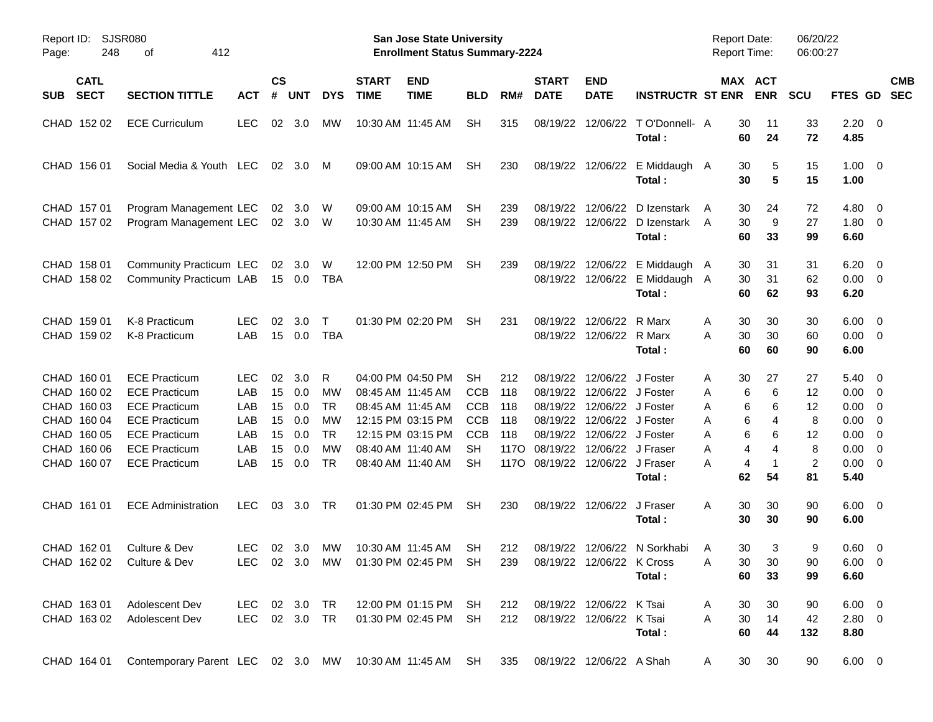| Page:      | SJSR080<br>Report ID:<br>248<br>412<br>οf                                                             |                                                                                                                                                                      |                                                |                                        |                                               |                                                                          |                             | San Jose State University<br><b>Enrollment Status Summary-2224</b>                                                                              |                                                                                      |                                         |                                                                                       |                                                                                                                                                 |                                                                   | <b>Report Date:</b><br><b>Report Time:</b>  |                                                                                | 06/20/22<br>06:00:27                                   |                                                                                                                  |                          |  |
|------------|-------------------------------------------------------------------------------------------------------|----------------------------------------------------------------------------------------------------------------------------------------------------------------------|------------------------------------------------|----------------------------------------|-----------------------------------------------|--------------------------------------------------------------------------|-----------------------------|-------------------------------------------------------------------------------------------------------------------------------------------------|--------------------------------------------------------------------------------------|-----------------------------------------|---------------------------------------------------------------------------------------|-------------------------------------------------------------------------------------------------------------------------------------------------|-------------------------------------------------------------------|---------------------------------------------|--------------------------------------------------------------------------------|--------------------------------------------------------|------------------------------------------------------------------------------------------------------------------|--------------------------|--|
| <b>SUB</b> | <b>CATL</b><br><b>SECT</b>                                                                            | <b>SECTION TITTLE</b>                                                                                                                                                | <b>ACT</b>                                     | $\mathsf{cs}$<br>#                     | <b>UNT</b>                                    | <b>DYS</b>                                                               | <b>START</b><br><b>TIME</b> | <b>END</b><br><b>TIME</b>                                                                                                                       | <b>BLD</b>                                                                           | RM#                                     | <b>START</b><br><b>DATE</b>                                                           | <b>END</b><br><b>DATE</b>                                                                                                                       | <b>INSTRUCTR ST ENR</b>                                           |                                             | MAX ACT<br><b>ENR</b>                                                          | <b>SCU</b>                                             | <b>FTES GD</b>                                                                                                   | <b>CMB</b><br><b>SEC</b> |  |
|            | CHAD 152 02                                                                                           | <b>ECE Curriculum</b>                                                                                                                                                | <b>LEC</b>                                     | 02                                     | 3.0                                           | <b>MW</b>                                                                |                             | 10:30 AM 11:45 AM                                                                                                                               | <b>SH</b>                                                                            | 315                                     | 08/19/22                                                                              | 12/06/22                                                                                                                                        | TO'Donnell- A<br>Total:                                           | 30<br>60                                    | 11<br>24                                                                       | 33<br>72                                               | $2.20 \t 0$<br>4.85                                                                                              |                          |  |
|            | CHAD 156 01                                                                                           | Social Media & Youth LEC                                                                                                                                             |                                                | 02                                     | 3.0                                           | M                                                                        |                             | 09:00 AM 10:15 AM                                                                                                                               | <b>SH</b>                                                                            | 230                                     |                                                                                       |                                                                                                                                                 | 08/19/22 12/06/22 E Middaugh A<br>Total:                          | 30<br>30                                    | 5<br>5                                                                         | 15<br>15                                               | $1.00 \t 0$<br>1.00                                                                                              |                          |  |
|            | CHAD 157 01<br>CHAD 157 02                                                                            | Program Management LEC<br>Program Management LEC                                                                                                                     |                                                | 02                                     | 3.0<br>02 3.0 W                               | W                                                                        |                             | 09:00 AM 10:15 AM<br>10:30 AM 11:45 AM                                                                                                          | SH.<br>SH                                                                            | 239<br>239                              | 08/19/22                                                                              | 12/06/22                                                                                                                                        | D Izenstark<br>08/19/22 12/06/22 D Izenstark<br>Total :           | 30<br>A<br>30<br>A<br>60                    | 24<br>9<br>33                                                                  | 72<br>27<br>99                                         | $4.80\ 0$<br>$1.80 \ 0$<br>6.60                                                                                  |                          |  |
|            | CHAD 158 01<br>CHAD 158 02                                                                            | Community Practicum LEC<br>Community Practicum LAB                                                                                                                   |                                                |                                        | 02 3.0<br>15  0.0                             | W<br>TBA                                                                 |                             | 12:00 PM 12:50 PM                                                                                                                               | <b>SH</b>                                                                            | 239                                     | 08/19/22                                                                              |                                                                                                                                                 | 12/06/22 E Middaugh A<br>08/19/22 12/06/22 E Middaugh A<br>Total: | 30<br>30<br>60                              | 31<br>31<br>62                                                                 | 31<br>62<br>93                                         | $6.20 \quad 0$<br>$0.00 \t 0$<br>6.20                                                                            |                          |  |
|            | CHAD 159 01<br>CHAD 159 02                                                                            | K-8 Practicum<br>K-8 Practicum                                                                                                                                       | <b>LEC</b><br>LAB                              | 02<br>15                               | 3.0<br>0.0                                    | $\mathsf{T}$<br><b>TBA</b>                                               |                             | 01:30 PM 02:20 PM                                                                                                                               | <b>SH</b>                                                                            | 231                                     | 08/19/22                                                                              | 12/06/22<br>08/19/22 12/06/22 R Marx                                                                                                            | R Marx<br>Total:                                                  | 30<br>A<br>30<br>А<br>60                    | 30<br>30<br>60                                                                 | 30<br>60<br>90                                         | $6.00 \quad 0$<br>$0.00 \t 0$<br>6.00                                                                            |                          |  |
|            | CHAD 160 01<br>CHAD 160 02<br>CHAD 160 03<br>CHAD 160 04<br>CHAD 160 05<br>CHAD 160 06<br>CHAD 160 07 | <b>ECE Practicum</b><br><b>ECE Practicum</b><br><b>ECE Practicum</b><br><b>ECE Practicum</b><br><b>ECE Practicum</b><br><b>ECE Practicum</b><br><b>ECE Practicum</b> | LEC.<br>LAB<br>LAB<br>LAB<br>LAB<br>LAB<br>LAB | 02<br>15<br>15<br>15<br>15<br>15<br>15 | 3.0<br>0.0<br>0.0<br>0.0<br>0.0<br>0.0<br>0.0 | R<br>МW<br><b>TR</b><br><b>MW</b><br><b>TR</b><br><b>MW</b><br><b>TR</b> |                             | 04:00 PM 04:50 PM<br>08:45 AM 11:45 AM<br>08:45 AM 11:45 AM<br>12:15 PM 03:15 PM<br>12:15 PM 03:15 PM<br>08:40 AM 11:40 AM<br>08:40 AM 11:40 AM | <b>SH</b><br><b>CCB</b><br><b>CCB</b><br><b>CCB</b><br><b>CCB</b><br>SН<br><b>SH</b> | 212<br>118<br>118<br>118<br>118<br>117O | 08/19/22<br>08/19/22<br>08/19/22<br>08/19/22<br>08/19/22<br>08/19/22<br>1170 08/19/22 | 12/06/22 J Foster<br>12/06/22 J Foster<br>12/06/22 J Foster<br>12/06/22 J Foster<br>12/06/22 J Foster<br>12/06/22 J Fraser<br>12/06/22 J Fraser | Total:                                                            | 30<br>A<br>A<br>Α<br>Α<br>Α<br>Α<br>Α<br>62 | 27<br>6<br>6<br>6<br>6<br>6<br>4<br>6<br>6<br>4<br>4<br>4<br>$\mathbf 1$<br>54 | 27<br>12<br>12<br>8<br>12<br>8<br>$\overline{c}$<br>81 | $5.40 \quad 0$<br>$0.00 \t 0$<br>$0.00 \t 0$<br>$0.00 \t 0$<br>$0.00 \t 0$<br>$0.00 \t 0$<br>$0.00 \t 0$<br>5.40 |                          |  |
|            | CHAD 161 01                                                                                           | <b>ECE Administration</b>                                                                                                                                            | <b>LEC</b>                                     | 03                                     | 3.0                                           | TR                                                                       |                             | 01:30 PM 02:45 PM                                                                                                                               | <b>SH</b>                                                                            | 230                                     |                                                                                       | 08/19/22 12/06/22 J Fraser                                                                                                                      | Total:                                                            | 30<br>A<br>30                               | 30<br>30                                                                       | 90<br>90                                               | $6.00 \quad 0$<br>6.00                                                                                           |                          |  |
|            | CHAD 162 01                                                                                           | Culture & Dev<br>CHAD 162 02 Culture & Dev                                                                                                                           | LEC.                                           |                                        | 02 3.0                                        | <b>MW</b>                                                                |                             | 10:30 AM 11:45 AM<br>LEC 02 3.0 MW 01:30 PM 02:45 PM SH 239 08/19/22 12/06/22 K Cross                                                           | <b>SH</b>                                                                            | 212                                     |                                                                                       |                                                                                                                                                 | 08/19/22 12/06/22 N Sorkhabi<br>Total:                            | 30<br>A<br>Α<br>60                          | 3<br>30<br>30<br>33                                                            | 9<br>90<br>99                                          | $0.60 \quad 0$<br>$6.00 \t 0$<br>6.60                                                                            |                          |  |
|            | CHAD 163 01<br>CHAD 163 02                                                                            | <b>Adolescent Dev</b><br>Adolescent Dev                                                                                                                              | LEC 02 3.0 TR<br>LEC 02 3.0 TR                 |                                        |                                               |                                                                          |                             | 12:00 PM 01:15 PM SH<br>01:30 PM 02:45 PM SH                                                                                                    |                                                                                      | 212<br>212                              |                                                                                       | 08/19/22 12/06/22 K Tsai<br>08/19/22 12/06/22 K Tsai                                                                                            | Total:                                                            | 30<br>A<br>A<br>30<br>60                    | 30<br>14<br>44                                                                 | 90<br>42<br>132                                        | $6.00 \quad 0$<br>$2.80 \ 0$<br>8.80                                                                             |                          |  |
|            | CHAD 164 01                                                                                           | Contemporary Parent LEC 02 3.0 MW                                                                                                                                    |                                                |                                        |                                               |                                                                          |                             | 10:30 AM 11:45 AM SH                                                                                                                            |                                                                                      | 335                                     |                                                                                       | 08/19/22 12/06/22 A Shah                                                                                                                        |                                                                   | 30<br>A                                     | 30                                                                             | 90                                                     | $6.00 \t 0$                                                                                                      |                          |  |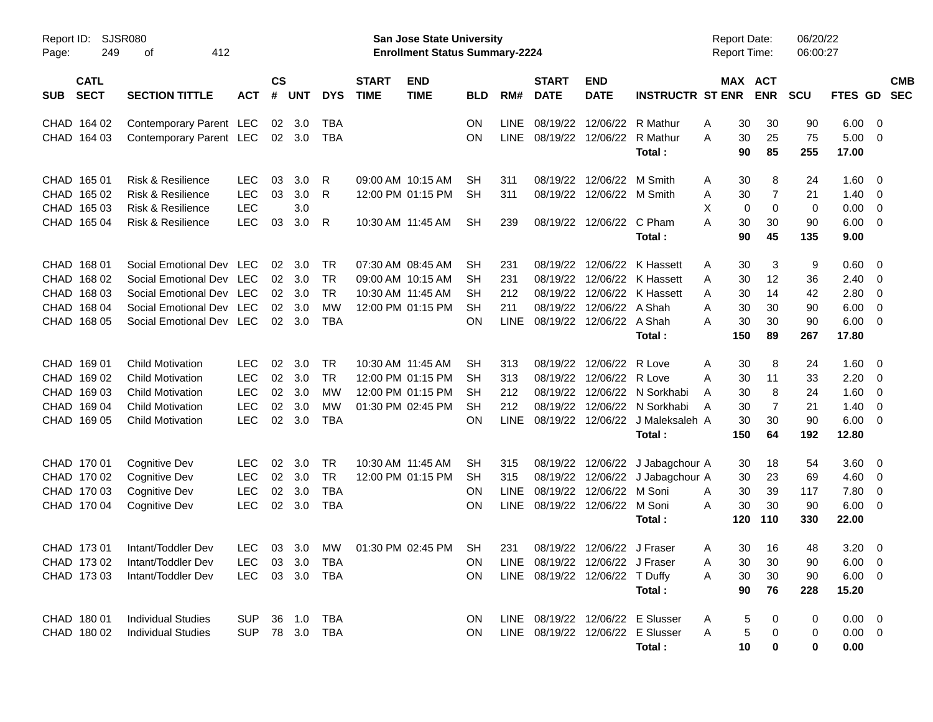| Report ID:<br>Page:                                                     | <b>SJSR080</b><br>249<br>412<br>οf<br><b>CATL</b>                                                                                        |                                                                    |                            |                                                       |                                                         |                             | <b>San Jose State University</b><br><b>Enrollment Status Summary-2224</b>        |                                    |                                          |                                                                   |                                                                              |                                                                                | <b>Report Date:</b><br>Report Time: |                                   |                                                | 06/20/22<br>06:00:27              |                                                      |                                                               |                          |
|-------------------------------------------------------------------------|------------------------------------------------------------------------------------------------------------------------------------------|--------------------------------------------------------------------|----------------------------|-------------------------------------------------------|---------------------------------------------------------|-----------------------------|----------------------------------------------------------------------------------|------------------------------------|------------------------------------------|-------------------------------------------------------------------|------------------------------------------------------------------------------|--------------------------------------------------------------------------------|-------------------------------------|-----------------------------------|------------------------------------------------|-----------------------------------|------------------------------------------------------|---------------------------------------------------------------|--------------------------|
| <b>SECT</b><br><b>SUB</b>                                               | <b>SECTION TITTLE</b>                                                                                                                    | <b>ACT</b>                                                         | $\mathsf{cs}$<br>#         | <b>UNT</b>                                            | <b>DYS</b>                                              | <b>START</b><br><b>TIME</b> | <b>END</b><br><b>TIME</b>                                                        | <b>BLD</b>                         | RM#                                      | <b>START</b><br><b>DATE</b>                                       | <b>END</b><br><b>DATE</b>                                                    | <b>INSTRUCTR ST ENR</b>                                                        |                                     |                                   | MAX ACT<br><b>ENR</b>                          | <b>SCU</b>                        | FTES GD                                              |                                                               | <b>CMB</b><br><b>SEC</b> |
| CHAD 164 02<br>CHAD 164 03                                              | Contemporary Parent LEC<br>Contemporary Parent LEC                                                                                       |                                                                    |                            | 02 3.0<br>$02 \quad 3.0$                              | TBA<br>TBA                                              |                             |                                                                                  | ΟN<br>ΟN                           | <b>LINE</b><br><b>LINE</b>               | 08/19/22<br>08/19/22                                              | 12/06/22<br>12/06/22                                                         | R Mathur<br>R Mathur<br>Total:                                                 | Α<br>A                              | 30<br>30<br>90                    | 30<br>25<br>85                                 | 90<br>75<br>255                   | 6.00<br>5.00<br>17.00                                | - 0<br>- 0                                                    |                          |
| CHAD 165 01<br>CHAD 165 02<br>CHAD 165 03<br>CHAD 165 04                | <b>Risk &amp; Resilience</b><br><b>Risk &amp; Resilience</b><br>Risk & Resilience<br><b>Risk &amp; Resilience</b>                        | <b>LEC</b><br><b>LEC</b><br><b>LEC</b><br><b>LEC</b>               | 03<br>03<br>03             | 3.0<br>3.0<br>3.0<br>3.0                              | R<br>R<br>R                                             |                             | 09:00 AM 10:15 AM<br>12:00 PM 01:15 PM<br>10:30 AM 11:45 AM                      | SН<br><b>SH</b><br><b>SH</b>       | 311<br>311<br>239                        | 08/19/22                                                          | 12/06/22<br>08/19/22 12/06/22 M Smith<br>08/19/22 12/06/22                   | M Smith<br>C Pham<br>Total:                                                    | Α<br>Α<br>X<br>Α                    | 30<br>30<br>0<br>30<br>90         | 8<br>$\overline{7}$<br>$\mathbf 0$<br>30<br>45 | 24<br>21<br>0<br>90<br>135        | 1.60<br>1.40<br>0.00<br>6.00<br>9.00                 | $\overline{\mathbf{0}}$<br>$\overline{0}$<br>0<br>$\mathbf 0$ |                          |
| CHAD 168 01<br>CHAD 168 02<br>CHAD 168 03<br>CHAD 168 04<br>CHAD 168 05 | Social Emotional Dev LEC<br>Social Emotional Dev LEC<br>Social Emotional Dev LEC<br>Social Emotional Dev LEC<br>Social Emotional Dev LEC |                                                                    | 02<br>02<br>02             | $02 \quad 3.0$<br>3.0<br>3.0<br>3.0<br>$02 \quad 3.0$ | TR<br><b>TR</b><br><b>TR</b><br><b>MW</b><br><b>TBA</b> |                             | 07:30 AM 08:45 AM<br>09:00 AM 10:15 AM<br>10:30 AM 11:45 AM<br>12:00 PM 01:15 PM | SН<br>SН<br>SН<br>SН<br>ON         | 231<br>231<br>212<br>211<br><b>LINE</b>  | 08/19/22<br>08/19/22<br>08/19/22                                  | 08/19/22 12/06/22<br>12/06/22<br>12/06/22 A Shah<br>08/19/22 12/06/22 A Shah | K Hassett<br>K Hassett<br>12/06/22 K Hassett<br>Total:                         | Α<br>A<br>A<br>A<br>A               | 30<br>30<br>30<br>30<br>30<br>150 | 3<br>12<br>14<br>30<br>30<br>89                | 9<br>36<br>42<br>90<br>90<br>267  | 0.60<br>2.40<br>2.80<br>6.00<br>6.00<br>17.80        | $\overline{\mathbf{0}}$<br>0<br>0<br>0<br>$\mathbf 0$         |                          |
| CHAD 169 01<br>CHAD 169 02<br>CHAD 169 03<br>CHAD 169 04<br>CHAD 169 05 | <b>Child Motivation</b><br><b>Child Motivation</b><br><b>Child Motivation</b><br><b>Child Motivation</b><br><b>Child Motivation</b>      | <b>LEC</b><br><b>LEC</b><br><b>LEC</b><br><b>LEC</b><br><b>LEC</b> | 02<br>02<br>02<br>02<br>02 | 3.0<br>3.0<br>3.0<br>3.0<br>3.0                       | <b>TR</b><br><b>TR</b><br>МW<br>МW<br><b>TBA</b>        |                             | 10:30 AM 11:45 AM<br>12:00 PM 01:15 PM<br>12:00 PM 01:15 PM<br>01:30 PM 02:45 PM | SН<br>SН<br>SН<br><b>SH</b><br>ON  | 313<br>313<br>212<br>212<br><b>LINE</b>  | 08/19/22<br>08/19/22<br>08/19/22                                  | 08/19/22 12/06/22<br>12/06/22<br>12/06/22<br>12/06/22<br>08/19/22 12/06/22   | R Love<br>R Love<br>N Sorkhabi<br>N Sorkhabi<br>J Maleksaleh A<br>Total:       | Α<br>A<br>A<br>Α                    | 30<br>30<br>30<br>30<br>30<br>150 | 8<br>11<br>8<br>$\overline{7}$<br>30<br>64     | 24<br>33<br>24<br>21<br>90<br>192 | 1.60<br>2.20<br>1.60<br>1.40<br>6.00<br>12.80        | $\overline{\mathbf{0}}$<br>0<br>0<br>0<br>$\overline{0}$      |                          |
| CHAD 170 01<br>CHAD 170 02<br>CHAD 170 03<br>CHAD 170 04                | <b>Cognitive Dev</b><br>Cognitive Dev<br><b>Cognitive Dev</b><br><b>Cognitive Dev</b>                                                    | LEC<br><b>LEC</b><br><b>LEC</b><br><b>LEC</b>                      | 02<br>02<br>02<br>02       | 3.0<br>3.0<br>3.0<br>3.0                              | TR<br><b>TR</b><br><b>TBA</b><br><b>TBA</b>             |                             | 10:30 AM 11:45 AM<br>12:00 PM 01:15 PM                                           | <b>SH</b><br><b>SH</b><br>ΟN<br>ON | 315<br>315<br><b>LINE</b><br><b>LINE</b> | 08/19/22<br>08/19/22                                              | 08/19/22 12/06/22<br>12/06/22<br>12/06/22<br>08/19/22 12/06/22               | J Jabagchour A<br>J Jabagchour A<br>M Soni<br>M Soni<br>Total:                 | A<br>A                              | 30<br>30<br>30<br>30<br>120       | 18<br>23<br>39<br>30<br>110                    | 54<br>69<br>117<br>90<br>330      | 3.60<br>4.60<br>7.80<br>6.00<br>22.00                | - 0<br>0<br>0<br>$\overline{\mathbf{0}}$                      |                          |
| CHAD 173 01<br>CHAD 173 02<br>CHAD 173 03                               | Intant/Toddler Dev<br>Intant/Toddler Dev<br>Intant/Toddler Dev                                                                           | <b>LEC</b><br><b>LEC</b><br><b>LEC</b>                             |                            | 03 3.0<br>03 3.0                                      | МW<br>TBA<br>03 3.0 TBA                                 |                             | 01:30 PM 02:45 PM                                                                | SH<br>ΟN<br><b>ON</b>              | 231                                      | LINE 08/19/22 12/06/22 J Fraser<br>LINE 08/19/22 12/06/22 T Duffy | 08/19/22 12/06/22 J Fraser                                                   | Total:                                                                         | A<br>A<br>Α                         | 30<br>30<br>30<br>90              | 16<br>30<br>30<br>76                           | 48<br>90<br>90<br>228             | $3.20 \ 0$<br>$6.00 \quad 0$<br>$6.00 \t 0$<br>15.20 |                                                               |                          |
| CHAD 180 01<br>CHAD 180 02                                              | <b>Individual Studies</b><br><b>Individual Studies</b>                                                                                   | <b>SUP</b><br><b>SUP</b>                                           |                            |                                                       | 36 1.0 TBA<br>78 3.0 TBA                                |                             |                                                                                  | ON<br>ON                           |                                          |                                                                   |                                                                              | LINE 08/19/22 12/06/22 E Slusser<br>LINE 08/19/22 12/06/22 E Slusser<br>Total: | Α<br>Α                              | 5<br>5<br>10                      | 0                                              | 0<br>0<br>0                       | $0.00 \t 0$<br>$0.00 \ 0$<br>0.00                    |                                                               |                          |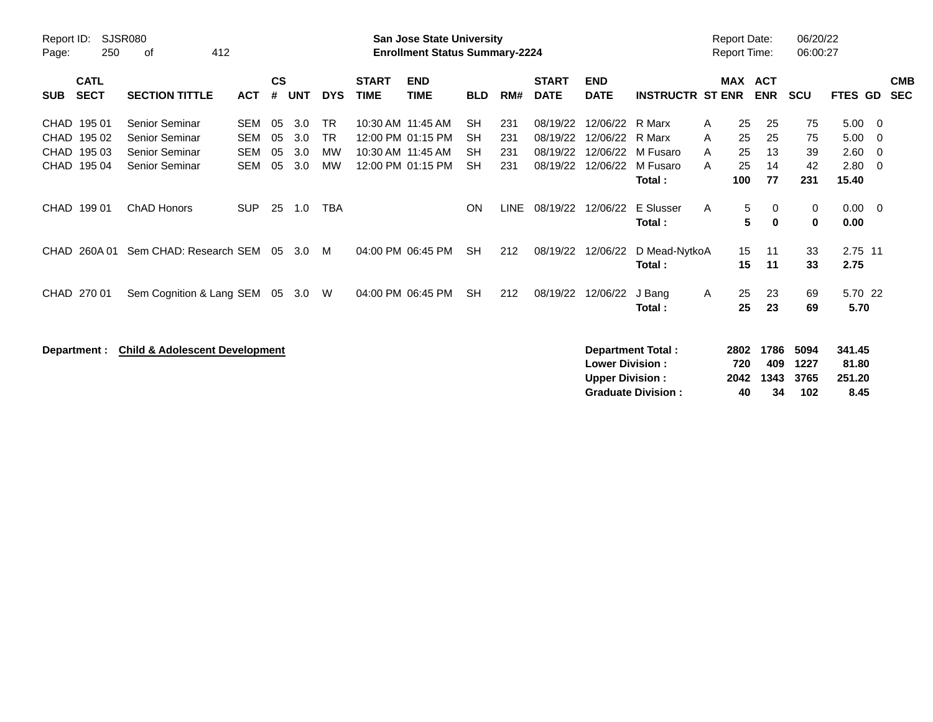| Report ID:<br>250<br>Page:                                     | <b>SJSR080</b><br>412<br>оf                                                 |                                               |                      |                          |                                           |                             | <b>San Jose State University</b><br><b>Enrollment Status Summary-2224</b>        |                                                  |                          |                                              |                                              |                                                    |                  | <b>Report Date:</b><br><b>Report Time:</b> |                            | 06/20/22<br>06:00:27        |                                       |                          |
|----------------------------------------------------------------|-----------------------------------------------------------------------------|-----------------------------------------------|----------------------|--------------------------|-------------------------------------------|-----------------------------|----------------------------------------------------------------------------------|--------------------------------------------------|--------------------------|----------------------------------------------|----------------------------------------------|----------------------------------------------------|------------------|--------------------------------------------|----------------------------|-----------------------------|---------------------------------------|--------------------------|
| <b>CATL</b><br><b>SECT</b><br><b>SUB</b>                       | <b>SECTION TITTLE</b>                                                       | <b>ACT</b>                                    | $\mathsf{cs}$<br>#   | <b>UNT</b>               | <b>DYS</b>                                | <b>START</b><br><b>TIME</b> | <b>END</b><br><b>TIME</b>                                                        | <b>BLD</b>                                       | RM#                      | <b>START</b><br><b>DATE</b>                  | <b>END</b><br><b>DATE</b>                    | <b>INSTRUCTR ST ENR</b>                            |                  |                                            | MAX ACT<br><b>ENR</b>      | <b>SCU</b>                  | <b>FTES GD</b>                        | <b>CMB</b><br><b>SEC</b> |
| CHAD 195 01<br>195 02<br>CHAD<br>CHAD 195 03<br>CHAD<br>195 04 | Senior Seminar<br>Senior Seminar<br>Senior Seminar<br><b>Senior Seminar</b> | <b>SEM</b><br><b>SEM</b><br><b>SEM</b><br>SEM | 05<br>05<br>05<br>05 | 3.0<br>3.0<br>3.0<br>3.0 | <b>TR</b><br><b>TR</b><br>MW<br><b>MW</b> |                             | 10:30 AM 11:45 AM<br>12:00 PM 01:15 PM<br>10:30 AM 11:45 AM<br>12:00 PM 01:15 PM | <b>SH</b><br><b>SH</b><br><b>SH</b><br><b>SH</b> | 231<br>231<br>231<br>231 | 08/19/22<br>08/19/22<br>08/19/22<br>08/19/22 | 12/06/22<br>12/06/22<br>12/06/22<br>12/06/22 | R Marx<br>R Marx<br>M Fusaro<br>M Fusaro<br>Total: | A<br>A<br>A<br>A | 25<br>25<br>25<br>25<br>100                | 25<br>25<br>13<br>14<br>77 | 75<br>75<br>39<br>42<br>231 | 5.00<br>5.00<br>2.60<br>2.80<br>15.40 | 0<br>0<br>0<br>0         |
| CHAD 199 01                                                    | <b>ChAD Honors</b>                                                          | <b>SUP</b>                                    | 25                   | 1.0                      | <b>TBA</b>                                |                             |                                                                                  | <b>ON</b>                                        | <b>LINE</b>              | 08/19/22                                     | 12/06/22                                     | E Slusser<br>Total:                                | A                | 5<br>5                                     | 0<br>$\bf{0}$              | 0<br>0                      | 0.00<br>0.00                          | - 0                      |
| 260A01<br>CHAD.                                                | Sem CHAD: Research SEM                                                      |                                               | 05                   | 3.0                      | M                                         |                             | 04:00 PM 06:45 PM                                                                | <b>SH</b>                                        | 212                      | 08/19/22                                     | 12/06/22                                     | D Mead-NytkoA<br>Total:                            |                  | 15<br>15                                   | 11<br>11                   | 33<br>33                    | 2.75 11<br>2.75                       |                          |
| CHAD 270 01                                                    | Sem Cognition & Lang SEM                                                    |                                               | 05                   | 3.0                      | W                                         |                             | 04:00 PM 06:45 PM                                                                | <b>SH</b>                                        | 212                      | 08/19/22                                     | 12/06/22                                     | J Bang<br>Total:                                   | A                | 25<br>25                                   | 23<br>23                   | 69<br>69                    | 5.70 22<br>5.70                       |                          |
| Department :                                                   | <b>Child &amp; Adolescent Development</b>                                   |                                               |                      |                          |                                           |                             |                                                                                  |                                                  |                          |                                              | <b>Lower Division:</b>                       | Department Total:                                  |                  | 2802<br>720                                | 1786<br>409                | 5094<br>1227                | 341.45<br>81.80                       |                          |

**Upper Division : 2042 1343 3765 251.20**

**Graduate Division : 40**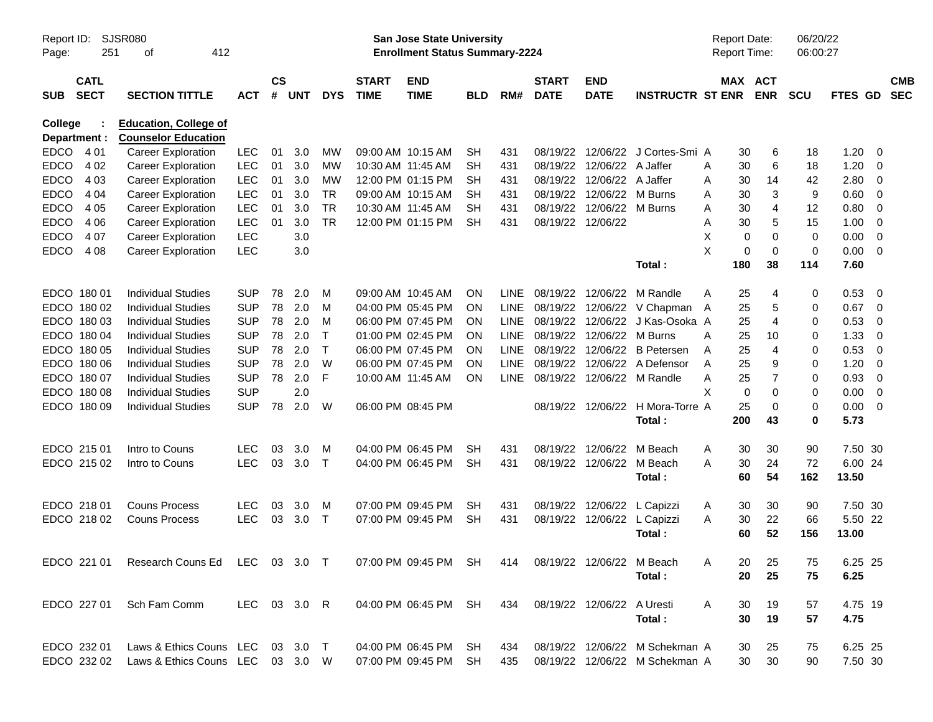| Report ID:<br>Page:     | 251                        | SJSR080<br>412<br>οf                                                                          |              |                    |            |            |                             | San Jose State University<br><b>Enrollment Status Summary-2224</b> |            |             |                             |                            |                                  | Report Date:<br>Report Time: |     |                       | 06/20/22<br>06:00:27 |                |                |                          |
|-------------------------|----------------------------|-----------------------------------------------------------------------------------------------|--------------|--------------------|------------|------------|-----------------------------|--------------------------------------------------------------------|------------|-------------|-----------------------------|----------------------------|----------------------------------|------------------------------|-----|-----------------------|----------------------|----------------|----------------|--------------------------|
| <b>SUB</b>              | <b>CATL</b><br><b>SECT</b> | <b>SECTION TITTLE</b>                                                                         | <b>ACT</b>   | $\mathsf{cs}$<br># | <b>UNT</b> | <b>DYS</b> | <b>START</b><br><b>TIME</b> | <b>END</b><br><b>TIME</b>                                          | <b>BLD</b> | RM#         | <b>START</b><br><b>DATE</b> | <b>END</b><br><b>DATE</b>  | <b>INSTRUCTR ST ENR</b>          |                              |     | MAX ACT<br><b>ENR</b> | <b>SCU</b>           | <b>FTES GD</b> |                | <b>CMB</b><br><b>SEC</b> |
| College<br>Department : |                            | <b>Education, College of</b><br><b>Counselor Education</b>                                    |              |                    |            |            |                             |                                                                    |            |             |                             |                            |                                  |                              |     |                       |                      |                |                |                          |
| <b>EDCO</b>             | 4 0 1                      | <b>Career Exploration</b>                                                                     | <b>LEC</b>   | 01                 | 3.0        | MW         |                             | 09:00 AM 10:15 AM                                                  | <b>SH</b>  | 431         |                             | 08/19/22 12/06/22          | J Cortes-Smi A                   |                              | 30  | 6                     | 18                   | 1.20           | - 0            |                          |
| <b>EDCO</b>             | 4 0 2                      | <b>Career Exploration</b>                                                                     | <b>LEC</b>   | 01                 | 3.0        | MW         |                             | 10:30 AM 11:45 AM                                                  | SH         | 431         |                             | 08/19/22 12/06/22          | A Jaffer                         | Α                            | 30  | 6                     | 18                   | 1.20           | 0              |                          |
| <b>EDCO</b>             | 4 0 3                      | <b>Career Exploration</b>                                                                     | <b>LEC</b>   | 01                 | 3.0        | MW         |                             | 12:00 PM 01:15 PM                                                  | SН         | 431         |                             | 08/19/22 12/06/22          | A Jaffer                         | Α                            | 30  | 14                    | 42                   | 2.80           | 0              |                          |
| <b>EDCO</b>             | 4 0 4                      | <b>Career Exploration</b>                                                                     | <b>LEC</b>   | 01                 | 3.0        | <b>TR</b>  |                             | 09:00 AM 10:15 AM                                                  | <b>SH</b>  | 431         |                             | 08/19/22 12/06/22          | M Burns                          | Α                            | 30  | 3                     | 9                    | 0.60           | $\overline{0}$ |                          |
| <b>EDCO</b>             | 4 0 5                      | <b>Career Exploration</b>                                                                     | <b>LEC</b>   | 01                 | 3.0        | <b>TR</b>  | 10:30 AM 11:45 AM           |                                                                    | SН         | 431         |                             | 08/19/22 12/06/22          | M Burns                          | Α                            | 30  | 4                     | 12                   | 0.80           | 0              |                          |
| <b>EDCO</b>             | 4 0 6                      | <b>Career Exploration</b>                                                                     | <b>LEC</b>   | 01                 | 3.0        | <b>TR</b>  |                             | 12:00 PM 01:15 PM                                                  | <b>SH</b>  | 431         | 08/19/22 12/06/22           |                            |                                  | Α                            | 30  | 5                     | 15                   | 1.00           | 0              |                          |
| <b>EDCO</b>             | 4 0 7                      | <b>Career Exploration</b>                                                                     | <b>LEC</b>   |                    | 3.0        |            |                             |                                                                    |            |             |                             |                            |                                  | X                            | 0   | $\mathbf 0$           | $\mathbf 0$          | 0.00           | $\overline{0}$ |                          |
| <b>EDCO</b>             | 4 0 8                      | <b>Career Exploration</b>                                                                     | <b>LEC</b>   |                    | 3.0        |            |                             |                                                                    |            |             |                             |                            |                                  | X                            | 0   | $\mathbf 0$           | $\mathbf 0$          | 0.00           | $\overline{0}$ |                          |
|                         |                            |                                                                                               |              |                    |            |            |                             |                                                                    |            |             |                             |                            | Total:                           |                              | 180 | 38                    | 114                  | 7.60           |                |                          |
|                         | EDCO 180 01                | <b>Individual Studies</b>                                                                     | <b>SUP</b>   | 78                 | 2.0        | M          |                             | 09:00 AM 10:45 AM                                                  | <b>ON</b>  | <b>LINE</b> |                             | 08/19/22 12/06/22          | M Randle                         | A                            | 25  | 4                     | 0                    | 0.53           | - 0            |                          |
|                         | EDCO 180 02                | <b>Individual Studies</b>                                                                     | <b>SUP</b>   | 78                 | 2.0        | M          |                             | 04:00 PM 05:45 PM                                                  | <b>ON</b>  | <b>LINE</b> |                             |                            | 08/19/22 12/06/22 V Chapman      | A                            | 25  | 5                     | 0                    | 0.67           | 0              |                          |
|                         | EDCO 180 03                | <b>Individual Studies</b>                                                                     | <b>SUP</b>   | 78                 | 2.0        | M          |                             | 06:00 PM 07:45 PM                                                  | <b>ON</b>  | <b>LINE</b> |                             | 08/19/22 12/06/22          | J Kas-Osoka A                    |                              | 25  | $\overline{4}$        | 0                    | 0.53           | 0              |                          |
|                         | EDCO 180 04                | <b>Individual Studies</b>                                                                     | <b>SUP</b>   | 78                 | 2.0        | Τ          |                             | 01:00 PM 02:45 PM                                                  | <b>ON</b>  | <b>LINE</b> |                             | 08/19/22 12/06/22          | M Burns                          | A                            | 25  | 10                    | 0                    | 1.33           | 0              |                          |
|                         | EDCO 180 05                | <b>Individual Studies</b>                                                                     | <b>SUP</b>   | 78                 | 2.0        | Τ          |                             | 06:00 PM 07:45 PM                                                  | <b>ON</b>  | <b>LINE</b> |                             | 08/19/22 12/06/22          | <b>B</b> Petersen                | Α                            | 25  | $\overline{4}$        | 0                    | 0.53           | 0              |                          |
|                         | EDCO 180 06                | <b>Individual Studies</b>                                                                     | <b>SUP</b>   | 78                 | 2.0        | W          |                             | 06:00 PM 07:45 PM                                                  | <b>ON</b>  | <b>LINE</b> |                             |                            | 08/19/22 12/06/22 A Defensor     | Α                            | 25  | 9                     | 0                    | 1.20           | 0              |                          |
|                         | EDCO 180 07                | <b>Individual Studies</b>                                                                     | <b>SUP</b>   | 78                 | 2.0        | F          | 10:00 AM 11:45 AM           |                                                                    | <b>ON</b>  | <b>LINE</b> |                             |                            | 08/19/22 12/06/22 M Randle       | Α                            | 25  | $\overline{7}$        | 0                    | 0.93           | $\overline{0}$ |                          |
|                         | EDCO 180 08                | <b>Individual Studies</b>                                                                     | <b>SUP</b>   |                    | 2.0        |            |                             |                                                                    |            |             |                             |                            |                                  | X                            | 0   | 0                     | 0                    | 0.00           | 0              |                          |
|                         | EDCO 180 09                | <b>Individual Studies</b>                                                                     | <b>SUP</b>   | 78                 | 2.0        | W          |                             | 06:00 PM 08:45 PM                                                  |            |             |                             |                            | 08/19/22 12/06/22 H Mora-Torre A |                              | 25  | $\mathbf 0$           | 0                    | 0.00           | $\overline{0}$ |                          |
|                         |                            |                                                                                               |              |                    |            |            |                             |                                                                    |            |             |                             |                            | Total:                           |                              | 200 | 43                    | 0                    | 5.73           |                |                          |
|                         | EDCO 215 01                | Intro to Couns                                                                                | <b>LEC</b>   | 03                 | 3.0        | M          |                             | 04:00 PM 06:45 PM                                                  | SН         | 431         |                             | 08/19/22 12/06/22          | M Beach                          | A                            | 30  | 30                    | 90                   | 7.50 30        |                |                          |
|                         | EDCO 215 02                | Intro to Couns                                                                                | <b>LEC</b>   | 03                 | 3.0        | $\top$     |                             | 04:00 PM 06:45 PM                                                  | SH         | 431         |                             | 08/19/22 12/06/22          | M Beach                          | A                            | 30  | 24                    | 72                   | 6.00 24        |                |                          |
|                         |                            |                                                                                               |              |                    |            |            |                             |                                                                    |            |             |                             |                            | Total:                           |                              | 60  | 54                    | 162                  | 13.50          |                |                          |
|                         | EDCO 218 01                | <b>Couns Process</b>                                                                          | <b>LEC</b>   | 03                 | 3.0        | M          |                             | 07:00 PM 09:45 PM                                                  | SН         | 431         |                             | 08/19/22 12/06/22          | L Capizzi                        | A                            | 30  | 30                    | 90                   | 7.50 30        |                |                          |
|                         | EDCO 218 02                | <b>Couns Process</b>                                                                          | <b>LEC</b>   | 03                 | 3.0        | $\top$     |                             | 07:00 PM 09:45 PM                                                  | <b>SH</b>  | 431         |                             | 08/19/22 12/06/22          | L Capizzi                        | Α                            | 30  | 22                    | 66                   | 5.50 22        |                |                          |
|                         |                            |                                                                                               |              |                    |            |            |                             |                                                                    |            |             |                             |                            | Total:                           |                              | 60  | 52                    | 156                  | 13.00          |                |                          |
|                         |                            | EDCO 221 01 Research Couns Ed LEC 03 3.0 T 07:00 PM 09:45 PM SH 414 08/19/22 12/06/22 M Beach |              |                    |            |            |                             |                                                                    |            |             |                             |                            |                                  | A                            | 20  | 25                    | 75                   | 6.25 25        |                |                          |
|                         |                            |                                                                                               |              |                    |            |            |                             |                                                                    |            |             |                             |                            | Total:                           |                              | 20  | 25                    | 75                   | 6.25           |                |                          |
|                         | EDCO 227 01                | Sch Fam Comm                                                                                  | LEC 03 3.0 R |                    |            |            |                             | 04:00 PM 06:45 PM SH                                               |            | 434         |                             | 08/19/22 12/06/22 A Uresti |                                  | A                            | 30  | 19                    | 57                   | 4.75 19        |                |                          |
|                         |                            |                                                                                               |              |                    |            |            |                             |                                                                    |            |             |                             |                            | Total:                           |                              | 30  | 19                    | 57                   | 4.75           |                |                          |
|                         |                            |                                                                                               |              |                    |            |            |                             |                                                                    |            |             |                             |                            |                                  |                              |     |                       |                      |                |                |                          |
|                         | EDCO 232 01                | Laws & Ethics Couns LEC 03 3.0 T                                                              |              |                    |            |            |                             | 04:00 PM 06:45 PM SH                                               |            | 434         |                             |                            | 08/19/22 12/06/22 M Schekman A   |                              | 30  | 25                    | 75                   | 6.25 25        |                |                          |
|                         | EDCO 232 02                | Laws & Ethics Couns LEC 03 3.0 W                                                              |              |                    |            |            |                             | 07:00 PM 09:45 PM SH                                               |            | 435         |                             |                            | 08/19/22 12/06/22 M Schekman A   |                              | 30  | 30                    | 90                   | 7.50 30        |                |                          |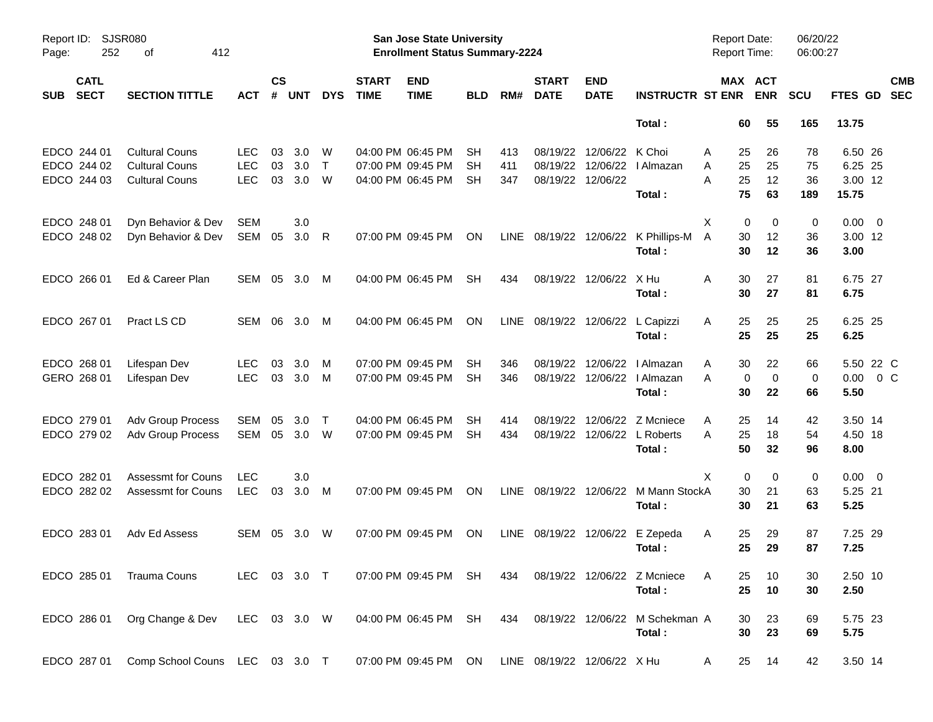| Report ID:<br>Page: | 252                        | SJSR080<br>412<br>οf           |              |                |            |              |                             | San Jose State University<br><b>Enrollment Status Summary-2224</b> |            |             |                             |                           |                             | Report Date:<br>Report Time: |                       | 06/20/22<br>06:00:27 |                  |                          |
|---------------------|----------------------------|--------------------------------|--------------|----------------|------------|--------------|-----------------------------|--------------------------------------------------------------------|------------|-------------|-----------------------------|---------------------------|-----------------------------|------------------------------|-----------------------|----------------------|------------------|--------------------------|
| <b>SUB</b>          | <b>CATL</b><br><b>SECT</b> | <b>SECTION TITTLE</b>          | ACT          | <b>CS</b><br># | <b>UNT</b> | <b>DYS</b>   | <b>START</b><br><b>TIME</b> | <b>END</b><br><b>TIME</b>                                          | <b>BLD</b> | RM#         | <b>START</b><br><b>DATE</b> | <b>END</b><br><b>DATE</b> | <b>INSTRUCTR ST ENR</b>     |                              | MAX ACT<br><b>ENR</b> | <b>SCU</b>           | <b>FTES GD</b>   | <b>CMB</b><br><b>SEC</b> |
|                     |                            |                                |              |                |            |              |                             |                                                                    |            |             |                             |                           | Total:                      | 60                           | 55                    | 165                  | 13.75            |                          |
|                     | EDCO 244 01                | <b>Cultural Couns</b>          | <b>LEC</b>   | 03             | 3.0        | W            |                             | 04:00 PM 06:45 PM                                                  | SН         | 413         | 08/19/22                    | 12/06/22                  | K Choi                      | 25<br>A                      | 26                    | 78                   | 6.50 26          |                          |
|                     | EDCO 244 02                | <b>Cultural Couns</b>          | <b>LEC</b>   | 03             | 3.0        | $\mathsf{T}$ |                             | 07:00 PM 09:45 PM                                                  | SН         | 411         | 08/19/22                    | 12/06/22                  | I Almazan                   | 25<br>Α                      | 25                    | 75                   | 6.25 25          |                          |
|                     | EDCO 244 03                | <b>Cultural Couns</b>          | <b>LEC</b>   | 03             | 3.0        | W            |                             | 04:00 PM 06:45 PM                                                  | <b>SH</b>  | 347         |                             | 08/19/22 12/06/22         | Total:                      | A<br>25<br>75                | 12<br>63              | 36<br>189            | 3.00 12<br>15.75 |                          |
|                     | EDCO 248 01                | Dyn Behavior & Dev             | <b>SEM</b>   |                | 3.0        |              |                             |                                                                    |            |             |                             |                           |                             | Χ<br>0                       | 0                     | 0                    | 0.00             | - 0                      |
|                     | EDCO 248 02                | Dyn Behavior & Dev             | SEM          | 05             | 3.0        | R            |                             | 07:00 PM 09:45 PM                                                  | <b>ON</b>  | <b>LINE</b> |                             | 08/19/22 12/06/22         | K Phillips-M                | 30<br>A                      | 12                    | 36                   | 3.00 12          |                          |
|                     |                            |                                |              |                |            |              |                             |                                                                    |            |             |                             |                           | Total:                      | 30                           | 12                    | 36                   | 3.00             |                          |
|                     | EDCO 266 01                | Ed & Career Plan               | SEM          | 05             | 3.0        | M            |                             | 04:00 PM 06:45 PM                                                  | <b>SH</b>  | 434         |                             | 08/19/22 12/06/22         | X Hu                        | A<br>30                      | 27                    | 81                   | 6.75 27          |                          |
|                     |                            |                                |              |                |            |              |                             |                                                                    |            |             |                             |                           | Total:                      | 30                           | 27                    | 81                   | 6.75             |                          |
|                     | EDCO 267 01                | Pract LS CD                    | <b>SEM</b>   | 06             | 3.0        | M            |                             | 04:00 PM 06:45 PM                                                  | <b>ON</b>  | <b>LINE</b> |                             | 08/19/22 12/06/22         | L Capizzi                   | Α<br>25                      | 25                    | 25                   | 6.25 25          |                          |
|                     |                            |                                |              |                |            |              |                             |                                                                    |            |             |                             |                           | Total:                      | 25                           | 25                    | 25                   | 6.25             |                          |
|                     | EDCO 268 01                | Lifespan Dev                   | <b>LEC</b>   | 03             | 3.0        | M            |                             | 07:00 PM 09:45 PM                                                  | SН         | 346         | 08/19/22                    | 12/06/22                  | I Almazan                   | 30<br>A                      | 22                    | 66                   |                  | 5.50 22 C                |
|                     | GERO 268 01                | Lifespan Dev                   | <b>LEC</b>   | 03             | 3.0        | M            |                             | 07:00 PM 09:45 PM                                                  | <b>SH</b>  | 346         |                             | 08/19/22 12/06/22         | I Almazan                   | A                            | 0<br>$\mathbf 0$      | 0                    | 0.00             | 0 <sup>o</sup>           |
|                     |                            |                                |              |                |            |              |                             |                                                                    |            |             |                             |                           | Total:                      | 30                           | 22                    | 66                   | 5.50             |                          |
|                     | EDCO 279 01                | <b>Adv Group Process</b>       | <b>SEM</b>   | 05             | 3.0        | T            |                             | 04:00 PM 06:45 PM                                                  | SН         | 414         | 08/19/22                    | 12/06/22                  | Z Mcniece                   | 25<br>A                      | 14                    | 42                   | 3.50 14          |                          |
|                     | EDCO 279 02                | Adv Group Process              | <b>SEM</b>   | 05             | 3.0        | W            |                             | 07:00 PM 09:45 PM                                                  | <b>SH</b>  | 434         | 08/19/22                    | 12/06/22                  | L Roberts                   | A<br>25                      | 18                    | 54                   | 4.50 18          |                          |
|                     |                            |                                |              |                |            |              |                             |                                                                    |            |             |                             |                           | Total:                      | 50                           | 32                    | 96                   | 8.00             |                          |
|                     | EDCO 282 01                | <b>Assessmt for Couns</b>      | <b>LEC</b>   |                | 3.0        |              |                             |                                                                    |            |             |                             |                           |                             | X<br>0                       | 0                     | 0                    | 0.00             | $\overline{\phantom{0}}$ |
|                     | EDCO 282 02                | <b>Assessmt for Couns</b>      | <b>LEC</b>   | 03             | 3.0        | M            |                             | 07:00 PM 09:45 PM                                                  | <b>ON</b>  | <b>LINE</b> |                             | 08/19/22 12/06/22         | M Mann StockA               | 30                           | 21                    | 63                   | 5.25 21          |                          |
|                     |                            |                                |              |                |            |              |                             |                                                                    |            |             |                             |                           | Total:                      | 30                           | 21                    | 63                   | 5.25             |                          |
|                     | EDCO 283 01                | Adv Ed Assess                  | <b>SEM</b>   | 05             | 3.0        | W            |                             | 07:00 PM 09:45 PM                                                  | <b>ON</b>  | LINE        | 08/19/22                    | 12/06/22                  | E Zepeda                    | 25<br>A                      | 29                    | 87                   | 7.25 29          |                          |
|                     |                            |                                |              |                |            |              |                             |                                                                    |            |             |                             |                           | Total:                      | 25                           | 29                    | 87                   | 7.25             |                          |
|                     | EDCO 285 01                | <b>Trauma Couns</b>            | LEC 03 3.0 T |                |            |              |                             | 07:00 PM 09:45 PM SH                                               |            | 434         |                             |                           | 08/19/22 12/06/22 Z Mcniece | A<br>25                      | 10                    | 30                   | 2.50 10          |                          |
|                     |                            |                                |              |                |            |              |                             |                                                                    |            |             |                             |                           | Total:                      | 25                           | 10                    | 30                   | 2.50             |                          |
|                     | EDCO 286 01                | Org Change & Dev               | LEC 03 3.0 W |                |            |              |                             | 04:00 PM 06:45 PM SH                                               |            | 434         |                             | 08/19/22 12/06/22         | M Schekman A                | 30                           | 23                    | 69                   | 5.75 23          |                          |
|                     |                            |                                |              |                |            |              |                             |                                                                    |            |             |                             |                           | Total:                      | 30                           | 23                    | 69                   | 5.75             |                          |
|                     | EDCO 287 01                | Comp School Couns LEC 03 3.0 T |              |                |            |              |                             | 07:00 PM 09:45 PM                                                  | ON         |             | LINE 08/19/22 12/06/22 X Hu |                           |                             | 25<br>A                      | 14                    | 42                   | 3.50 14          |                          |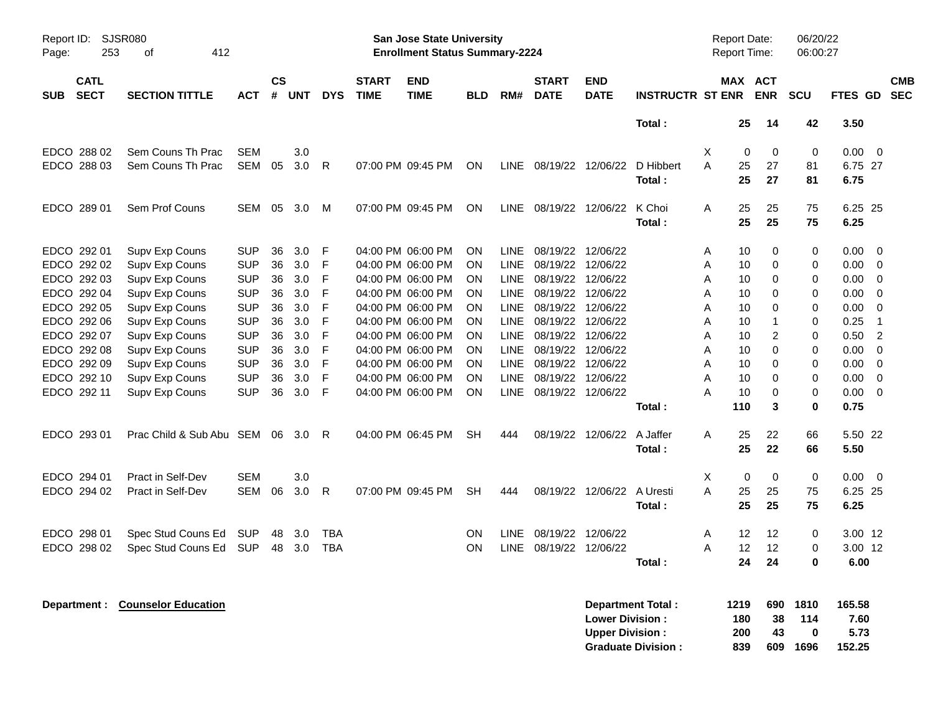| Report ID:<br>Page: | 253                        | SJSR080<br>412<br>of        |            |                    |            |              |                             | <b>San Jose State University</b><br><b>Enrollment Status Summary-2224</b> |            |             |                             |                           |                         | <b>Report Date:</b><br><b>Report Time:</b> |           |                  | 06/20/22<br>06:00:27 |              |                |                          |
|---------------------|----------------------------|-----------------------------|------------|--------------------|------------|--------------|-----------------------------|---------------------------------------------------------------------------|------------|-------------|-----------------------------|---------------------------|-------------------------|--------------------------------------------|-----------|------------------|----------------------|--------------|----------------|--------------------------|
| <b>SUB</b>          | <b>CATL</b><br><b>SECT</b> | <b>SECTION TITTLE</b>       | АСТ        | $\mathsf{cs}$<br># | <b>UNT</b> | <b>DYS</b>   | <b>START</b><br><b>TIME</b> | <b>END</b><br><b>TIME</b>                                                 | <b>BLD</b> | RM#         | <b>START</b><br><b>DATE</b> | <b>END</b><br><b>DATE</b> | <b>INSTRUCTR ST ENR</b> | MAX ACT                                    |           | <b>ENR</b>       | SCU                  | FTES GD      |                | <b>CMB</b><br><b>SEC</b> |
|                     |                            |                             |            |                    |            |              |                             |                                                                           |            |             |                             |                           | Total:                  |                                            | 25        | 14               | 42                   | 3.50         |                |                          |
|                     | EDCO 288 02                | Sem Couns Th Prac           | <b>SEM</b> |                    | 3.0        |              |                             |                                                                           |            |             |                             |                           |                         | Χ                                          | 0         | $\mathbf 0$      | $\pmb{0}$            | 0.00         | 0              |                          |
|                     | EDCO 288 03                | Sem Couns Th Prac           | <b>SEM</b> | 05                 | 3.0        | $\mathsf{R}$ |                             | 07:00 PM 09:45 PM                                                         | ON         |             | LINE 08/19/22 12/06/22      |                           | D Hibbert               | A                                          | 25        | 27               | 81                   | 6.75 27      |                |                          |
|                     |                            |                             |            |                    |            |              |                             |                                                                           |            |             |                             |                           | Total:                  |                                            | 25        | 27               | 81                   | 6.75         |                |                          |
|                     | EDCO 289 01                | Sem Prof Couns              | SEM        | 05                 | 3.0        | M            |                             | 07:00 PM 09:45 PM                                                         | <b>ON</b>  |             | LINE 08/19/22               | 12/06/22                  | K Choi                  | A                                          | 25        | 25               | 75                   | 6.25 25      |                |                          |
|                     |                            |                             |            |                    |            |              |                             |                                                                           |            |             |                             |                           | Total:                  |                                            | 25        | 25               | 75                   | 6.25         |                |                          |
|                     | EDCO 292 01                | Supv Exp Couns              | <b>SUP</b> | 36                 | 3.0        | F            |                             | 04:00 PM 06:00 PM                                                         | <b>ON</b>  | <b>LINE</b> | 08/19/22                    | 12/06/22                  |                         | Α                                          | 10        | $\mathbf 0$      | 0                    | 0.00         | $\Omega$       |                          |
|                     | EDCO 292 02                | Supv Exp Couns              | <b>SUP</b> | 36                 | 3.0        | F            |                             | 04:00 PM 06:00 PM                                                         | <b>ON</b>  | <b>LINE</b> | 08/19/22                    | 12/06/22                  |                         | A                                          | 10        | $\mathbf 0$      | 0                    | 0.00         | $\mathbf 0$    |                          |
|                     | EDCO 292 03                | Supv Exp Couns              | <b>SUP</b> | 36                 | 3.0        | F            |                             | 04:00 PM 06:00 PM                                                         | <b>ON</b>  | <b>LINE</b> | 08/19/22                    | 12/06/22                  |                         | A                                          | 10        | 0                | 0                    | 0.00         | $\mathbf 0$    |                          |
|                     | EDCO 292 04                | Supv Exp Couns              | <b>SUP</b> | 36                 | 3.0        | F            |                             | 04:00 PM 06:00 PM                                                         | <b>ON</b>  | <b>LINE</b> | 08/19/22                    | 12/06/22                  |                         | A                                          | 10        | 0                | 0                    | 0.00         | 0              |                          |
|                     | EDCO 292 05                | Supv Exp Couns              | <b>SUP</b> | 36                 | 3.0        | F            |                             | 04:00 PM 06:00 PM                                                         | <b>ON</b>  | <b>LINE</b> | 08/19/22                    | 12/06/22                  |                         | A                                          | 10        | $\mathbf 0$      | 0                    | 0.00         | $\mathbf 0$    |                          |
|                     | EDCO 292 06                | Supv Exp Couns              | <b>SUP</b> | 36                 | 3.0        | F            |                             | 04:00 PM 06:00 PM                                                         | <b>ON</b>  | <b>LINE</b> | 08/19/22                    | 12/06/22                  |                         | A                                          | 10        | 1                | 0                    | 0.25         | $\overline{1}$ |                          |
|                     | EDCO 292 07                | Supv Exp Couns              | <b>SUP</b> | 36                 | 3.0        | F            |                             | 04:00 PM 06:00 PM                                                         | <b>ON</b>  | LINE        | 08/19/22                    | 12/06/22                  |                         | A                                          | 10        | 2                | 0                    | 0.50         | $\overline{2}$ |                          |
|                     | EDCO 292 08                | Supv Exp Couns              | <b>SUP</b> | 36                 | 3.0        | F            |                             | 04:00 PM 06:00 PM                                                         | ON         | <b>LINE</b> | 08/19/22                    | 12/06/22                  |                         | A                                          | 10        | $\Omega$         | 0                    | 0.00         | $\Omega$       |                          |
|                     | EDCO 292 09                | Supv Exp Couns              | <b>SUP</b> | 36                 | 3.0        | F            |                             | 04:00 PM 06:00 PM                                                         | ON         | <b>LINE</b> | 08/19/22                    | 12/06/22                  |                         | A                                          | 10        | $\Omega$         | $\Omega$             | 0.00         | $\Omega$       |                          |
|                     | EDCO 292 10                | Supv Exp Couns              | <b>SUP</b> | 36                 | 3.0        | F            |                             | 04:00 PM 06:00 PM                                                         | <b>ON</b>  | <b>LINE</b> | 08/19/22                    | 12/06/22                  |                         | A                                          | 10        | $\mathbf 0$      | 0                    | 0.00         | $\mathbf 0$    |                          |
|                     | EDCO 292 11                | Supv Exp Couns              | <b>SUP</b> | 36                 | 3.0        | F            |                             | 04:00 PM 06:00 PM                                                         | <b>ON</b>  |             | LINE 08/19/22 12/06/22      |                           | Total:                  | A                                          | 10<br>110 | $\mathbf 0$<br>3 | 0<br>$\bf{0}$        | 0.00<br>0.75 | $\overline{0}$ |                          |
|                     | EDCO 293 01                | Prac Child & Sub Abu SEM 06 |            |                    | 3.0        | -R           |                             | 04:00 PM 06:45 PM                                                         | <b>SH</b>  | 444         | 08/19/22                    | 12/06/22                  | A Jaffer                | A                                          | 25        | 22               | 66                   | 5.50 22      |                |                          |
|                     |                            |                             |            |                    |            |              |                             |                                                                           |            |             |                             |                           | Total:                  |                                            | 25        | 22               | 66                   | 5.50         |                |                          |
|                     | EDCO 294 01                | Pract in Self-Dev           | <b>SEM</b> |                    | 3.0        |              |                             |                                                                           |            |             |                             |                           |                         | Χ                                          | 0         | $\mathbf 0$      | 0                    | 0.00         | 0              |                          |
|                     | EDCO 294 02                | Pract in Self-Dev           | SEM        | 06                 | 3.0        | $\mathsf{R}$ |                             | 07:00 PM 09:45 PM                                                         | <b>SH</b>  | 444         |                             | 08/19/22 12/06/22         | A Uresti                | A                                          | 25        | 25               | 75                   | 6.25 25      |                |                          |
|                     |                            |                             |            |                    |            |              |                             |                                                                           |            |             |                             |                           | Total:                  |                                            | 25        | 25               | 75                   | 6.25         |                |                          |
|                     | EDCO 298 01                | Spec Stud Couns Ed          | <b>SUP</b> | 48                 | 3.0        | <b>TBA</b>   |                             |                                                                           | <b>ON</b>  | LINE        | 08/19/22                    | 12/06/22                  |                         | Α                                          | 12        | 12               | 0                    | 3.00 12      |                |                          |
|                     | EDCO 298 02                | Spec Stud Couns Ed          | SUP        | 48                 | 3.0        | <b>TBA</b>   |                             |                                                                           | ON.        |             | LINE 08/19/22 12/06/22      |                           |                         | A                                          | 12        | 12               | 0                    | 3.00 12      |                |                          |
|                     |                            |                             |            |                    |            |              |                             |                                                                           |            |             |                             |                           | Total:                  |                                            | 24        | 24               | 0                    | 6.00         |                |                          |

| Department: Counselor Education | Department Total:         | 1219 | 690 | 1810 | 165.58 |
|---------------------------------|---------------------------|------|-----|------|--------|
|                                 | <b>Lower Division:</b>    | 180  | -38 | 114  | 7.60   |
|                                 | <b>Upper Division:</b>    | 200  | -43 |      | 5.73   |
|                                 | <b>Graduate Division:</b> | 839  | 609 | 1696 | 152.25 |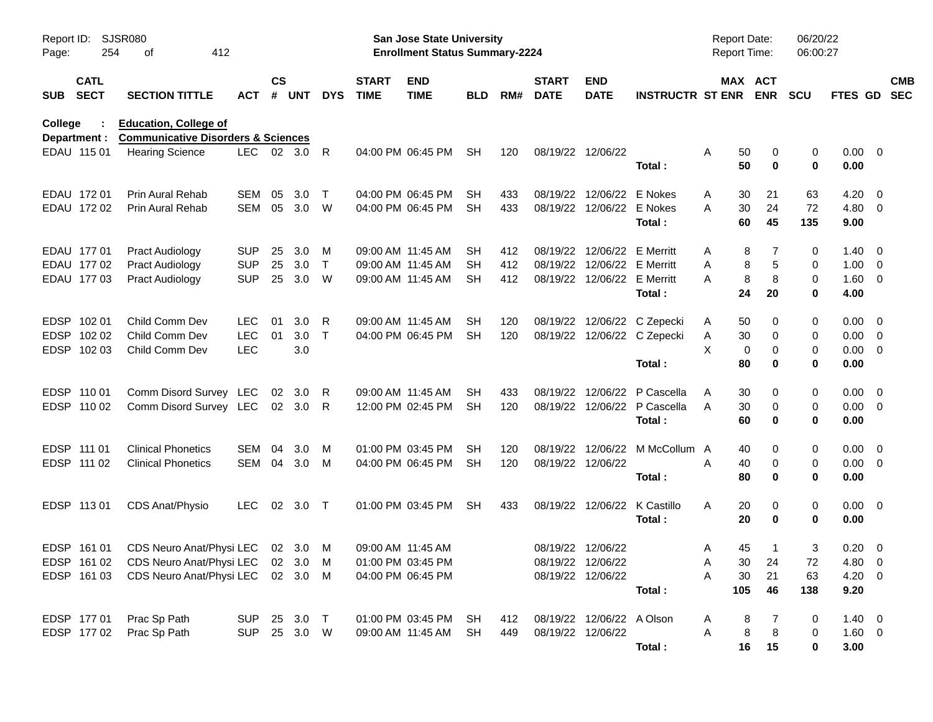| Page:       | SJSR080<br>Report ID:<br>254<br>412<br>оf |                                                                               |            |                    |            |              |                             | <b>San Jose State University</b><br><b>Enrollment Status Summary-2224</b> |            |     |                             |                             |                              | <b>Report Date:</b><br>Report Time: |     |                       | 06/20/22<br>06:00:27 |                |                          |            |
|-------------|-------------------------------------------|-------------------------------------------------------------------------------|------------|--------------------|------------|--------------|-----------------------------|---------------------------------------------------------------------------|------------|-----|-----------------------------|-----------------------------|------------------------------|-------------------------------------|-----|-----------------------|----------------------|----------------|--------------------------|------------|
| <b>SUB</b>  | <b>CATL</b><br><b>SECT</b>                | <b>SECTION TITTLE</b>                                                         | <b>ACT</b> | $\mathsf{cs}$<br># | <b>UNT</b> | <b>DYS</b>   | <b>START</b><br><b>TIME</b> | <b>END</b><br><b>TIME</b>                                                 | <b>BLD</b> | RM# | <b>START</b><br><b>DATE</b> | <b>END</b><br><b>DATE</b>   | <b>INSTRUCTR ST ENR</b>      |                                     |     | MAX ACT<br><b>ENR</b> | <b>SCU</b>           | FTES GD SEC    |                          | <b>CMB</b> |
| College     |                                           | <b>Education, College of</b><br><b>Communicative Disorders &amp; Sciences</b> |            |                    |            |              |                             |                                                                           |            |     |                             |                             |                              |                                     |     |                       |                      |                |                          |            |
|             | Department :<br>EDAU 115 01               | <b>Hearing Science</b>                                                        | LEC 02 3.0 |                    |            | R            |                             | 04:00 PM 06:45 PM                                                         | SH         | 120 |                             | 08/19/22 12/06/22           |                              | A                                   | 50  | 0                     | 0                    | $0.00 \quad 0$ |                          |            |
|             |                                           |                                                                               |            |                    |            |              |                             |                                                                           |            |     |                             |                             | Total:                       |                                     | 50  | 0                     | 0                    | 0.00           |                          |            |
|             | EDAU 172 01                               | Prin Aural Rehab                                                              | SEM        | 05                 | 3.0        | $\top$       |                             | 04:00 PM 06:45 PM                                                         | SH         | 433 |                             | 08/19/22 12/06/22 E Nokes   |                              | A                                   | 30  | 21                    | 63                   | 4.20           | $\overline{\mathbf{0}}$  |            |
|             | EDAU 172 02                               | <b>Prin Aural Rehab</b>                                                       | SEM        | 05                 | 3.0        | W            |                             | 04:00 PM 06:45 PM                                                         | SH         | 433 |                             | 08/19/22 12/06/22 E Nokes   |                              | A                                   | 30  | 24                    | 72                   | 4.80 0         |                          |            |
|             |                                           |                                                                               |            |                    |            |              |                             |                                                                           |            |     |                             |                             | Total:                       |                                     | 60  | 45                    | 135                  | 9.00           |                          |            |
|             | EDAU 177 01                               | <b>Pract Audiology</b>                                                        | <b>SUP</b> | 25                 | 3.0        | M            |                             | 09:00 AM 11:45 AM                                                         | SH         | 412 |                             | 08/19/22 12/06/22 E Merritt |                              | Α                                   | 8   | 7                     | 0                    | 1.40           | $\overline{\phantom{0}}$ |            |
|             | EDAU 177 02                               | <b>Pract Audiology</b>                                                        | <b>SUP</b> | 25                 | 3.0        | $\mathsf{T}$ | 09:00 AM 11:45 AM           |                                                                           | SH         | 412 |                             | 08/19/22 12/06/22 E Merritt |                              | A                                   | 8   | 5                     | 0                    | $1.00 \t 0$    |                          |            |
|             | EDAU 177 03                               | <b>Pract Audiology</b>                                                        | <b>SUP</b> | 25                 | 3.0        | W            |                             | 09:00 AM 11:45 AM                                                         | SH         | 412 |                             | 08/19/22 12/06/22 E Merritt |                              | A                                   | 8   | 8                     | 0                    | 1.60 0         |                          |            |
|             |                                           |                                                                               |            |                    |            |              |                             |                                                                           |            |     |                             |                             | Total:                       |                                     | 24  | 20                    | 0                    | 4.00           |                          |            |
| <b>EDSP</b> | 102 01                                    | Child Comm Dev                                                                | <b>LEC</b> | 01                 | 3.0        | R            |                             | 09:00 AM 11:45 AM                                                         | SH         | 120 |                             |                             | 08/19/22 12/06/22 C Zepecki  | A                                   | 50  | 0                     | 0                    | $0.00 \quad 0$ |                          |            |
|             | EDSP 102 02                               | Child Comm Dev                                                                | <b>LEC</b> | 01                 | 3.0        | $\top$       |                             | 04:00 PM 06:45 PM                                                         | SH         | 120 |                             |                             | 08/19/22 12/06/22 C Zepecki  | A                                   | 30  | 0                     | 0                    | $0.00 \t 0$    |                          |            |
|             | EDSP 102 03                               | Child Comm Dev                                                                | LEC        |                    | 3.0        |              |                             |                                                                           |            |     |                             |                             |                              | X                                   | 0   | 0                     | 0                    | $0.00 \t 0$    |                          |            |
|             |                                           |                                                                               |            |                    |            |              |                             |                                                                           |            |     |                             |                             | Total:                       |                                     | 80  | 0                     | 0                    | 0.00           |                          |            |
|             | EDSP 110 01                               | Comm Disord Survey LEC                                                        |            | 02                 | 3.0        | R            |                             | 09:00 AM 11:45 AM                                                         | SH         | 433 |                             | 08/19/22 12/06/22           | P Cascella                   | Α                                   | 30  | 0                     | 0                    | $0.00 \quad 0$ |                          |            |
|             | EDSP 110 02                               | Comm Disord Survey LEC 02 3.0                                                 |            |                    |            | R            |                             | 12:00 PM 02:45 PM                                                         | SH         | 120 |                             |                             | 08/19/22 12/06/22 P Cascella | A                                   | 30  | 0                     | 0                    | $0.00 \t 0$    |                          |            |
|             |                                           |                                                                               |            |                    |            |              |                             |                                                                           |            |     |                             |                             | Total:                       |                                     | 60  | 0                     | $\mathbf 0$          | 0.00           |                          |            |
|             | EDSP 111 01                               | <b>Clinical Phonetics</b>                                                     | SEM        | 04                 | 3.0        | M            |                             | 01:00 PM 03:45 PM                                                         | SH         | 120 |                             | 08/19/22 12/06/22           | M McCollum A                 |                                     | 40  | 0                     | 0                    | $0.00 \quad 0$ |                          |            |
|             | EDSP 111 02                               | <b>Clinical Phonetics</b>                                                     | SEM 04     |                    | 3.0        | M            |                             | 04:00 PM 06:45 PM                                                         | SH         | 120 |                             | 08/19/22 12/06/22           |                              | A                                   | 40  | 0                     | 0                    | $0.00 \quad 0$ |                          |            |
|             |                                           |                                                                               |            |                    |            |              |                             |                                                                           |            |     |                             |                             | Total:                       |                                     | 80  | $\mathbf 0$           | $\mathbf 0$          | 0.00           |                          |            |
|             | EDSP 113 01                               | CDS Anat/Physio                                                               | LEC.       |                    | 02 3.0     | $\top$       |                             | 01:00 PM 03:45 PM                                                         | SH         | 433 |                             |                             | 08/19/22 12/06/22 K Castillo | A                                   | 20  | 0                     | 0                    | $0.00 \t 0$    |                          |            |
|             |                                           |                                                                               |            |                    |            |              |                             |                                                                           |            |     |                             |                             | Total:                       |                                     | 20  | 0                     | 0                    | 0.00           |                          |            |
|             | EDSP 161 01                               | CDS Neuro Anat/Physi LEC 02 3.0 M                                             |            |                    |            |              |                             | 09:00 AM 11:45 AM                                                         |            |     |                             | 08/19/22 12/06/22           |                              | A                                   | 45  | $\mathbf{1}$          | 3                    | $0.20 \ 0$     |                          |            |
|             |                                           | EDSP 161 02 CDS Neuro Anat/Physi LEC 02 3.0 M                                 |            |                    |            |              |                             | 01:00 PM 03:45 PM                                                         |            |     |                             | 08/19/22 12/06/22           |                              | Α                                   |     | 30 24                 | $72\,$               | 4.80 0         |                          |            |
|             | EDSP 161 03                               | CDS Neuro Anat/Physi LEC 02 3.0 M                                             |            |                    |            |              |                             | 04:00 PM 06:45 PM                                                         |            |     |                             | 08/19/22 12/06/22           |                              | Α                                   | 30  | 21                    | 63                   | 4.20 0         |                          |            |
|             |                                           |                                                                               |            |                    |            |              |                             |                                                                           |            |     |                             |                             | Total:                       |                                     | 105 | 46                    | 138                  | 9.20           |                          |            |
|             | EDSP 177 01                               | Prac Sp Path                                                                  | <b>SUP</b> |                    | 25 3.0 T   |              |                             | 01:00 PM 03:45 PM                                                         | SH         | 412 |                             | 08/19/22 12/06/22 A Olson   |                              | A                                   | 8   | 7                     | 0                    | $1.40 \ 0$     |                          |            |
|             | EDSP 177 02                               | Prac Sp Path                                                                  | <b>SUP</b> |                    | 25 3.0 W   |              |                             | 09:00 AM 11:45 AM                                                         | <b>SH</b>  | 449 |                             | 08/19/22 12/06/22           |                              | Α                                   | 8   | 8                     | 0                    | $1.60 \t 0$    |                          |            |
|             |                                           |                                                                               |            |                    |            |              |                             |                                                                           |            |     |                             |                             | Total:                       |                                     | 16  | 15                    | 0                    | 3.00           |                          |            |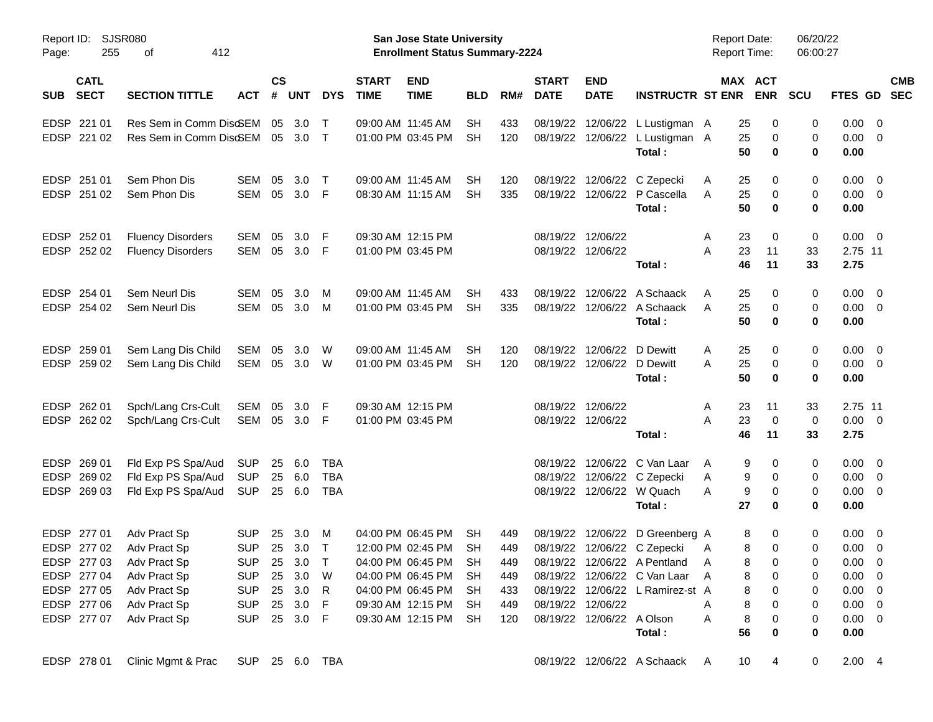| Page:       | SJSR080<br>Report ID:<br>255<br>412<br>οf |                          |                |                    |            |            |                             | <b>San Jose State University</b><br><b>Enrollment Status Summary-2224</b> |            |     |                             |                            |                                            | <b>Report Date:</b><br><b>Report Time:</b> |                                   | 06/20/22<br>06:00:27 |                     |            |
|-------------|-------------------------------------------|--------------------------|----------------|--------------------|------------|------------|-----------------------------|---------------------------------------------------------------------------|------------|-----|-----------------------------|----------------------------|--------------------------------------------|--------------------------------------------|-----------------------------------|----------------------|---------------------|------------|
| <b>SUB</b>  | <b>CATL</b><br><b>SECT</b>                | <b>SECTION TITTLE</b>    | <b>ACT</b>     | $\mathsf{cs}$<br># | <b>UNT</b> | <b>DYS</b> | <b>START</b><br><b>TIME</b> | <b>END</b><br><b>TIME</b>                                                 | <b>BLD</b> | RM# | <b>START</b><br><b>DATE</b> | <b>END</b><br><b>DATE</b>  | <b>INSTRUCTR ST ENR</b>                    |                                            | MAX ACT<br><b>ENR</b>             | <b>SCU</b>           | FTES GD SEC         | <b>CMB</b> |
| <b>EDSP</b> | 221 01                                    | Res Sem in Comm Disc6EM  |                | 05                 | 3.0        | $\top$     |                             | 09:00 AM 11:45 AM                                                         | <b>SH</b>  | 433 |                             |                            | 08/19/22 12/06/22 L Lustigman A            | 25                                         | 0                                 | 0                    | $0.00 \t 0$         |            |
|             | EDSP 221 02                               | Res Sem in Comm DiscEM   |                |                    | 05 3.0     | $\top$     |                             | 01:00 PM 03:45 PM                                                         | SH         | 120 |                             |                            | 08/19/22 12/06/22 L Lustigman A<br>Total : | 25<br>50                                   | 0<br>$\mathbf 0$                  | 0<br>0               | $0.00 \t 0$<br>0.00 |            |
| <b>EDSP</b> | 251 01                                    | Sem Phon Dis             | SEM            | 05                 | 3.0        | $\top$     |                             | 09:00 AM 11:45 AM                                                         | SН         | 120 |                             |                            | 08/19/22 12/06/22 C Zepecki                | 25<br>A                                    | 0                                 | 0                    | $0.00 \quad 0$      |            |
|             | EDSP 251 02                               | Sem Phon Dis             | SEM            | 05                 | 3.0        | -F         |                             | 08:30 AM 11:15 AM                                                         | SH         | 335 |                             |                            | 08/19/22 12/06/22 P Cascella<br>Total:     | A<br>25<br>50                              | 0<br>$\mathbf 0$                  | 0<br>0               | $0.00 \t 0$<br>0.00 |            |
|             | EDSP 252 01                               | <b>Fluency Disorders</b> | SEM            | 05                 | 3.0        | -F         |                             | 09:30 AM 12:15 PM                                                         |            |     |                             | 08/19/22 12/06/22          |                                            | A<br>23                                    | 0                                 | 0                    | $0.00 \t 0$         |            |
|             | EDSP 252 02                               | <b>Fluency Disorders</b> | SEM            | 05                 | 3.0        | -F         |                             | 01:00 PM 03:45 PM                                                         |            |     |                             | 08/19/22 12/06/22          | Total:                                     | A<br>23<br>46                              | 11<br>11                          | 33<br>33             | 2.75 11<br>2.75     |            |
|             | EDSP 254 01                               | Sem Neurl Dis            | SEM            | 05                 | 3.0        | M          |                             | 09:00 AM 11:45 AM                                                         | SH         | 433 |                             |                            | 08/19/22 12/06/22 A Schaack                | A<br>25                                    | 0                                 | 0                    | $0.00 \quad 0$      |            |
|             | EDSP 254 02                               | Sem Neurl Dis            | SEM            | 05                 | 3.0        | M          |                             | 01:00 PM 03:45 PM                                                         | SH         | 335 |                             |                            | 08/19/22 12/06/22 A Schaack<br>Total:      | 25<br>A<br>50                              | 0<br>$\mathbf 0$                  | 0<br>0               | $0.00 \t 0$<br>0.00 |            |
| <b>EDSP</b> | 259 01                                    | Sem Lang Dis Child       | SEM            | 05                 | 3.0        | W          |                             | 09:00 AM 11:45 AM                                                         | SН         | 120 |                             | 08/19/22 12/06/22          | D Dewitt                                   | A<br>25                                    | 0                                 | 0                    | $0.00 \quad 0$      |            |
|             | EDSP 259 02                               | Sem Lang Dis Child       | SEM 05 3.0     |                    |            | W          |                             | 01:00 PM 03:45 PM                                                         | SH         | 120 |                             | 08/19/22 12/06/22 D Dewitt | Total:                                     | 25<br>A<br>50                              | 0<br>$\bf{0}$                     | 0<br>0               | $0.00 \t 0$<br>0.00 |            |
| <b>EDSP</b> | 262 01                                    | Spch/Lang Crs-Cult       | SEM 05         |                    | 3.0        | -F         |                             | 09:30 AM 12:15 PM                                                         |            |     |                             | 08/19/22 12/06/22          |                                            | A<br>23                                    | 11                                | 33                   | 2.75 11             |            |
|             | EDSP 262 02                               | Spch/Lang Crs-Cult       | SEM 05 3.0 F   |                    |            |            |                             | 01:00 PM 03:45 PM                                                         |            |     |                             | 08/19/22 12/06/22          |                                            | 23<br>А                                    | $\mathbf 0$                       | 0                    | $0.00 \t 0$         |            |
|             |                                           |                          |                |                    |            |            |                             |                                                                           |            |     |                             |                            | Total:                                     | 46                                         | 11                                | 33                   | 2.75                |            |
| <b>EDSP</b> | 269 01                                    | Fld Exp PS Spa/Aud       | <b>SUP</b>     | 25                 | 6.0        | TBA        |                             |                                                                           |            |     |                             |                            | 08/19/22 12/06/22 C Van Laar               | A                                          | 0<br>9                            | 0                    | $0.00 \quad 0$      |            |
| <b>EDSP</b> | 269 02                                    | Fld Exp PS Spa/Aud       | <b>SUP</b>     | 25                 | 6.0        | <b>TBA</b> |                             |                                                                           |            |     |                             |                            | 08/19/22 12/06/22 C Zepecki                | A                                          | 9<br>0                            | 0                    | $0.00 \t 0$         |            |
|             | EDSP 269 03                               | Fld Exp PS Spa/Aud       | <b>SUP</b>     |                    | 25 6.0     | <b>TBA</b> |                             |                                                                           |            |     |                             |                            | 08/19/22 12/06/22 W Quach<br>Total:        | A<br>27                                    | 9<br>0<br>$\bf{0}$                | 0<br>0               | $0.00 \t 0$<br>0.00 |            |
|             | EDSP 277 01                               | Adv Pract Sp             | <b>SUP</b>     | 25                 | 3.0        | M          |                             | 04:00 PM 06:45 PM                                                         | SH         | 449 |                             |                            | 08/19/22 12/06/22 D Greenberg A            |                                            | 8<br>0                            | 0                    | $0.00 \quad 0$      |            |
|             | EDSP 277 02                               | Adv Pract Sp             | <b>SUP</b>     |                    | 25 3.0     | $\top$     |                             | 12:00 PM 02:45 PM                                                         | <b>SH</b>  | 449 |                             |                            | 08/19/22 12/06/22 C Zepecki                | A                                          | $\mathbf 0$<br>8                  | 0                    | $0.00 \t 0$         |            |
|             | EDSP 277 03                               | Adv Pract Sp             | SUP 25 3.0 T   |                    |            |            |                             | 04:00 PM 06:45 PM                                                         | <b>SH</b>  | 449 |                             |                            | 08/19/22 12/06/22 A Pentland A             |                                            | 8<br>0                            | 0                    | $0.00 \t 0$         |            |
|             | EDSP 277 04                               | Adv Pract Sp             | <b>SUP</b>     |                    | 25 3.0     | W          |                             | 04:00 PM 06:45 PM                                                         | -SH        | 449 |                             |                            | 08/19/22 12/06/22 C Van Laar               | A                                          | 8<br>0                            | 0                    | $0.00 \t 0$         |            |
|             | EDSP 277 05                               | Adv Pract Sp             | <b>SUP</b>     |                    | 25 3.0     | R          |                             | 04:00 PM 06:45 PM                                                         | -SH        | 433 |                             |                            | 08/19/22 12/06/22 L Ramirez-st A           |                                            | 8<br>0                            | 0                    | $0.00 \t 0$         |            |
|             | EDSP 277 06                               | Adv Pract Sp             | <b>SUP</b>     |                    | 25 3.0     | - F        |                             | 09:30 AM 12:15 PM                                                         | -SH        | 449 |                             | 08/19/22 12/06/22          |                                            | A                                          | 8<br>0                            | 0                    | $0.00 \t 0$         |            |
|             | EDSP 277 07                               | Adv Pract Sp             | <b>SUP</b>     |                    | 25 3.0 F   |            |                             | 09:30 AM 12:15 PM SH                                                      |            | 120 |                             | 08/19/22 12/06/22 A Olson  |                                            | Α                                          | 8<br>0                            | 0                    | $0.00 \t 0$         |            |
|             |                                           |                          |                |                    |            |            |                             |                                                                           |            |     |                             |                            | Total:                                     | 56                                         | 0                                 | 0                    | 0.00                |            |
|             | EDSP 278 01                               | Clinic Mgmt & Prac       | SUP 25 6.0 TBA |                    |            |            |                             |                                                                           |            |     |                             |                            | 08/19/22 12/06/22 A Schaack                | - A                                        | 10 <sup>°</sup><br>$\overline{4}$ | 0                    | $2.00$ 4            |            |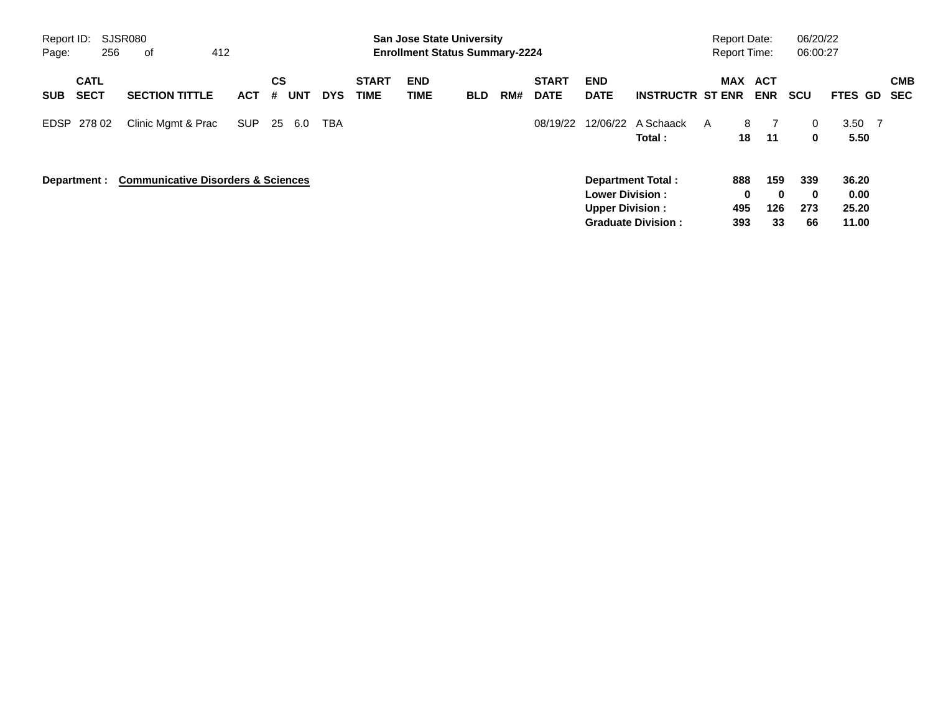| Report ID:<br>Page: | 256                        | SJSR080<br>0f                                 | 412        |                              |            |                             | <b>San Jose State University</b><br><b>Enrollment Status Summary-2224</b> |            |     |                             |                                                  |                                                | <b>Report Date:</b><br><b>Report Time:</b> |                        |                              | 06/20/22<br>06:00:27            |                                 |                          |
|---------------------|----------------------------|-----------------------------------------------|------------|------------------------------|------------|-----------------------------|---------------------------------------------------------------------------|------------|-----|-----------------------------|--------------------------------------------------|------------------------------------------------|--------------------------------------------|------------------------|------------------------------|---------------------------------|---------------------------------|--------------------------|
| <b>SUB</b>          | <b>CATL</b><br><b>SECT</b> | <b>SECTION TITTLE</b>                         | <b>ACT</b> | <b>CS</b><br><b>UNT</b><br># | <b>DYS</b> | <b>START</b><br><b>TIME</b> | <b>END</b><br><b>TIME</b>                                                 | <b>BLD</b> | RM# | <b>START</b><br><b>DATE</b> | <b>END</b><br><b>DATE</b>                        | <b>INSTRUCTR ST ENR</b>                        |                                            | <b>MAX</b>             | ACT<br><b>ENR</b>            | <b>SCU</b>                      | FTES GD                         | <b>CMB</b><br><b>SEC</b> |
|                     | EDSP 278 02                | Clinic Mgmt & Prac                            | <b>SUP</b> | 25<br>6.0                    | <b>TBA</b> |                             |                                                                           |            |     | 08/19/22                    | 12/06/22                                         | A Schaack<br>Total:                            | A                                          | 8<br>18                | 11                           | 0<br>0                          | 3.50<br>5.50                    | $\overline{7}$           |
|                     | Department :               | <b>Communicative Disorders &amp; Sciences</b> |            |                              |            |                             |                                                                           |            |     |                             | <b>Lower Division:</b><br><b>Upper Division:</b> | Department Total:<br><b>Graduate Division:</b> |                                            | 888<br>0<br>495<br>393 | 159<br>$\bf{0}$<br>126<br>33 | 339<br>$\mathbf 0$<br>273<br>66 | 36.20<br>0.00<br>25.20<br>11.00 |                          |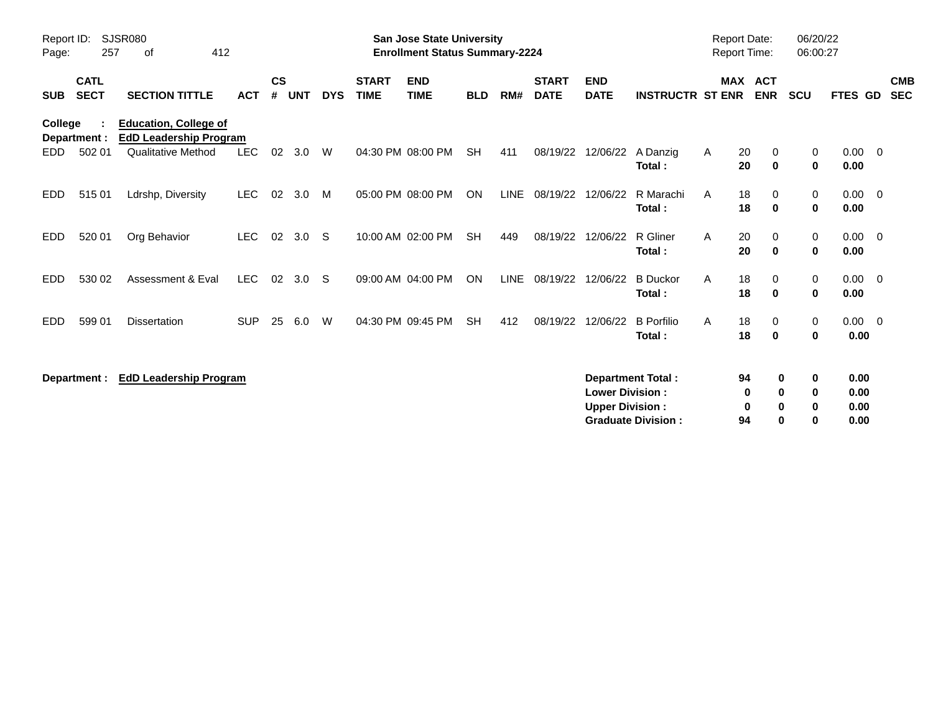| Report ID:<br>Page: | 257                        | <b>SJSR080</b><br>412<br>0f                                                         |            |                |            |            |                             | <b>San Jose State University</b><br><b>Enrollment Status Summary-2224</b> |            |             |                             |                                                  |                                                       | <b>Report Date:</b><br>Report Time: |                                             | 06:00:27                               | 06/20/22                     |                          |
|---------------------|----------------------------|-------------------------------------------------------------------------------------|------------|----------------|------------|------------|-----------------------------|---------------------------------------------------------------------------|------------|-------------|-----------------------------|--------------------------------------------------|-------------------------------------------------------|-------------------------------------|---------------------------------------------|----------------------------------------|------------------------------|--------------------------|
| <b>SUB</b>          | <b>CATL</b><br><b>SECT</b> | <b>SECTION TITTLE</b>                                                               | <b>ACT</b> | <b>CS</b><br># | <b>UNT</b> | <b>DYS</b> | <b>START</b><br><b>TIME</b> | <b>END</b><br><b>TIME</b>                                                 | <b>BLD</b> | RM#         | <b>START</b><br><b>DATE</b> | <b>END</b><br><b>DATE</b>                        | <b>INSTRUCTR ST ENR</b>                               |                                     | <b>MAX ACT</b><br><b>ENR</b>                | <b>SCU</b>                             | <b>FTES GD</b>               | <b>CMB</b><br><b>SEC</b> |
| College<br>EDD.     | Department :<br>502 01     | <b>Education, College of</b><br><b>EdD Leadership Program</b><br>Qualitative Method | <b>LEC</b> | 02             | 3.0        | W          |                             | 04:30 PM 08:00 PM                                                         | <b>SH</b>  | 411         | 08/19/22                    | 12/06/22                                         | A Danzig                                              | A                                   | 20<br>0                                     | 0                                      | $0.00 \t 0$                  |                          |
| EDD.                | 51501                      | Ldrshp, Diversity                                                                   | <b>LEC</b> | 02             | 3.0        | M          |                             | 05:00 PM 08:00 PM                                                         | ON         | LINE        | 08/19/22                    | 12/06/22                                         | Total:<br>R Marachi<br>Total:                         | A                                   | 20<br>$\bf{0}$<br>18<br>0<br>18<br>$\bf{0}$ | $\mathbf 0$<br>0<br>$\mathbf 0$        | 0.00<br>$0.00 \t 0$<br>0.00  |                          |
| EDD.                | 520 01                     | Org Behavior                                                                        | <b>LEC</b> | 02             | 3.0        | - S        |                             | 10:00 AM 02:00 PM                                                         | <b>SH</b>  | 449         | 08/19/22                    | 12/06/22                                         | R Gliner<br>Total:                                    | A                                   | 20<br>$\Omega$<br>20<br>$\mathbf 0$         | 0<br>$\mathbf 0$                       | $0.00 \t 0$<br>0.00          |                          |
| <b>EDD</b>          | 530 02                     | Assessment & Eval                                                                   | LEC.       | 02             | 3.0        | -S         |                             | 09:00 AM 04:00 PM                                                         | ON         | <b>LINE</b> | 08/19/22                    | 12/06/22                                         | <b>B</b> Duckor<br>Total:                             | A                                   | 18<br>0<br>18<br>0                          | 0<br>$\mathbf 0$                       | $0.00 \t 0$<br>0.00          |                          |
| EDD.                | 599 01                     | <b>Dissertation</b>                                                                 | <b>SUP</b> | 25             | 6.0        | W          |                             | 04:30 PM 09:45 PM                                                         | <b>SH</b>  | 412         | 08/19/22                    | 12/06/22                                         | <b>B</b> Porfilio<br>Total:                           | A                                   | 18<br>0<br>18<br>$\bf{0}$                   | $\mathbf 0$<br>$\mathbf 0$             | $0.00 \t 0$<br>0.00          |                          |
|                     | Department :               | <b>EdD Leadership Program</b>                                                       |            |                |            |            |                             |                                                                           |            |             |                             | <b>Lower Division:</b><br><b>Upper Division:</b> | <b>Department Total:</b><br><b>Graduate Division:</b> |                                     | 94<br>0<br>0<br>94                          | 0<br>0<br>0<br>0<br>0<br>0<br>$\bf{0}$ | 0.00<br>0.00<br>0.00<br>0.00 |                          |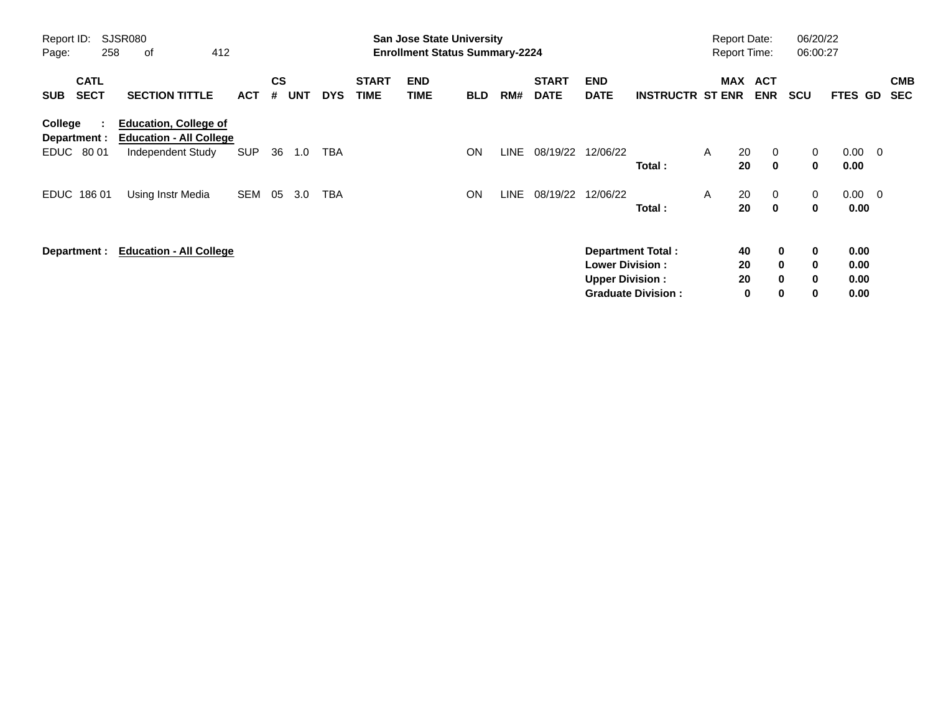| Report ID:<br>Page: | 258                             | <b>SJSR080</b><br>412<br>οf                                                         |            |                             |            |            |                             | <b>San Jose State University</b><br><b>Enrollment Status Summary-2224</b> |            |       |                             |                                                  |                                                       |   | <b>Report Date:</b><br><b>Report Time:</b> |                                                        | 06/20/22<br>06:00:27       |                              |                |                          |
|---------------------|---------------------------------|-------------------------------------------------------------------------------------|------------|-----------------------------|------------|------------|-----------------------------|---------------------------------------------------------------------------|------------|-------|-----------------------------|--------------------------------------------------|-------------------------------------------------------|---|--------------------------------------------|--------------------------------------------------------|----------------------------|------------------------------|----------------|--------------------------|
| <b>SUB</b>          | <b>CATL</b><br><b>SECT</b>      | <b>SECTION TITTLE</b>                                                               | <b>ACT</b> | $\mathbf{c}\mathbf{s}$<br># | <b>UNT</b> | <b>DYS</b> | <b>START</b><br><b>TIME</b> | <b>END</b><br><b>TIME</b>                                                 | <b>BLD</b> | RM#   | <b>START</b><br><b>DATE</b> | <b>END</b><br><b>DATE</b>                        | <b>INSTRUCTR ST ENR</b>                               |   | MAX ACT                                    | <b>ENR</b>                                             | <b>SCU</b>                 | <b>FTES GD</b>               |                | <b>CMB</b><br><b>SEC</b> |
| College             | ÷<br>Department :<br>EDUC 80 01 | <b>Education, College of</b><br><b>Education - All College</b><br>Independent Study | <b>SUP</b> | 36                          | 1.0        | TBA        |                             |                                                                           | ON         | LINE  | 08/19/22                    | 12/06/22                                         | Total:                                                | A | 20<br>20                                   | $\mathbf{0}$<br>$\mathbf 0$                            | $\mathbf{0}$<br>0          | $0.00 \quad 0$<br>0.00       |                |                          |
|                     | EDUC 186 01                     | Using Instr Media                                                                   | SEM        | 05                          | 3.0        | TBA        |                             |                                                                           | <b>ON</b>  | LINE. | 08/19/22                    | 12/06/22                                         | Total:                                                | A | 20<br>20                                   | $\mathbf{0}$<br>$\mathbf 0$                            | $\mathbf{0}$<br>0          | 0.00                         | $0.00 \quad 0$ |                          |
|                     | Department :                    | <b>Education - All College</b>                                                      |            |                             |            |            |                             |                                                                           |            |       |                             | <b>Lower Division:</b><br><b>Upper Division:</b> | <b>Department Total:</b><br><b>Graduate Division:</b> |   | 40<br>20<br>20<br>0                        | $\mathbf 0$<br>$\mathbf{0}$<br>$\mathbf 0$<br>$\bf{0}$ | 0<br>0<br>$\mathbf 0$<br>0 | 0.00<br>0.00<br>0.00<br>0.00 |                |                          |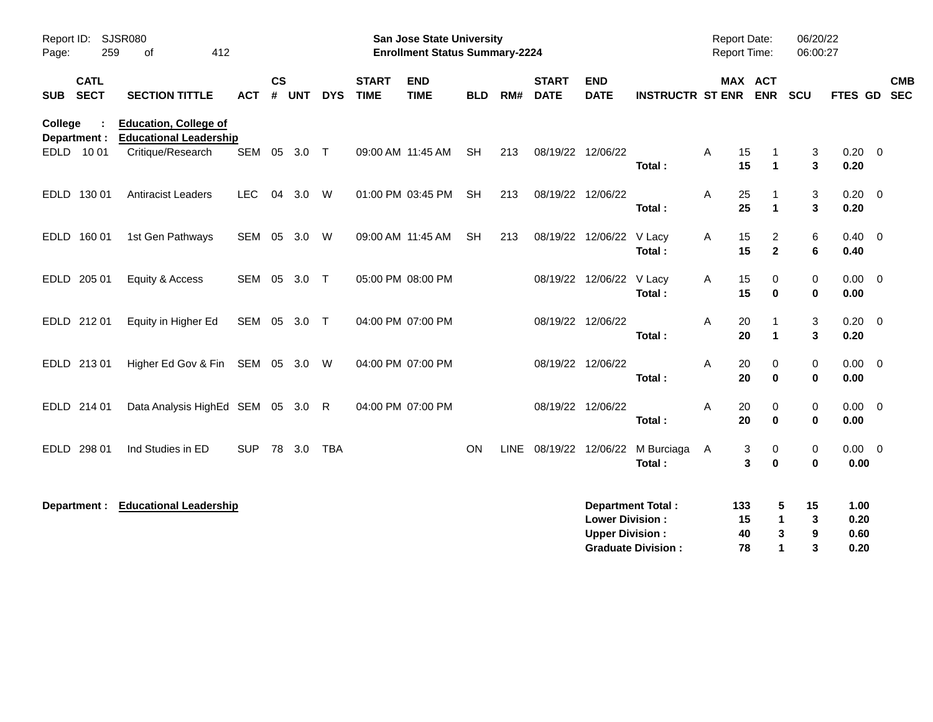| Report ID: SJSR080<br>259<br>Page:       | 412<br>οf                                                     |              |               |        |            |                             | San Jose State University<br><b>Enrollment Status Summary-2224</b> |            |             |                             |                                                  |                                                       | Report Date:<br><b>Report Time:</b> |                                | 06/20/22<br>06:00:27                                                              |                              |                          |
|------------------------------------------|---------------------------------------------------------------|--------------|---------------|--------|------------|-----------------------------|--------------------------------------------------------------------|------------|-------------|-----------------------------|--------------------------------------------------|-------------------------------------------------------|-------------------------------------|--------------------------------|-----------------------------------------------------------------------------------|------------------------------|--------------------------|
| <b>CATL</b><br><b>SECT</b><br><b>SUB</b> | <b>SECTION TITTLE</b>                                         | <b>ACT</b>   | $\mathsf{cs}$ | # UNT  | <b>DYS</b> | <b>START</b><br><b>TIME</b> | <b>END</b><br><b>TIME</b>                                          | <b>BLD</b> | RM#         | <b>START</b><br><b>DATE</b> | <b>END</b><br><b>DATE</b>                        | <b>INSTRUCTR ST ENR</b>                               |                                     | MAX ACT<br><b>ENR</b>          | SCU                                                                               | <b>FTES GD</b>               | <b>CMB</b><br><b>SEC</b> |
| College<br>Department :                  | <b>Education, College of</b><br><b>Educational Leadership</b> |              |               |        |            |                             |                                                                    |            |             |                             |                                                  |                                                       |                                     |                                |                                                                                   |                              |                          |
| EDLD 1001                                | Critique/Research                                             | SEM 05 3.0 T |               |        |            |                             | 09:00 AM 11:45 AM                                                  | <b>SH</b>  | 213         | 08/19/22 12/06/22           |                                                  | Total:                                                | Α<br>15<br>15                       | -1<br>$\blacktriangleleft$     | 3<br>3                                                                            | $0.20 \ 0$<br>0.20           |                          |
| EDLD 130 01                              | <b>Antiracist Leaders</b>                                     | <b>LEC</b>   | 04            | 3.0    | W          |                             | 01:00 PM 03:45 PM                                                  | <b>SH</b>  | 213         | 08/19/22 12/06/22           |                                                  | Total:                                                | Α<br>25<br>25                       | -1<br>$\blacktriangleleft$     | 3<br>3                                                                            | $0.20 \ 0$<br>0.20           |                          |
| EDLD 160 01                              | 1st Gen Pathways                                              | SEM 05       |               | 3.0    | W          |                             | 09:00 AM 11:45 AM                                                  | <b>SH</b>  | 213         |                             | 08/19/22 12/06/22                                | V Lacy<br>Total:                                      | Α<br>15<br>15                       | $\overline{2}$<br>$\mathbf{2}$ | 6<br>6                                                                            | $0.40 \quad 0$<br>0.40       |                          |
| EDLD 205 01                              | Equity & Access                                               | SEM 05 3.0 T |               |        |            | 05:00 PM 08:00 PM           |                                                                    |            |             |                             | 08/19/22 12/06/22 V Lacy                         | Total:                                                | Α<br>15<br>15                       | 0<br>$\bf{0}$                  | $\mathbf 0$<br>$\pmb{0}$                                                          | $0.00 \quad 0$<br>0.00       |                          |
| EDLD 212 01                              | Equity in Higher Ed                                           | SEM 05 3.0 T |               |        |            | 04:00 PM 07:00 PM           |                                                                    |            |             | 08/19/22 12/06/22           |                                                  | Total:                                                | Α<br>20<br>20                       | -1<br>$\mathbf{1}$             | 3<br>3                                                                            | $0.20 \ 0$<br>0.20           |                          |
| EDLD 213 01                              | Higher Ed Gov & Fin SEM 05 3.0 W                              |              |               |        |            | 04:00 PM 07:00 PM           |                                                                    |            |             | 08/19/22 12/06/22           |                                                  | Total:                                                | Α<br>20<br>20                       | 0<br>$\bf{0}$                  | 0<br>$\mathbf 0$                                                                  | $0.00 \t 0$<br>0.00          |                          |
| EDLD 214 01                              | Data Analysis HighEd SEM 05 3.0                               |              |               |        | R          | 04:00 PM 07:00 PM           |                                                                    |            |             | 08/19/22 12/06/22           |                                                  | Total:                                                | Α<br>20<br>20                       | 0<br>$\bf{0}$                  | 0<br>$\mathbf 0$                                                                  | $0.00 \t 0$<br>0.00          |                          |
| <b>EDLD</b><br>298 01                    | Ind Studies in ED                                             | <b>SUP</b>   |               | 78 3.0 | <b>TBA</b> |                             |                                                                    | <b>ON</b>  | <b>LINE</b> | 08/19/22 12/06/22           |                                                  | M Burciaga<br>Total:                                  | A                                   | 3<br>0<br>3<br>$\bf{0}$        | 0<br>$\bf{0}$                                                                     | $0.00 \quad 0$<br>0.00       |                          |
| Department :                             | <b>Educational Leadership</b>                                 |              |               |        |            |                             |                                                                    |            |             |                             | <b>Lower Division:</b><br><b>Upper Division:</b> | <b>Department Total:</b><br><b>Graduate Division:</b> | 133<br>15<br>40<br>78               |                                | 5<br>15<br>$\mathbf 1$<br>3<br>$\boldsymbol{9}$<br>3<br>3<br>$\blacktriangleleft$ | 1.00<br>0.20<br>0.60<br>0.20 |                          |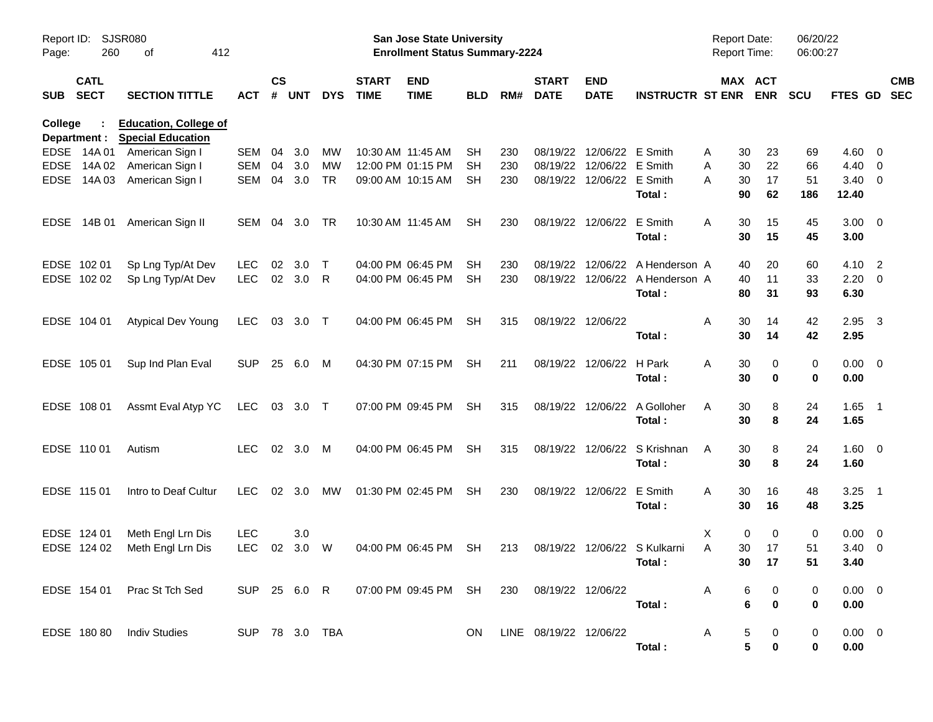| Report ID:<br>Page: | 260                        | SJSR080<br>412<br>оf                                     |                |                    |            |            |                             | San Jose State University<br><b>Enrollment Status Summary-2224</b> |            |     |                             |                           |                                 | Report Date:<br><b>Report Time:</b> |                       | 06/20/22<br>06:00:27 |                    |                          |            |
|---------------------|----------------------------|----------------------------------------------------------|----------------|--------------------|------------|------------|-----------------------------|--------------------------------------------------------------------|------------|-----|-----------------------------|---------------------------|---------------------------------|-------------------------------------|-----------------------|----------------------|--------------------|--------------------------|------------|
| <b>SUB</b>          | <b>CATL</b><br><b>SECT</b> | <b>SECTION TITTLE</b>                                    | ACT            | $\mathsf{cs}$<br># | <b>UNT</b> | <b>DYS</b> | <b>START</b><br><b>TIME</b> | <b>END</b><br><b>TIME</b>                                          | <b>BLD</b> | RM# | <b>START</b><br><b>DATE</b> | <b>END</b><br><b>DATE</b> | <b>INSTRUCTR ST ENR</b>         |                                     | MAX ACT<br><b>ENR</b> | <b>SCU</b>           | FTES GD SEC        |                          | <b>CMB</b> |
| College             | Department :               | <b>Education, College of</b><br><b>Special Education</b> |                |                    |            |            |                             |                                                                    |            |     |                             |                           |                                 |                                     |                       |                      |                    |                          |            |
|                     | EDSE 14A 01                | American Sign I                                          | SEM            | 04                 | 3.0        | MW         | 10:30 AM 11:45 AM           |                                                                    | <b>SH</b>  | 230 |                             | 08/19/22 12/06/22 E Smith |                                 | Α<br>30                             | 23                    | 69                   | 4.60               | $\overline{\phantom{0}}$ |            |
| <b>EDSE</b>         | 14A 02                     | American Sign I                                          | <b>SEM</b>     | 04                 | 3.0        | MW         |                             | 12:00 PM 01:15 PM                                                  | <b>SH</b>  | 230 |                             | 08/19/22 12/06/22 E Smith |                                 | A<br>30                             | 22                    | 66                   | 4.40               | $\overline{\phantom{0}}$ |            |
| <b>EDSE</b>         | 14A 03                     | American Sign I                                          | <b>SEM</b>     | 04                 | 3.0        | <b>TR</b>  |                             | 09:00 AM 10:15 AM                                                  | SH         | 230 |                             | 08/19/22 12/06/22 E Smith | Total:                          | A<br>30<br>90                       | 17<br>62              | 51<br>186            | 3.40<br>12.40      | $\overline{\phantom{0}}$ |            |
|                     | EDSE 14B 01                | American Sign II                                         | SEM            | 04                 | 3.0        | TR         |                             | 10:30 AM 11:45 AM                                                  | <b>SH</b>  | 230 |                             | 08/19/22 12/06/22         | E Smith<br>Total:               | A<br>30<br>30                       | 15<br>15              | 45<br>45             | $3.00 \ 0$<br>3.00 |                          |            |
|                     | EDSE 102 01                |                                                          | LEC.           | 02                 | 3.0        | $\top$     |                             | 04:00 PM 06:45 PM                                                  | <b>SH</b>  | 230 |                             |                           | 08/19/22 12/06/22 A Henderson A |                                     | 20                    | 60                   | 4.10               | $\overline{\phantom{0}}$ |            |
|                     | EDSE 102 02                | Sp Lng Typ/At Dev<br>Sp Lng Typ/At Dev                   | <b>LEC</b>     |                    | 02 3.0     | R          |                             | 04:00 PM 06:45 PM                                                  | <b>SH</b>  | 230 |                             |                           | 08/19/22 12/06/22 A Henderson A | 40<br>40                            | 11                    | 33                   | $2.20 \t 0$        |                          |            |
|                     |                            |                                                          |                |                    |            |            |                             |                                                                    |            |     |                             |                           | Total:                          | 80                                  | 31                    | 93                   | 6.30               |                          |            |
|                     | EDSE 104 01                | <b>Atypical Dev Young</b>                                | LEC.           |                    | 03 3.0 T   |            |                             | 04:00 PM 06:45 PM                                                  | <b>SH</b>  | 315 | 08/19/22 12/06/22           |                           |                                 | A<br>30                             | 14                    | 42                   | 2.95               | $\overline{\mathbf{3}}$  |            |
|                     |                            |                                                          |                |                    |            |            |                             |                                                                    |            |     |                             |                           | Total:                          | 30                                  | 14                    | 42                   | 2.95               |                          |            |
|                     | EDSE 105 01                | Sup Ind Plan Eval                                        | <b>SUP</b>     |                    | 25 6.0     | M          |                             | 04:30 PM 07:15 PM                                                  | <b>SH</b>  | 211 |                             | 08/19/22 12/06/22 H Park  |                                 | A<br>30                             | 0                     | 0                    | $0.00 \t 0$        |                          |            |
|                     |                            |                                                          |                |                    |            |            |                             |                                                                    |            |     |                             |                           | Total:                          | 30                                  | 0                     | 0                    | 0.00               |                          |            |
|                     | EDSE 108 01                | Assmt Eval Atyp YC                                       | LEC 03 3.0 T   |                    |            |            |                             | 07:00 PM 09:45 PM                                                  | <b>SH</b>  | 315 |                             |                           | 08/19/22 12/06/22 A Golloher    | A<br>30                             | 8                     | 24                   | $1.65$ 1           |                          |            |
|                     |                            |                                                          |                |                    |            |            |                             |                                                                    |            |     |                             |                           | Total:                          | 30                                  | 8                     | 24                   | 1.65               |                          |            |
|                     | EDSE 110 01                | Autism                                                   | LEC.           |                    | 02 3.0     | M          |                             | 04:00 PM 06:45 PM                                                  | <b>SH</b>  | 315 |                             |                           | 08/19/22 12/06/22 S Krishnan    | 30<br>A                             | 8                     | 24                   | 1.60 0             |                          |            |
|                     |                            |                                                          |                |                    |            |            |                             |                                                                    |            |     |                             |                           | Total:                          | 30                                  | 8                     | 24                   | 1.60               |                          |            |
|                     | EDSE 115 01                | Intro to Deaf Cultur                                     | LEC.           | 02 <sub>o</sub>    | 3.0        | MW         |                             | 01:30 PM 02:45 PM                                                  | <b>SH</b>  | 230 |                             | 08/19/22 12/06/22         | E Smith                         | A<br>30                             | 16                    | 48                   | $3.25$ 1           |                          |            |
|                     |                            |                                                          |                |                    |            |            |                             |                                                                    |            |     |                             |                           | Total:                          | 30                                  | 16                    | 48                   | 3.25               |                          |            |
|                     | EDSE 124 01                | Meth Engl Lrn Dis                                        | <b>LEC</b>     |                    | 3.0        |            |                             |                                                                    |            |     |                             |                           |                                 | Χ                                   | 0<br>0                | 0                    | $0.00 \t 0$        |                          |            |
|                     | EDSE 124 02                | Meth Engl Lrn Dis                                        | <b>LEC</b>     | 02                 | 3.0        | W          |                             | 04:00 PM 06:45 PM                                                  | <b>SH</b>  | 213 |                             |                           | 08/19/22 12/06/22 S Kulkarni    | A<br>30                             | 17                    | 51                   | 3.40               | $\overline{\phantom{0}}$ |            |
|                     |                            |                                                          |                |                    |            |            |                             |                                                                    |            |     |                             |                           | Total:                          |                                     | 30 17                 | 51                   | 3.40               |                          |            |
|                     |                            | EDSE 154 01 Prac St Tch Sed                              |                |                    |            |            |                             |                                                                    |            |     | 230 08/19/22 12/06/22       |                           |                                 | $\mathsf{A}$                        | 6<br>0                | 0                    | $0.00 \t 0$        |                          |            |
|                     |                            |                                                          |                |                    |            |            |                             |                                                                    |            |     |                             |                           | Total:                          |                                     | 6<br>$\mathbf 0$      | 0                    | 0.00               |                          |            |
|                     |                            | EDSE 180 80 Indiv Studies                                | SUP 78 3.0 TBA |                    |            |            |                             |                                                                    | ON.        |     | LINE 08/19/22 12/06/22      |                           |                                 | A                                   | 5<br>0                | 0                    | $0.00 \t 0$        |                          |            |
|                     |                            |                                                          |                |                    |            |            |                             |                                                                    |            |     |                             |                           | Total:                          |                                     | 5<br>$\pmb{0}$        | 0                    | 0.00               |                          |            |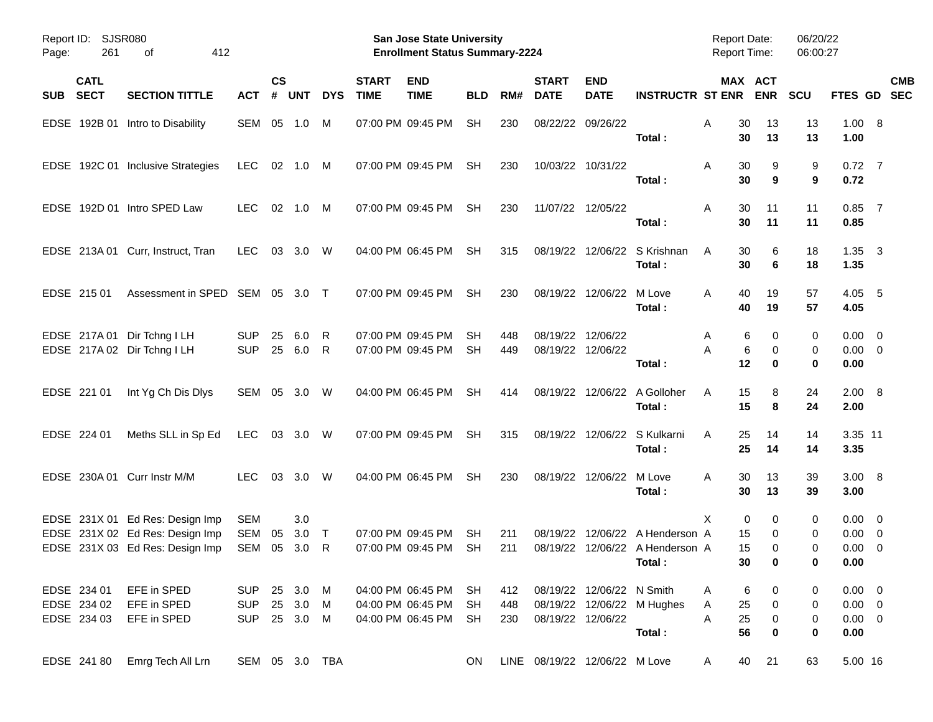| Page:      | Report ID: SJSR080<br>261                 | 412<br>οf                                                                                             |                                        |                    |                             |             |                             | San Jose State University<br><b>Enrollment Status Summary-2224</b> |                        |                   |                                        |                           |                                                                     | <b>Report Date:</b><br><b>Report Time:</b> |                          | 06/20/22<br>06:00:27 |                                                    |            |
|------------|-------------------------------------------|-------------------------------------------------------------------------------------------------------|----------------------------------------|--------------------|-----------------------------|-------------|-----------------------------|--------------------------------------------------------------------|------------------------|-------------------|----------------------------------------|---------------------------|---------------------------------------------------------------------|--------------------------------------------|--------------------------|----------------------|----------------------------------------------------|------------|
| <b>SUB</b> | <b>CATL</b><br><b>SECT</b>                | <b>SECTION TITTLE</b>                                                                                 | ACT                                    | $\mathsf{cs}$<br># | <b>UNT</b>                  | <b>DYS</b>  | <b>START</b><br><b>TIME</b> | <b>END</b><br><b>TIME</b>                                          | <b>BLD</b>             | RM#               | <b>START</b><br><b>DATE</b>            | <b>END</b><br><b>DATE</b> | <b>INSTRUCTR ST ENR</b>                                             |                                            | MAX ACT<br><b>ENR</b>    | <b>SCU</b>           | FTES GD SEC                                        | <b>CMB</b> |
|            |                                           | EDSE 192B 01 Intro to Disability                                                                      | SEM 05 1.0                             |                    |                             | M           |                             | 07:00 PM 09:45 PM                                                  | <b>SH</b>              | 230               |                                        | 08/22/22 09/26/22         | Total:                                                              | 30<br>A<br>30                              | 13<br>13                 | 13<br>13             | 1.00 8<br>1.00                                     |            |
|            |                                           | EDSE 192C 01 Inclusive Strategies                                                                     | LEC.                                   |                    | 02 1.0 M                    |             |                             | 07:00 PM 09:45 PM                                                  | SH                     | 230               |                                        | 10/03/22 10/31/22         | Total:                                                              | A<br>30<br>30                              | 9<br>9                   | 9<br>9               | $0.72$ 7<br>0.72                                   |            |
|            |                                           | EDSE 192D 01 Intro SPED Law                                                                           | LEC.                                   |                    | 02 1.0                      | M           |                             | 07:00 PM 09:45 PM                                                  | SH                     | 230               | 11/07/22 12/05/22                      |                           | Total:                                                              | Α<br>30<br>30                              | 11<br>11                 | 11<br>11             | $0.85$ 7<br>0.85                                   |            |
|            |                                           | EDSE 213A 01 Curr, Instruct, Tran                                                                     | LEC.                                   |                    | 03 3.0 W                    |             |                             | 04:00 PM 06:45 PM                                                  | SH                     | 315               |                                        |                           | 08/19/22 12/06/22 S Krishnan<br>Total:                              | 30<br>A<br>30                              | 6<br>6                   | 18<br>18             | $1.35 \quad 3$<br>1.35                             |            |
|            | EDSE 215 01                               | Assessment in SPED SEM 05 3.0 T                                                                       |                                        |                    |                             |             |                             | 07:00 PM 09:45 PM                                                  | <b>SH</b>              | 230               |                                        | 08/19/22 12/06/22         | M Love<br>Total:                                                    | 40<br>A<br>40                              | 19<br>19                 | 57<br>57             | 4.05 5<br>4.05                                     |            |
|            |                                           | EDSE 217A 01 Dir Tchng I LH<br>EDSE 217A 02 Dir Tchng I LH                                            | <b>SUP</b><br><b>SUP</b>               | 25<br>25           | 6.0<br>6.0                  | R<br>R      |                             | 07:00 PM 09:45 PM<br>07:00 PM 09:45 PM                             | <b>SH</b><br><b>SH</b> | 448<br>449        | 08/19/22 12/06/22<br>08/19/22 12/06/22 |                           | Total:                                                              | 6<br>A<br>6<br>A<br>12                     | 0<br>0<br>$\bf{0}$       | 0<br>0<br>0          | $0.00 \quad 0$<br>$0.00 \t 0$<br>0.00              |            |
|            | EDSE 221 01                               | Int Yg Ch Dis Dlys                                                                                    | SEM 05 3.0 W                           |                    |                             |             |                             | 04:00 PM 06:45 PM                                                  | <b>SH</b>              | 414               |                                        |                           | 08/19/22 12/06/22 A Golloher<br>Total:                              | 15<br>A<br>15                              | 8<br>8                   | 24<br>24             | 2.00 8<br>2.00                                     |            |
|            | EDSE 224 01                               | Meths SLL in Sp Ed                                                                                    | LEC 03 3.0 W                           |                    |                             |             |                             | 07:00 PM 09:45 PM                                                  | SH                     | 315               |                                        | 08/19/22 12/06/22         | S Kulkarni<br>Total:                                                | 25<br>A<br>25                              | 14<br>14                 | 14<br>14             | 3.35 11<br>3.35                                    |            |
|            |                                           | EDSE 230A 01 Curr Instr M/M                                                                           | LEC.                                   |                    | 03 3.0 W                    |             |                             | 04:00 PM 06:45 PM                                                  | SH                     | 230               |                                        | 08/19/22 12/06/22         | M Love<br>Total:                                                    | 30<br>A<br>30                              | 13<br>13                 | 39<br>39             | 3.00 8<br>3.00                                     |            |
|            |                                           | EDSE 231X 01 Ed Res: Design Imp<br>EDSE 231X 02 Ed Res: Design Imp<br>EDSE 231X 03 Ed Res: Design Imp | <b>SEM</b><br><b>SEM</b><br>SEM        | 05<br>05           | 3.0<br>3.0<br>3.0           | $\top$<br>R |                             | 07:00 PM 09:45 PM<br>07:00 PM 09:45 PM                             | <b>SH</b><br><b>SH</b> | 211<br>211        | 08/19/22                               |                           | 12/06/22 A Henderson A<br>08/19/22 12/06/22 A Henderson A<br>Total: | X<br>15<br>15<br>30                        | 0<br>0<br>0<br>0<br>0    | 0<br>0<br>0<br>0     | $0.00 \quad 0$<br>$0.00 \ 0$<br>$0.00 \ 0$<br>0.00 |            |
|            | EDSE 234 01<br>EDSE 234 02<br>EDSE 234 03 | EFE in SPED<br>EFE in SPED<br>EFE in SPED                                                             | <b>SUP</b><br><b>SUP</b><br><b>SUP</b> | 25                 | 25 3.0 M<br>3.0<br>25 3.0 M | <b>M</b>    |                             | 04:00 PM 06:45 PM<br>04:00 PM 06:45 PM<br>04:00 PM 06:45 PM        | SH<br>SH<br>SH         | 412<br>448<br>230 | 08/19/22 12/06/22                      | 08/19/22 12/06/22 N Smith | 08/19/22 12/06/22 M Hughes<br>Total:                                | 6<br>A<br>25<br>A<br>Α<br>25<br>56         | 0<br>$\pmb{0}$<br>0<br>0 | 0<br>0<br>0<br>0     | $0.00 \t 0$<br>$0.00 \t 0$<br>$0.00 \t 0$<br>0.00  |            |
|            | EDSE 241 80                               | Emrg Tech All Lrn                                                                                     | SEM 05 3.0 TBA                         |                    |                             |             |                             |                                                                    | <b>ON</b>              |                   | LINE 08/19/22 12/06/22 M Love          |                           |                                                                     | 40<br>A                                    | 21                       | 63                   | 5.00 16                                            |            |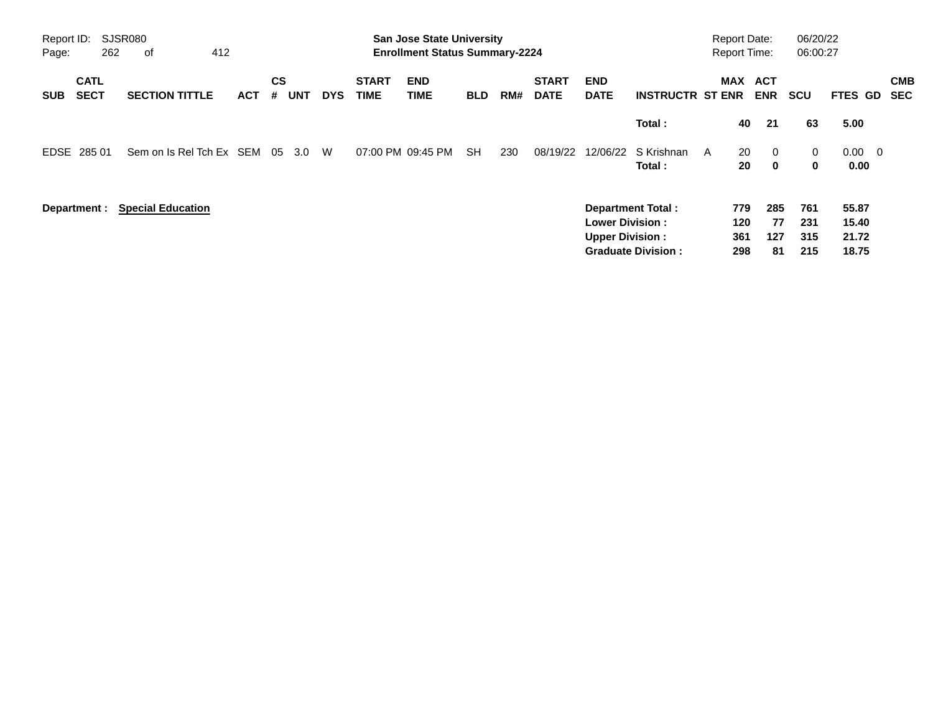| Report ID:<br>Page: | 262                        | SJSR080<br>412<br>оf     |            |                |            |            |                             | <b>San Jose State University</b><br><b>Enrollment Status Summary-2224</b> |            |     |                             |                                                  |                                                       | <b>Report Date:</b> |                          | <b>Report Time:</b>           | 06/20/22<br>06:00:27     |                                  |                          |
|---------------------|----------------------------|--------------------------|------------|----------------|------------|------------|-----------------------------|---------------------------------------------------------------------------|------------|-----|-----------------------------|--------------------------------------------------|-------------------------------------------------------|---------------------|--------------------------|-------------------------------|--------------------------|----------------------------------|--------------------------|
| <b>SUB</b>          | <b>CATL</b><br><b>SECT</b> | <b>SECTION TITTLE</b>    | <b>ACT</b> | <b>CS</b><br># | <b>UNT</b> | <b>DYS</b> | <b>START</b><br><b>TIME</b> | <b>END</b><br>TIME                                                        | <b>BLD</b> | RM# | <b>START</b><br><b>DATE</b> | <b>END</b><br><b>DATE</b>                        | <b>INSTRUCTR ST ENR</b>                               |                     |                          | MAX ACT<br><b>ENR</b>         | <b>SCU</b>               | FTES GD                          | <b>CMB</b><br><b>SEC</b> |
|                     |                            |                          |            |                |            |            |                             |                                                                           |            |     |                             |                                                  | Total:                                                |                     | 40                       | 21                            | 63                       | 5.00                             |                          |
|                     | EDSE 285 01                | Sem on Is Rel Tch Ex SEM |            | 05             | 3.0        | W          |                             | 07:00 PM 09:45 PM                                                         | <b>SH</b>  | 230 | 08/19/22                    | 12/06/22                                         | S Krishnan<br>Total:                                  | A                   | 20<br>20                 | $\overline{0}$<br>$\mathbf 0$ | 0<br>0                   | $0.00 \t 0$<br>0.00              |                          |
|                     | Department :               | <b>Special Education</b> |            |                |            |            |                             |                                                                           |            |     |                             | <b>Lower Division:</b><br><b>Upper Division:</b> | <b>Department Total:</b><br><b>Graduate Division:</b> |                     | 779<br>120<br>361<br>298 | 285<br>77<br>127<br>81        | 761<br>231<br>315<br>215 | 55.87<br>15.40<br>21.72<br>18.75 |                          |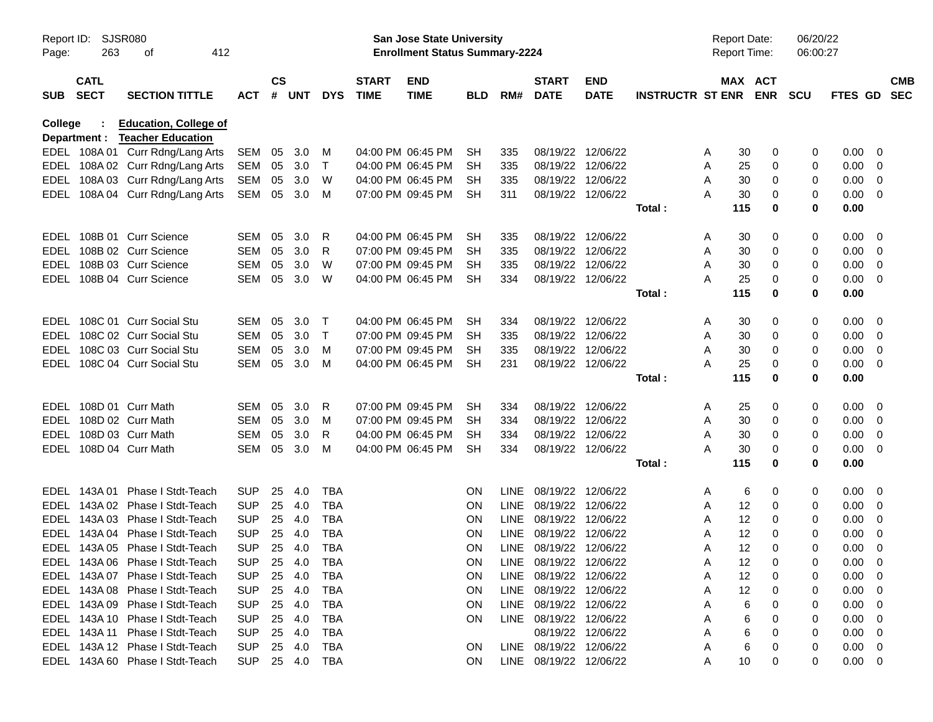| Report ID:<br>Page: | 263                        | <b>SJSR080</b><br>412<br>οf                                        |                          |               |               |            |                             | San Jose State University<br><b>Enrollment Status Summary-2224</b> |                  |             |                             |                           |                         |        | <b>Report Date:</b><br><b>Report Time:</b> | 06/20/22<br>06:00:27 |                     |                         |                          |
|---------------------|----------------------------|--------------------------------------------------------------------|--------------------------|---------------|---------------|------------|-----------------------------|--------------------------------------------------------------------|------------------|-------------|-----------------------------|---------------------------|-------------------------|--------|--------------------------------------------|----------------------|---------------------|-------------------------|--------------------------|
| <b>SUB</b>          | <b>CATL</b><br><b>SECT</b> | <b>SECTION TITTLE</b>                                              | <b>ACT</b>               | $\mathsf{cs}$ | # UNT         | <b>DYS</b> | <b>START</b><br><b>TIME</b> | <b>END</b><br><b>TIME</b>                                          | <b>BLD</b>       | RM#         | <b>START</b><br><b>DATE</b> | <b>END</b><br><b>DATE</b> | <b>INSTRUCTR ST ENR</b> |        | MAX ACT<br><b>ENR</b>                      | <b>SCU</b>           | FTES GD             |                         | <b>CMB</b><br><b>SEC</b> |
| College             | Department :               | <b>Education, College of</b><br><b>Teacher Education</b>           |                          |               |               |            |                             |                                                                    |                  |             |                             |                           |                         |        |                                            |                      |                     |                         |                          |
|                     |                            | EDEL 108A 01 Curr Rdng/Lang Arts                                   | SEM                      | 05            | 3.0           | M          |                             | 04:00 PM 06:45 PM                                                  | SH               | 335         |                             | 08/19/22 12/06/22         |                         | A      | 30<br>0                                    | 0                    | 0.00                | - 0                     |                          |
|                     |                            | EDEL 108A 02 Curr Rdng/Lang Arts                                   | SEM                      | 05            | 3.0           | $\top$     |                             | 04:00 PM 06:45 PM                                                  | <b>SH</b>        | 335         |                             | 08/19/22 12/06/22         |                         | A      | 25<br>0                                    | 0                    | 0.00                | - 0                     |                          |
|                     |                            | EDEL 108A 03 Curr Rdng/Lang Arts                                   | SEM                      | 05            | 3.0           | W          |                             | 04:00 PM 06:45 PM                                                  | <b>SH</b>        | 335         |                             | 08/19/22 12/06/22         |                         | A      | 30<br>0                                    | 0                    | 0.00                | - 0                     |                          |
|                     |                            | EDEL 108A 04 Curr Rdng/Lang Arts                                   | SEM                      | 05            | 3.0           | M          |                             | 07:00 PM 09:45 PM                                                  | <b>SH</b>        | 311         |                             | 08/19/22 12/06/22         |                         | А      | 30<br>0                                    | 0                    | 0.00                | - 0                     |                          |
|                     |                            |                                                                    |                          |               |               |            |                             |                                                                    |                  |             |                             |                           | Total:                  | 115    | 0                                          | 0                    | 0.00                |                         |                          |
|                     |                            | EDEL 108B 01 Curr Science                                          | SEM                      | 05            | 3.0           | R          |                             | 04:00 PM 06:45 PM                                                  | SН               | 335         |                             | 08/19/22 12/06/22         |                         | A      | 30<br>0                                    | 0                    | 0.00                | - 0                     |                          |
|                     |                            | EDEL 108B 02 Curr Science                                          | SEM                      | 05            | 3.0           | R          |                             | 07:00 PM 09:45 PM                                                  | <b>SH</b>        | 335         |                             | 08/19/22 12/06/22         |                         | A      | 30<br>0                                    | 0                    | 0.00                | $\overline{0}$          |                          |
|                     |                            | EDEL 108B 03 Curr Science                                          | SEM                      | 05            | 3.0           | W          |                             | 07:00 PM 09:45 PM                                                  | <b>SH</b>        | 335         |                             | 08/19/22 12/06/22         |                         | A      | 30<br>0                                    | 0                    | 0.00                | $\overline{\mathbf{0}}$ |                          |
|                     |                            | EDEL 108B 04 Curr Science                                          | SEM                      | 05            | 3.0           | W          |                             | 04:00 PM 06:45 PM                                                  | SН               | 334         |                             | 08/19/22 12/06/22         |                         | Α      | 25<br>0                                    | 0                    | 0.00                | - 0                     |                          |
|                     |                            |                                                                    |                          |               |               |            |                             |                                                                    |                  |             |                             |                           | Total:                  | 115    | 0                                          | 0                    | 0.00                |                         |                          |
|                     |                            | EDEL 108C 01 Curr Social Stu                                       | SEM                      | 05            | 3.0           | $\top$     |                             | 04:00 PM 06:45 PM                                                  | SH               | 334         |                             | 08/19/22 12/06/22         |                         | A      | 30<br>0                                    | 0                    | 0.00                | - 0                     |                          |
|                     |                            | EDEL 108C 02 Curr Social Stu                                       | SEM                      | 05            | 3.0           | $\top$     |                             | 07:00 PM 09:45 PM                                                  | <b>SH</b>        | 335         |                             | 08/19/22 12/06/22         |                         | A      | 30<br>0                                    | 0                    | 0.00                | - 0                     |                          |
| EDEL                |                            | 108C 03 Curr Social Stu                                            | SEM                      | 05            | 3.0           | M          |                             | 07:00 PM 09:45 PM                                                  | <b>SH</b>        | 335         |                             | 08/19/22 12/06/22         |                         | Α      | 30<br>0                                    | 0                    | 0.00                | $\overline{\mathbf{0}}$ |                          |
|                     |                            | EDEL 108C 04 Curr Social Stu                                       | SEM                      | 05            | 3.0           | M          |                             | 04:00 PM 06:45 PM                                                  | <b>SH</b>        | 231         |                             | 08/19/22 12/06/22         |                         | А      | 25<br>0                                    | 0                    | 0.00                | - 0                     |                          |
|                     |                            |                                                                    |                          |               |               |            |                             |                                                                    |                  |             |                             |                           | Total:                  | 115    | 0                                          | 0                    | 0.00                |                         |                          |
|                     |                            | EDEL 108D 01 Curr Math                                             | SEM                      | 05            | 3.0           | R          |                             | 07:00 PM 09:45 PM                                                  | SH               | 334         |                             | 08/19/22 12/06/22         |                         | A      | 25<br>0                                    | 0                    | 0.00                | - 0                     |                          |
|                     |                            | EDEL 108D 02 Curr Math                                             | SEM                      | 05            | 3.0           | M          |                             | 07:00 PM 09:45 PM                                                  | <b>SH</b>        | 334         |                             | 08/19/22 12/06/22         |                         | A      | 30<br>0                                    | 0                    | 0.00                | - 0                     |                          |
|                     |                            | EDEL 108D 03 Curr Math                                             | SEM                      | 05            | 3.0           | R          |                             | 04:00 PM 06:45 PM                                                  | <b>SH</b>        | 334         |                             | 08/19/22 12/06/22         |                         | A      | 30<br>0                                    | 0                    | 0.00                | $\overline{\mathbf{0}}$ |                          |
|                     |                            | EDEL 108D 04 Curr Math                                             | SEM                      | 05            | 3.0           | M          |                             | 04:00 PM 06:45 PM                                                  | <b>SH</b>        | 334         |                             | 08/19/22 12/06/22         |                         | Α      | 30<br>0                                    | 0                    | 0.00                | - 0                     |                          |
|                     |                            |                                                                    |                          |               |               |            |                             |                                                                    |                  |             |                             |                           | Total:                  | 115    | 0                                          | 0                    | 0.00                |                         |                          |
|                     |                            | EDEL 143A 01 Phase I Stdt-Teach                                    | <b>SUP</b>               | 25            | 4.0           | TBA        |                             |                                                                    | ON.              |             | LINE 08/19/22 12/06/22      |                           |                         | A      | 6<br>0                                     | 0                    | 0.00                | - 0                     |                          |
|                     |                            | EDEL 143A 02 Phase I Stdt-Teach                                    | <b>SUP</b>               | 25            | 4.0           | <b>TBA</b> |                             |                                                                    | ON.              | <b>LINE</b> | 08/19/22                    | 12/06/22                  |                         | A      | 12<br>0                                    | 0                    | 0.00                | $\overline{0}$          |                          |
| EDEL                |                            | 143A 03 Phase I Stdt-Teach                                         | <b>SUP</b>               | 25            | 4.0           | <b>TBA</b> |                             |                                                                    | ON.              | <b>LINE</b> | 08/19/22 12/06/22           |                           |                         | A      | 12<br>0                                    | 0                    | 0.00                | $\overline{0}$          |                          |
| EDEL                |                            | 143A 04 Phase I Stdt-Teach                                         | <b>SUP</b>               | 25            | 4.0           | <b>TBA</b> |                             |                                                                    | ON               | LINE        | 08/19/22 12/06/22           |                           |                         | A      | 12<br>0                                    | 0                    | 0.00                | 0                       |                          |
|                     |                            | EDEL 143A 05 Phase I Stdt-Teach                                    | <b>SUP</b>               | 25            | 4.0           | <b>TBA</b> |                             |                                                                    | ON.              |             | LINE 08/19/22 12/06/22      |                           |                         | A      | 12<br>0                                    | 0                    | 0.00                | - 0                     |                          |
|                     |                            | EDEL 143A 06 Phase I Stdt-Teach                                    | <b>SUP</b>               | 25            | 4.0           | <b>TBA</b> |                             |                                                                    | ON               |             | LINE 08/19/22 12/06/22      |                           |                         | Α      | 12<br>$\mathbf 0$                          | $\mathbf 0$          | 0.00 0              |                         |                          |
|                     |                            | EDEL 143A 07 Phase I Stdt-Teach                                    | <b>SUP</b>               | 25            | 4.0           | <b>TBA</b> |                             |                                                                    | ON.              |             | LINE 08/19/22 12/06/22      |                           |                         | Α      | 12<br>0                                    | 0                    | 0.00                | - 0                     |                          |
|                     |                            | EDEL 143A 08 Phase I Stdt-Teach                                    | <b>SUP</b>               | 25            | 4.0           | TBA        |                             |                                                                    | ON.              |             | LINE 08/19/22 12/06/22      |                           |                         | Α      | 12<br>0                                    | 0                    | 0.00                | - 0                     |                          |
|                     |                            | EDEL 143A 09 Phase I Stdt-Teach                                    | <b>SUP</b>               | 25            | 4.0           | TBA        |                             |                                                                    | ON.              |             | LINE 08/19/22 12/06/22      |                           |                         | Α      | 6<br>0                                     | 0                    | 0.00                | - 0                     |                          |
|                     |                            | EDEL 143A 10 Phase I Stdt-Teach                                    | <b>SUP</b>               | 25            | 4.0           | TBA        |                             |                                                                    | ON.              |             | LINE 08/19/22 12/06/22      |                           |                         | Α      | 6<br>0                                     | 0                    | 0.00                | - 0                     |                          |
|                     |                            | EDEL 143A 11 Phase I Stdt-Teach                                    | <b>SUP</b>               | 25            | 4.0           | TBA        |                             |                                                                    |                  |             | LINE 08/19/22 12/06/22      | 08/19/22 12/06/22         |                         | Α      | 6<br>0                                     | 0<br>0               | 0.00                | - 0<br>- 0              |                          |
|                     |                            | EDEL 143A 12 Phase I Stdt-Teach<br>EDEL 143A 60 Phase I Stdt-Teach | <b>SUP</b><br><b>SUP</b> | 25            | 4.0<br>25 4.0 | TBA<br>TBA |                             |                                                                    | <b>ON</b><br>ON. |             | LINE 08/19/22 12/06/22      |                           |                         | Α<br>A | 6<br>0<br>10<br>0                          | 0                    | 0.00<br>$0.00 \t 0$ |                         |                          |
|                     |                            |                                                                    |                          |               |               |            |                             |                                                                    |                  |             |                             |                           |                         |        |                                            |                      |                     |                         |                          |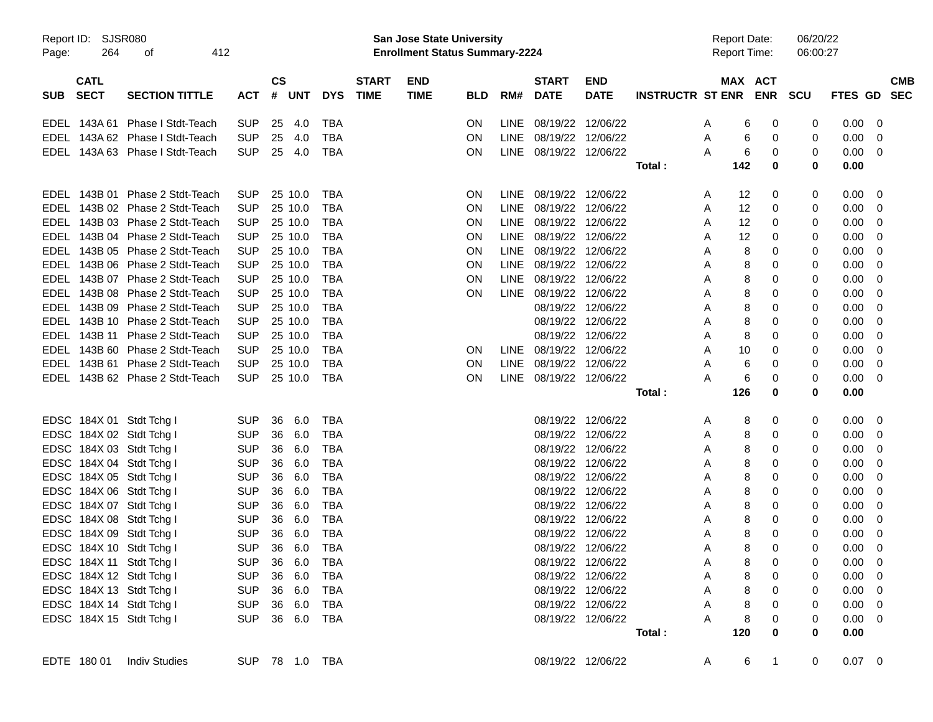| Report ID: |             | SJSR080                         |            |                |            |              | San Jose State University             |            |      |                        |                   |                         | <b>Report Date:</b> |                     | 06/20/22 |             |            |  |
|------------|-------------|---------------------------------|------------|----------------|------------|--------------|---------------------------------------|------------|------|------------------------|-------------------|-------------------------|---------------------|---------------------|----------|-------------|------------|--|
| Page:      | 264         | 412<br>οf                       |            |                |            |              | <b>Enrollment Status Summary-2224</b> |            |      |                        |                   |                         |                     | <b>Report Time:</b> | 06:00:27 |             |            |  |
|            | <b>CATL</b> |                                 |            | <b>CS</b>      |            | <b>START</b> | <b>END</b>                            |            |      | <b>START</b>           | <b>END</b>        |                         |                     | MAX ACT             |          |             | <b>CMB</b> |  |
| <b>SUB</b> | <b>SECT</b> | <b>SECTION TITTLE</b>           | <b>ACT</b> | # UNT          | <b>DYS</b> | <b>TIME</b>  | <b>TIME</b>                           | <b>BLD</b> | RM#  | <b>DATE</b>            | <b>DATE</b>       | <b>INSTRUCTR ST ENR</b> |                     | <b>ENR</b>          | SCU      | FTES GD SEC |            |  |
|            |             | EDEL 143A 61 Phase I Stdt-Teach | <b>SUP</b> | 25<br>-4.0     | TBA        |              |                                       | <b>ON</b>  |      | LINE 08/19/22 12/06/22 |                   |                         | A                   | 0<br>6              | 0        | $0.00 \t 0$ |            |  |
|            |             | EDEL 143A 62 Phase I Stdt-Teach | <b>SUP</b> | 25<br>4.0      | <b>TBA</b> |              |                                       | ON         |      | LINE 08/19/22 12/06/22 |                   |                         | Α                   | 0<br>6              | 0        | $0.00 \t 0$ |            |  |
|            |             | EDEL 143A 63 Phase I Stdt-Teach | <b>SUP</b> | 25 4.0         | TBA        |              |                                       | ON         |      | LINE 08/19/22 12/06/22 |                   |                         | A                   | 0<br>6              | 0        | $0.00 \t 0$ |            |  |
|            |             |                                 |            |                |            |              |                                       |            |      |                        |                   | Total:                  | 142                 | 0                   | 0        | 0.00        |            |  |
|            |             | EDEL 143B 01 Phase 2 Stdt-Teach | <b>SUP</b> | 25 10.0        | TBA        |              |                                       | <b>ON</b>  |      | LINE 08/19/22 12/06/22 |                   |                         | A                   | 0<br>12             | 0        | $0.00 \t 0$ |            |  |
|            |             | EDEL 143B 02 Phase 2 Stdt-Teach | <b>SUP</b> | 25 10.0        | <b>TBA</b> |              |                                       | ON         |      | LINE 08/19/22 12/06/22 |                   |                         | A                   | 12<br>0             | 0        | $0.00 \t 0$ |            |  |
|            |             | EDEL 143B 03 Phase 2 Stdt-Teach | <b>SUP</b> | 25 10.0        | <b>TBA</b> |              |                                       | ON         |      | LINE 08/19/22 12/06/22 |                   |                         | A                   | 0<br>12             | 0        | $0.00 \t 0$ |            |  |
|            |             | EDEL 143B 04 Phase 2 Stdt-Teach | <b>SUP</b> | 25 10.0        | <b>TBA</b> |              |                                       | ON         |      | LINE 08/19/22 12/06/22 |                   |                         | A                   | 12<br>0             | 0        | $0.00 \ 0$  |            |  |
|            |             | EDEL 143B 05 Phase 2 Stdt-Teach | <b>SUP</b> | 25 10.0        | <b>TBA</b> |              |                                       | ON         |      | LINE 08/19/22 12/06/22 |                   |                         | A                   | 8<br>0              | 0        | $0.00 \t 0$ |            |  |
|            |             | EDEL 143B 06 Phase 2 Stdt-Teach | <b>SUP</b> | 25 10.0        | <b>TBA</b> |              |                                       | ON         |      | LINE 08/19/22 12/06/22 |                   |                         | A                   | 8<br>0              | 0        | $0.00 \t 0$ |            |  |
|            |             | EDEL 143B 07 Phase 2 Stdt-Teach | <b>SUP</b> | 25 10.0        | <b>TBA</b> |              |                                       | ON         |      | LINE 08/19/22 12/06/22 |                   |                         | A                   | 8<br>0              | 0        | $0.00 \t 0$ |            |  |
|            |             | EDEL 143B 08 Phase 2 Stdt-Teach | <b>SUP</b> | 25 10.0        | <b>TBA</b> |              |                                       | ON         |      | LINE 08/19/22 12/06/22 |                   |                         | A                   | 8<br>0              | 0        | $0.00 \t 0$ |            |  |
|            |             | EDEL 143B 09 Phase 2 Stdt-Teach | <b>SUP</b> | 25 10.0        | <b>TBA</b> |              |                                       |            |      | 08/19/22 12/06/22      |                   |                         | A                   | 0<br>8              | 0        | $0.00 \t 0$ |            |  |
|            |             | EDEL 143B 10 Phase 2 Stdt-Teach | <b>SUP</b> | 25 10.0        | <b>TBA</b> |              |                                       |            |      | 08/19/22 12/06/22      |                   |                         | Α                   | 8<br>0              | 0        | $0.00 \t 0$ |            |  |
|            |             | EDEL 143B 11 Phase 2 Stdt-Teach | <b>SUP</b> | 25 10.0        | <b>TBA</b> |              |                                       |            |      | 08/19/22 12/06/22      |                   |                         | Α                   | 0<br>8              | 0        | $0.00 \t 0$ |            |  |
|            |             | EDEL 143B 60 Phase 2 Stdt-Teach | <b>SUP</b> | 25 10.0        | <b>TBA</b> |              |                                       | <b>ON</b>  | LINE | 08/19/22 12/06/22      |                   |                         | Α                   | 10<br>0             | 0        | $0.00 \t 0$ |            |  |
|            |             | EDEL 143B 61 Phase 2 Stdt-Teach | <b>SUP</b> | 25 10.0        | <b>TBA</b> |              |                                       | ON         |      | LINE 08/19/22 12/06/22 |                   |                         | Α                   | 6<br>0              | 0        | $0.00 \ 0$  |            |  |
|            |             | EDEL 143B 62 Phase 2 Stdt-Teach | <b>SUP</b> | 25 10.0        | <b>TBA</b> |              |                                       | ON         |      | LINE 08/19/22 12/06/22 |                   |                         | Α                   | 6<br>0              | 0        | $0.00 \t 0$ |            |  |
|            |             |                                 |            |                |            |              |                                       |            |      |                        |                   | Total :                 | 126                 | 0                   | 0        | 0.00        |            |  |
|            |             |                                 |            |                |            |              |                                       |            |      |                        |                   |                         |                     |                     |          |             |            |  |
|            |             | EDSC 184X 01 Stdt Tchg I        | <b>SUP</b> | 36<br>6.0      | TBA        |              |                                       |            |      | 08/19/22 12/06/22      |                   |                         | A                   | 0<br>8              | 0        | $0.00 \t 0$ |            |  |
|            |             | EDSC 184X 02 Stdt Tchg I        | <b>SUP</b> | 36<br>6.0      | TBA        |              |                                       |            |      | 08/19/22 12/06/22      |                   |                         | A                   | 0<br>8              | 0        | $0.00 \t 0$ |            |  |
|            |             | EDSC 184X 03 Stdt Tchg I        | <b>SUP</b> | 36<br>6.0      | <b>TBA</b> |              |                                       |            |      | 08/19/22 12/06/22      |                   |                         | A                   | 8<br>0              | 0        | $0.00 \t 0$ |            |  |
|            |             | EDSC 184X 04 Stdt Tchg I        | <b>SUP</b> | 36<br>6.0      | <b>TBA</b> |              |                                       |            |      | 08/19/22 12/06/22      |                   |                         | A                   | 8<br>0              | 0        | $0.00 \t 0$ |            |  |
|            |             | EDSC 184X 05 Stdt Tchg I        | <b>SUP</b> | 36<br>6.0      | <b>TBA</b> |              |                                       |            |      | 08/19/22 12/06/22      |                   |                         | A                   | 8<br>0              | 0        | $0.00 \t 0$ |            |  |
|            |             | EDSC 184X 06 Stdt Tchg I        | <b>SUP</b> | 36<br>6.0      | <b>TBA</b> |              |                                       |            |      | 08/19/22 12/06/22      |                   |                         | A                   | 8<br>0              | 0        | $0.00 \ 0$  |            |  |
|            |             | EDSC 184X 07 Stdt Tchg I        | <b>SUP</b> | 36<br>6.0      | <b>TBA</b> |              |                                       |            |      | 08/19/22 12/06/22      |                   |                         | A                   | 8<br>0              | 0        | $0.00 \ 0$  |            |  |
|            |             | EDSC 184X 08 Stdt Tchg I        | <b>SUP</b> | 36<br>6.0      | <b>TBA</b> |              |                                       |            |      | 08/19/22 12/06/22      |                   |                         | A                   | 8<br>0              | 0        | $0.00 \ 0$  |            |  |
|            |             | EDSC 184X 09 Stdt Tchg I        | SUP        | 36<br>6.0      | <b>TBA</b> |              |                                       |            |      | 08/19/22 12/06/22      |                   |                         | A                   | 8<br>0              | 0        | $0.00 \ 0$  |            |  |
|            |             | EDSC 184X 10 Stdt Tchg I        | <b>SUP</b> | 36<br>6.0      | <b>TBA</b> |              |                                       |            |      | 08/19/22 12/06/22      |                   |                         | A                   | 8<br>$\Omega$       | 0        | 0.00        | - 0        |  |
|            |             | EDSC 184X 11 Stdt Tchg I        |            | SUP 36 6.0 TBA |            |              |                                       |            |      | 08/19/22 12/06/22      |                   |                         | A                   | 8<br>0              | 0        | $0.00 \t 0$ |            |  |
|            |             | EDSC 184X 12 Stdt Tchg I        | <b>SUP</b> | 36 6.0         | TBA        |              |                                       |            |      | 08/19/22 12/06/22      |                   |                         | A                   | 8<br>0              | 0        | $0.00 \t 0$ |            |  |
|            |             | EDSC 184X 13 Stdt Tchg I        | <b>SUP</b> | 36 6.0         | <b>TBA</b> |              |                                       |            |      | 08/19/22 12/06/22      |                   |                         | Α                   | 8<br>0              |          | $0.00 \t 0$ |            |  |
|            |             | EDSC 184X 14 Stdt Tchg I        | <b>SUP</b> | 36 6.0         | <b>TBA</b> |              |                                       |            |      | 08/19/22 12/06/22      |                   |                         | Α                   | 8<br>0              | 0        | $0.00 \t 0$ |            |  |
|            |             | EDSC 184X 15 Stdt Tchg I        | <b>SUP</b> | 36 6.0 TBA     |            |              |                                       |            |      |                        | 08/19/22 12/06/22 |                         | A                   | 8<br>0              |          | $0.00 \t 0$ |            |  |
|            |             |                                 |            |                |            |              |                                       |            |      |                        |                   | Total:                  | 120                 | 0                   | 0        | 0.00        |            |  |
|            |             | EDTE 180 01 Indiv Studies       |            | SUP 78 1.0 TBA |            |              |                                       |            |      | 08/19/22 12/06/22      |                   |                         | A                   | 6<br>$\mathbf{1}$   | 0        | $0.07$ 0    |            |  |
|            |             |                                 |            |                |            |              |                                       |            |      |                        |                   |                         |                     |                     |          |             |            |  |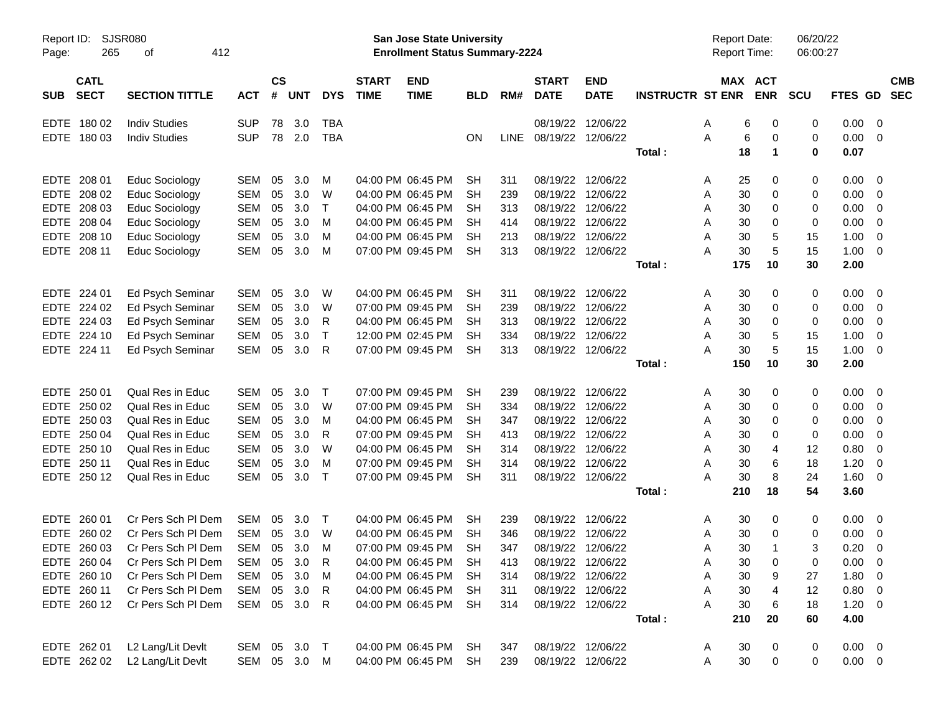| Report ID:<br>265<br>Page:               | <b>SJSR080</b><br>412<br>οf |              |                |            |              |                             | <b>San Jose State University</b><br><b>Enrollment Status Summary-2224</b> |            |             |                             |                           |                         | <b>Report Date:</b><br>Report Time: |         |                      | 06/20/22<br>06:00:27 |                |                          |                          |
|------------------------------------------|-----------------------------|--------------|----------------|------------|--------------|-----------------------------|---------------------------------------------------------------------------|------------|-------------|-----------------------------|---------------------------|-------------------------|-------------------------------------|---------|----------------------|----------------------|----------------|--------------------------|--------------------------|
| <b>CATL</b><br><b>SECT</b><br><b>SUB</b> | <b>SECTION TITTLE</b>       | <b>ACT</b>   | <b>CS</b><br># | <b>UNT</b> | <b>DYS</b>   | <b>START</b><br><b>TIME</b> | <b>END</b><br><b>TIME</b>                                                 | <b>BLD</b> | RM#         | <b>START</b><br><b>DATE</b> | <b>END</b><br><b>DATE</b> | <b>INSTRUCTR ST ENR</b> |                                     | MAX ACT | <b>ENR</b>           | <b>SCU</b>           | <b>FTES GD</b> |                          | <b>CMB</b><br><b>SEC</b> |
| EDTE 180 02                              | <b>Indiv Studies</b>        | <b>SUP</b>   | 78             | 3.0        | <b>TBA</b>   |                             |                                                                           |            |             |                             | 08/19/22 12/06/22         |                         | A                                   | 6       | 0                    | 0                    | 0.00           | - 0                      |                          |
| EDTE 180 03                              | <b>Indiv Studies</b>        | <b>SUP</b>   |                | 78 2.0     | <b>TBA</b>   |                             |                                                                           | ΟN         | <b>LINE</b> | 08/19/22 12/06/22           |                           |                         | A                                   | 6       | 0                    | 0                    | 0.00           | - 0                      |                          |
|                                          |                             |              |                |            |              |                             |                                                                           |            |             |                             |                           | Total:                  |                                     | 18      | $\blacktriangleleft$ | 0                    | 0.07           |                          |                          |
| EDTE 208 01                              | <b>Educ Sociology</b>       | SEM          | 05             | 3.0        | м            |                             | 04:00 PM 06:45 PM                                                         | SН         | 311         |                             | 08/19/22 12/06/22         |                         | A                                   | 25      | 0                    | 0                    | 0.00           | - 0                      |                          |
| EDTE 208 02                              | <b>Educ Sociology</b>       | <b>SEM</b>   | 05             | 3.0        | W            |                             | 04:00 PM 06:45 PM                                                         | SН         | 239         |                             | 08/19/22 12/06/22         |                         | A                                   | 30      | 0                    | 0                    | 0.00           | 0                        |                          |
| EDTE 208 03                              | Educ Sociology              | <b>SEM</b>   | 05             | 3.0        | $\mathsf{T}$ |                             | 04:00 PM 06:45 PM                                                         | SН         | 313         |                             | 08/19/22 12/06/22         |                         | A                                   | 30      | 0                    | 0                    | 0.00           | 0                        |                          |
| EDTE 208 04                              | Educ Sociology              | <b>SEM</b>   | 05             | 3.0        | м            |                             | 04:00 PM 06:45 PM                                                         | SН         | 414         |                             | 08/19/22 12/06/22         |                         | A                                   | 30      | 0                    | 0                    | 0.00           | 0                        |                          |
| EDTE 208 10                              | Educ Sociology              | <b>SEM</b>   | 05             | 3.0        | м            |                             | 04:00 PM 06:45 PM                                                         | SН         | 213         |                             | 08/19/22 12/06/22         |                         | A                                   | 30      | 5                    | 15                   | 1.00           | 0                        |                          |
| EDTE 208 11                              | <b>Educ Sociology</b>       | <b>SEM</b>   | 05             | 3.0        | м            |                             | 07:00 PM 09:45 PM                                                         | <b>SH</b>  | 313         | 08/19/22 12/06/22           |                           |                         | А                                   | 30      | 5                    | 15                   | 1.00           | - 0                      |                          |
|                                          |                             |              |                |            |              |                             |                                                                           |            |             |                             |                           | Total:                  |                                     | 175     | 10                   | 30                   | 2.00           |                          |                          |
| EDTE 224 01                              | Ed Psych Seminar            | SEM          | 05             | 3.0        | W            |                             | 04:00 PM 06:45 PM                                                         | SН         | 311         |                             | 08/19/22 12/06/22         |                         | A                                   | 30      | 0                    | 0                    | 0.00           | $\overline{\mathbf{0}}$  |                          |
| EDTE 224 02                              | Ed Psych Seminar            | <b>SEM</b>   | 05             | 3.0        | W            |                             | 07:00 PM 09:45 PM                                                         | SН         | 239         | 08/19/22 12/06/22           |                           |                         | A                                   | 30      | 0                    | 0                    | 0.00           | 0                        |                          |
| EDTE 224 03                              | Ed Psych Seminar            | <b>SEM</b>   | 05             | 3.0        | R            |                             | 04:00 PM 06:45 PM                                                         | SН         | 313         |                             | 08/19/22 12/06/22         |                         | A                                   | 30      | 0                    | 0                    | 0.00           | 0                        |                          |
| EDTE 224 10                              | Ed Psych Seminar            | <b>SEM</b>   | 05             | 3.0        | $\mathsf{T}$ |                             | 12:00 PM 02:45 PM                                                         | SН         | 334         |                             | 08/19/22 12/06/22         |                         | A                                   | 30      | 5                    | 15                   | 1.00           | 0                        |                          |
| EDTE 224 11                              | Ed Psych Seminar            | <b>SEM</b>   | 05             | 3.0        | R            |                             | 07:00 PM 09:45 PM                                                         | <b>SH</b>  | 313         | 08/19/22 12/06/22           |                           |                         | А                                   | 30      | 5                    | 15                   | 1.00           | - 0                      |                          |
|                                          |                             |              |                |            |              |                             |                                                                           |            |             |                             |                           | Total:                  |                                     | 150     | 10                   | 30                   | 2.00           |                          |                          |
| EDTE 250 01                              | <b>Qual Res in Educ</b>     | SEM          | 05             | 3.0        | $\mathsf{T}$ |                             | 07:00 PM 09:45 PM                                                         | SН         | 239         |                             | 08/19/22 12/06/22         |                         | A                                   | 30      | 0                    | 0                    | 0.00           | $\overline{\phantom{0}}$ |                          |
| EDTE 250 02                              | <b>Qual Res in Educ</b>     | <b>SEM</b>   | 05             | 3.0        | W            |                             | 07:00 PM 09:45 PM                                                         | SН         | 334         |                             | 08/19/22 12/06/22         |                         | A                                   | 30      | 0                    | 0                    | 0.00           | 0                        |                          |
| EDTE 250 03                              | <b>Qual Res in Educ</b>     | <b>SEM</b>   | 05             | 3.0        | м            |                             | 04:00 PM 06:45 PM                                                         | SН         | 347         | 08/19/22 12/06/22           |                           |                         | A                                   | 30      | 0                    | 0                    | 0.00           | 0                        |                          |
| EDTE 250 04                              | <b>Qual Res in Educ</b>     | <b>SEM</b>   | 05             | 3.0        | R            |                             | 07:00 PM 09:45 PM                                                         | SН         | 413         | 08/19/22 12/06/22           |                           |                         | A                                   | 30      | 0                    | 0                    | 0.00           | 0                        |                          |
| EDTE 250 10                              | <b>Qual Res in Educ</b>     | <b>SEM</b>   | 05             | 3.0        | W            |                             | 04:00 PM 06:45 PM                                                         | SН         | 314         |                             | 08/19/22 12/06/22         |                         | Α                                   | 30      | 4                    | 12                   | 0.80           | 0                        |                          |
| EDTE 250 11                              | <b>Qual Res in Educ</b>     | <b>SEM</b>   | 05             | 3.0        | м            |                             | 07:00 PM 09:45 PM                                                         | SН         | 314         |                             | 08/19/22 12/06/22         |                         | A                                   | 30      | 6                    | 18                   | 1.20           | 0                        |                          |
| EDTE 250 12                              | <b>Qual Res in Educ</b>     | SEM          | 05             | 3.0        | $\mathsf{T}$ |                             | 07:00 PM 09:45 PM                                                         | <b>SH</b>  | 311         | 08/19/22 12/06/22           |                           |                         | Α                                   | 30      | 8                    | 24                   | 1.60           | - 0                      |                          |
|                                          |                             |              |                |            |              |                             |                                                                           |            |             |                             |                           | Total:                  |                                     | 210     | 18                   | 54                   | 3.60           |                          |                          |
| EDTE 260 01                              | Cr Pers Sch PI Dem          | SEM          | 05             | 3.0        | $\top$       |                             | 04:00 PM 06:45 PM                                                         | SН         | 239         |                             | 08/19/22 12/06/22         |                         | A                                   | 30      | 0                    | 0                    | 0.00           | $\overline{\mathbf{0}}$  |                          |
| EDTE.<br>260 02                          | Cr Pers Sch PI Dem          | <b>SEM</b>   | 05             | 3.0        | W            |                             | 04:00 PM 06:45 PM                                                         | SН         | 346         | 08/19/22 12/06/22           |                           |                         | A                                   | 30      | 0                    | 0                    | 0.00           | 0                        |                          |
| EDTE 260 03                              | Cr Pers Sch PI Dem          | <b>SEM</b>   | 05             | 3.0        | M            |                             | 07:00 PM 09:45 PM                                                         | <b>SH</b>  | 347         | 08/19/22 12/06/22           |                           |                         | A                                   | 30      | -1                   | 3                    | 0.20           | - 0                      |                          |
| EDTE 260 04                              | Cr Pers Sch PI Dem          | SEM          | 05             | 3.0        | R            |                             | 04:00 PM 06:45 PM                                                         | SH         | 413         | 08/19/22 12/06/22           |                           |                         | A                                   | 30      | 0                    | 0                    | $0.00\,$       | $\overline{\phantom{0}}$ |                          |
| EDTE 260 10                              | Cr Pers Sch Pl Dem          | SEM          | 05             | 3.0        | M            |                             | 04:00 PM 06:45 PM                                                         | SH         | 314         |                             | 08/19/22 12/06/22         |                         | Α                                   | 30      | 9                    | 27                   | 1.80 0         |                          |                          |
| EDTE 260 11                              | Cr Pers Sch Pl Dem          | SEM          |                | 05 3.0     | R            |                             | 04:00 PM 06:45 PM                                                         | SH         | 311         |                             | 08/19/22 12/06/22         |                         | Α                                   | 30      | 4                    | 12                   | 0.80 0         |                          |                          |
| EDTE 260 12                              | Cr Pers Sch Pl Dem          | SEM 05 3.0 R |                |            |              |                             | 04:00 PM 06:45 PM                                                         | SH         | 314         |                             | 08/19/22 12/06/22         |                         | Α                                   | 30      | 6                    | 18                   | $1.20 \t 0$    |                          |                          |
|                                          |                             |              |                |            |              |                             |                                                                           |            |             |                             |                           | Total:                  |                                     | 210     | 20                   | 60                   | 4.00           |                          |                          |
| EDTE 262 01                              | L2 Lang/Lit Devlt           | SEM 05 3.0 T |                |            |              |                             | 04:00 PM 06:45 PM                                                         | SH         | 347         |                             | 08/19/22 12/06/22         |                         | A                                   | 30      | 0                    | 0                    | $0.00 \t 0$    |                          |                          |
| EDTE 262 02                              | L2 Lang/Lit Devlt           | SEM 05 3.0 M |                |            |              |                             | 04:00 PM 06:45 PM                                                         | SH         | 239         |                             | 08/19/22 12/06/22         |                         | Α                                   | $30\,$  | 0                    | 0                    | $0.00 \t 0$    |                          |                          |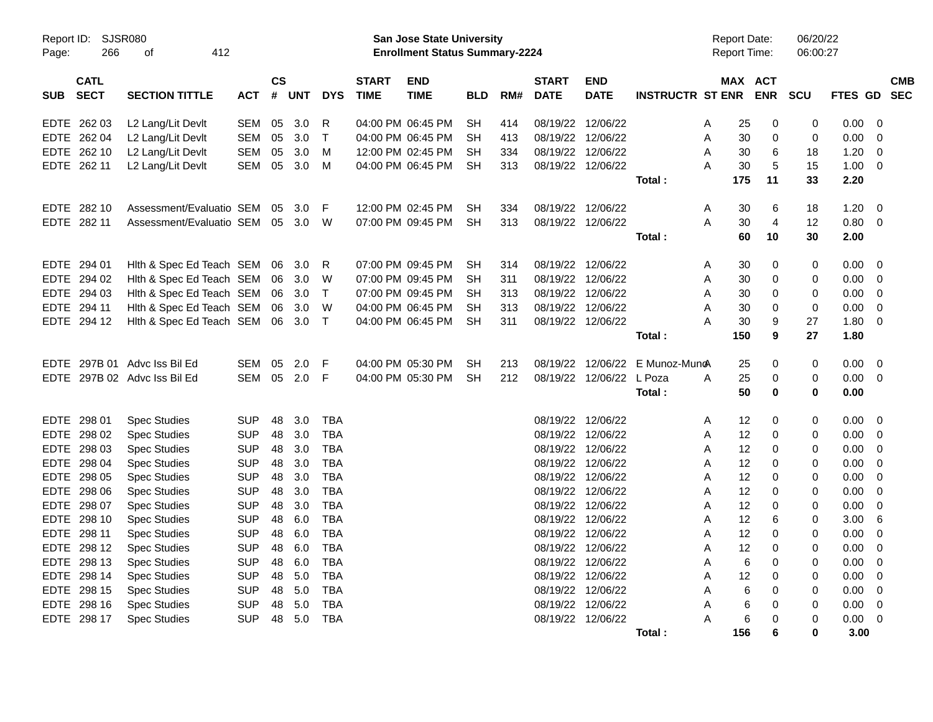| Report ID:<br>Page: | <b>SJSR080</b><br>266      | 412<br>of                    |            |         |     |              |                             | San Jose State University<br><b>Enrollment Status Summary-2224</b> |            |     |                             |                           |                         | <b>Report Date:</b><br><b>Report Time:</b> |     |                       | 06/20/22<br>06:00:27 |         |                |                          |
|---------------------|----------------------------|------------------------------|------------|---------|-----|--------------|-----------------------------|--------------------------------------------------------------------|------------|-----|-----------------------------|---------------------------|-------------------------|--------------------------------------------|-----|-----------------------|----------------------|---------|----------------|--------------------------|
| <b>SUB</b>          | <b>CATL</b><br><b>SECT</b> | <b>SECTION TITTLE</b>        | <b>ACT</b> | CS<br># | UNT | <b>DYS</b>   | <b>START</b><br><b>TIME</b> | <b>END</b><br><b>TIME</b>                                          | <b>BLD</b> | RM# | <b>START</b><br><b>DATE</b> | <b>END</b><br><b>DATE</b> | <b>INSTRUCTR ST ENR</b> |                                            |     | MAX ACT<br><b>ENR</b> | <b>SCU</b>           | FTES GD |                | <b>CMB</b><br><b>SEC</b> |
| EDTE                | 262 03                     | L2 Lang/Lit Devlt            | <b>SEM</b> | 05      | 3.0 | R            |                             | 04:00 PM 06:45 PM                                                  | <b>SH</b>  | 414 | 08/19/22                    | 12/06/22                  |                         | A                                          | 25  | 0                     | 0                    | 0.00    | $\mathbf 0$    |                          |
|                     | EDTE 262 04                | L2 Lang/Lit Devlt            | <b>SEM</b> | 05      | 3.0 | $\mathsf{T}$ |                             | 04:00 PM 06:45 PM                                                  | SH         | 413 |                             | 08/19/22 12/06/22         |                         | A                                          | 30  | $\mathbf 0$           | 0                    | 0.00    | 0              |                          |
| EDTE                | 262 10                     | L2 Lang/Lit Devlt            | SEM        | 05      | 3.0 | M            |                             | 12:00 PM 02:45 PM                                                  | SН         | 334 |                             | 08/19/22 12/06/22         |                         | A                                          | 30  | 6                     | 18                   | 1.20    | 0              |                          |
|                     | EDTE 262 11                | L2 Lang/Lit Devlt            | SEM        | 05      | 3.0 | M            |                             | 04:00 PM 06:45 PM                                                  | <b>SH</b>  | 313 |                             | 08/19/22 12/06/22         |                         | A                                          | 30  | 5                     | 15                   | 1.00    | $\mathbf 0$    |                          |
|                     |                            |                              |            |         |     |              |                             |                                                                    |            |     |                             |                           | Total:                  |                                            | 175 | 11                    | 33                   | 2.20    |                |                          |
|                     | EDTE 282 10                | Assessment/Evaluatio SEM     |            | 05      | 3.0 | F            |                             | 12:00 PM 02:45 PM                                                  | <b>SH</b>  | 334 |                             | 08/19/22 12/06/22         |                         | A                                          | 30  | 6                     | 18                   | 1.20    | 0              |                          |
|                     | EDTE 282 11                | Assessment/Evaluatio SEM     |            | 05      | 3.0 | W            |                             | 07:00 PM 09:45 PM                                                  | <b>SH</b>  | 313 |                             | 08/19/22 12/06/22         |                         | A                                          | 30  | $\overline{4}$        | 12                   | 0.80    | $\overline{0}$ |                          |
|                     |                            |                              |            |         |     |              |                             |                                                                    |            |     |                             |                           | Total:                  |                                            | 60  | 10                    | 30                   | 2.00    |                |                          |
|                     | EDTE 294 01                | Hith & Spec Ed Teach SEM     |            | 06      | 3.0 | R            |                             | 07:00 PM 09:45 PM                                                  | <b>SH</b>  | 314 |                             | 08/19/22 12/06/22         |                         | A                                          | 30  | $\mathbf 0$           | 0                    | 0.00    | $\Omega$       |                          |
| EDTE                | 294 02                     | Hith & Spec Ed Teach SEM     |            | 06      | 3.0 | W            |                             | 07:00 PM 09:45 PM                                                  | <b>SH</b>  | 311 |                             | 08/19/22 12/06/22         |                         | A                                          | 30  | 0                     | 0                    | 0.00    | $\mathbf 0$    |                          |
|                     | EDTE 294 03                | Hith & Spec Ed Teach SEM     |            | 06      | 3.0 | $\mathsf{T}$ |                             | 07:00 PM 09:45 PM                                                  | <b>SH</b>  | 313 |                             | 08/19/22 12/06/22         |                         | A                                          | 30  | $\mathbf 0$           | 0                    | 0.00    | $\mathbf 0$    |                          |
| EDTE                | 294 11                     | Hith & Spec Ed Teach SEM     |            | 06      | 3.0 | W            |                             | 04:00 PM 06:45 PM                                                  | SН         | 313 |                             | 08/19/22 12/06/22         |                         | A                                          | 30  | 0                     | 0                    | 0.00    | 0              |                          |
|                     | EDTE 294 12                | Hith & Spec Ed Teach SEM     |            | 06      | 3.0 | $\top$       |                             | 04:00 PM 06:45 PM                                                  | <b>SH</b>  | 311 |                             | 08/19/22 12/06/22         |                         | A                                          | 30  | 9                     | 27                   | 1.80    | 0              |                          |
|                     |                            |                              |            |         |     |              |                             |                                                                    |            |     |                             |                           | Total:                  |                                            | 150 | 9                     | 27                   | 1.80    |                |                          |
| <b>EDTE</b>         |                            | 297B 01 Advc Iss Bil Ed      | SEM        | 05      | 2.0 | F            |                             | 04:00 PM 05:30 PM                                                  | <b>SH</b>  | 213 |                             | 08/19/22 12/06/22         | E Munoz-Muno            |                                            | 25  | 0                     | 0                    | 0.00    | 0              |                          |
|                     |                            | EDTE 297B 02 Advc Iss Bil Ed | <b>SEM</b> | 05      | 2.0 | -F           |                             | 04:00 PM 05:30 PM                                                  | <b>SH</b>  | 212 |                             | 08/19/22 12/06/22 L Poza  |                         | A                                          | 25  | 0                     | 0                    | 0.00    | - 0            |                          |
|                     |                            |                              |            |         |     |              |                             |                                                                    |            |     |                             |                           | Total:                  |                                            | 50  | $\mathbf 0$           | 0                    | 0.00    |                |                          |
| EDTE                | 298 01                     | <b>Spec Studies</b>          | <b>SUP</b> | 48      | 3.0 | <b>TBA</b>   |                             |                                                                    |            |     |                             | 08/19/22 12/06/22         |                         | A                                          | 12  | 0                     | 0                    | 0.00    | 0              |                          |
|                     | EDTE 298 02                | <b>Spec Studies</b>          | <b>SUP</b> | 48      | 3.0 | <b>TBA</b>   |                             |                                                                    |            |     |                             | 08/19/22 12/06/22         |                         | A                                          | 12  | 0                     | 0                    | 0.00    | $\Omega$       |                          |
| EDTE                | 298 03                     | <b>Spec Studies</b>          | <b>SUP</b> | 48      | 3.0 | <b>TBA</b>   |                             |                                                                    |            |     | 08/19/22                    | 12/06/22                  |                         | A                                          | 12  | 0                     | 0                    | 0.00    | 0              |                          |
| EDTE                | 298 04                     | <b>Spec Studies</b>          | <b>SUP</b> | 48      | 3.0 | <b>TBA</b>   |                             |                                                                    |            |     |                             | 08/19/22 12/06/22         |                         | A                                          | 12  | 0                     | 0                    | 0.00    | 0              |                          |
| EDTE                | 298 05                     | <b>Spec Studies</b>          | <b>SUP</b> | 48      | 3.0 | <b>TBA</b>   |                             |                                                                    |            |     |                             | 08/19/22 12/06/22         |                         | A                                          | 12  | 0                     | 0                    | 0.00    | 0              |                          |
| EDTE.               | 298 06                     | <b>Spec Studies</b>          | <b>SUP</b> | 48      | 3.0 | <b>TBA</b>   |                             |                                                                    |            |     |                             | 08/19/22 12/06/22         |                         | A                                          | 12  | 0                     | 0                    | 0.00    | $\mathbf 0$    |                          |
| EDTE                | 298 07                     | <b>Spec Studies</b>          | <b>SUP</b> | 48      | 3.0 | <b>TBA</b>   |                             |                                                                    |            |     |                             | 08/19/22 12/06/22         |                         | A                                          | 12  | 0                     | 0                    | 0.00    | 0              |                          |
| EDTE                | 298 10                     | <b>Spec Studies</b>          | <b>SUP</b> | 48      | 6.0 | <b>TBA</b>   |                             |                                                                    |            |     |                             | 08/19/22 12/06/22         |                         | A                                          | 12  | 6                     | 0                    | 3.00    | 6              |                          |
|                     | EDTE 298 11                | <b>Spec Studies</b>          | <b>SUP</b> | 48      | 6.0 | <b>TBA</b>   |                             |                                                                    |            |     |                             | 08/19/22 12/06/22         |                         | A                                          | 12  | 0                     | 0                    | 0.00    | $\mathbf 0$    |                          |
| EDTE                | 298 12                     | <b>Spec Studies</b>          | <b>SUP</b> | 48      | 6.0 | <b>TBA</b>   |                             |                                                                    |            |     | 08/19/22                    | 12/06/22                  |                         | A                                          | 12  | $\Omega$              | 0                    | 0.00    | $\mathbf 0$    |                          |
|                     | EDTE 298 13                | <b>Spec Studies</b>          | <b>SUP</b> | 48      | 6.0 | <b>TBA</b>   |                             |                                                                    |            |     |                             | 08/19/22 12/06/22         |                         | Α                                          | 6   | 0                     | 0                    | 0.00    | 0              |                          |
| EDTE                | 298 14                     | <b>Spec Studies</b>          | <b>SUP</b> | 48      | 5.0 | <b>TBA</b>   |                             |                                                                    |            |     |                             | 08/19/22 12/06/22         |                         | A                                          | 12  | 0                     | 0                    | 0.00    | 0              |                          |
|                     | EDTE 298 15                | <b>Spec Studies</b>          | <b>SUP</b> | 48      | 5.0 | <b>TBA</b>   |                             |                                                                    |            |     |                             | 08/19/22 12/06/22         |                         | A                                          | 6   | 0                     | 0                    | 0.00    | 0              |                          |
| EDTE.               | 298 16                     | <b>Spec Studies</b>          | <b>SUP</b> | 48      | 5.0 | <b>TBA</b>   |                             |                                                                    |            |     |                             | 08/19/22 12/06/22         |                         | A                                          | 6   | 0                     | 0                    | 0.00    | 0              |                          |
|                     | EDTE 298 17                | <b>Spec Studies</b>          | <b>SUP</b> | 48      | 5.0 | <b>TBA</b>   |                             |                                                                    |            |     |                             | 08/19/22 12/06/22         |                         | A                                          | 6   | $\Omega$              | 0                    | 0.00    | $\mathbf 0$    |                          |
|                     |                            |                              |            |         |     |              |                             |                                                                    |            |     |                             |                           | Total :                 |                                            | 156 | 6                     | $\bf{0}$             | 3.00    |                |                          |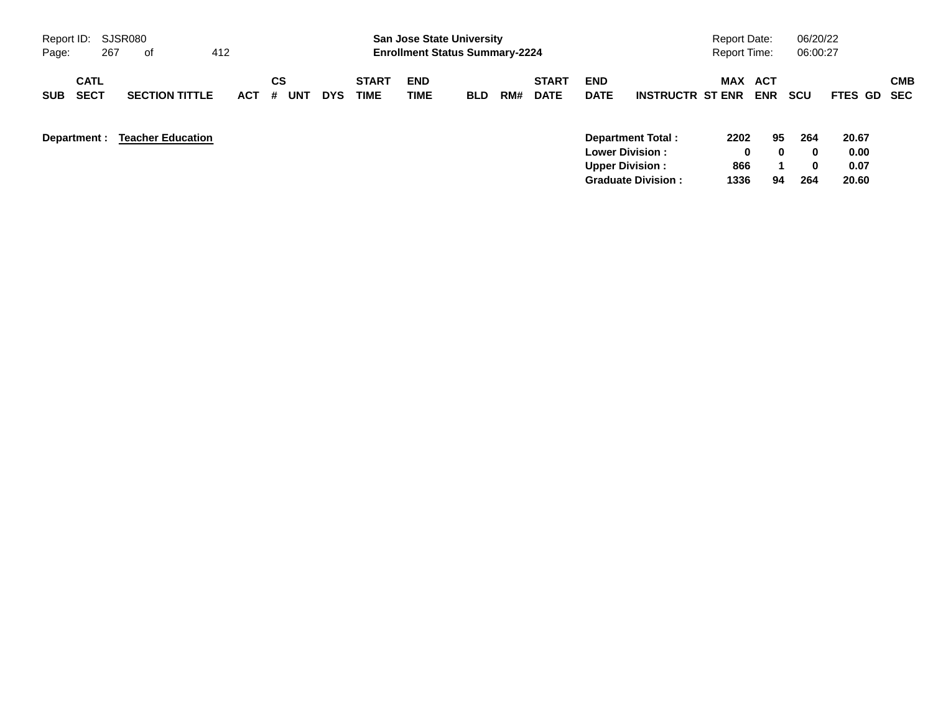| Report ID:                               | SJSR080 |                          |            |         |     |            |                             | <b>San Jose State University</b>      |            |     |                             |                                                  |                         | <b>Report Date:</b> |                          | 06/20/22             |                       |            |
|------------------------------------------|---------|--------------------------|------------|---------|-----|------------|-----------------------------|---------------------------------------|------------|-----|-----------------------------|--------------------------------------------------|-------------------------|---------------------|--------------------------|----------------------|-----------------------|------------|
| Page:                                    | 267     | 0f                       | 412        |         |     |            |                             | <b>Enrollment Status Summary-2224</b> |            |     |                             |                                                  |                         | <b>Report Time:</b> |                          | 06:00:27             |                       |            |
| <b>CATL</b><br><b>SECT</b><br><b>SUB</b> |         | <b>SECTION TITTLE</b>    | <b>ACT</b> | CS<br># | UNT | <b>DYS</b> | <b>START</b><br><b>TIME</b> | <b>END</b><br>TIME                    | <b>BLD</b> | RM# | <b>START</b><br><b>DATE</b> | <b>END</b><br><b>DATE</b>                        | <b>INSTRUCTR ST ENR</b> | <b>MAX</b>          | <b>ACT</b><br><b>ENR</b> | <b>SCU</b>           | FTES GD SEC           | <b>CMB</b> |
| Department :                             |         | <b>Teacher Education</b> |            |         |     |            |                             |                                       |            |     |                             | <b>Lower Division:</b><br><b>Upper Division:</b> | Department Total:       | 2202<br>0<br>866    | 95<br>0                  | 264<br>$\bf{0}$<br>0 | 20.67<br>0.00<br>0.07 |            |

**Graduate Division : 1336 94 264 20.60**